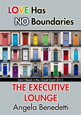# **LOVE Has NO Boundaries**



## Don't Read in the Closet Event 2013

## **THE EXECUTIVE LOUNGE** Angela Benedetti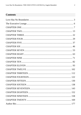## **Contents**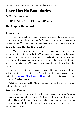## <span id="page-2-0"></span>**Love Has No Boundaries**

#### *An M/M Romance series*

## **THE EXECUTIVE LOUNGE By Angela Benedetti**

## **Introduction**

The story you are about to read celebrates love, sex and romance between men. It is a product of the *Love Has No Boundaries* promotion sponsored by the *Goodreads M/M Romance Group* and is published as a free gift to you.

## **What Is Love Has No Boundaries?**

The *Goodreads M/M Romance Group* invited members to choose a photo and pen a letter asking for a short M/M romance story inspired by the image; authors from the group were encouraged to select a letter and write an original tale. The result was an outpouring of creativity that shone a spotlight on the special bond between M/M romance writers and the people who love what they do.

A written description of the image that inspired this story is provided along with the original request letter. If you'd like to view the photo, please feel free to join the [Goodreads M/M Romance Group](http://www.goodreads.com/group/show/20149-m-m-romance) and visit the discussion section: *Love Has No Boundaries*.

Whether you are an avid M/M romance reader or new to the genre, you are in for a delicious treat.

## **Words of Caution**

This story may contain sexually explicit content and is **intended for adult readers.** It may contain content that is disagreeable or distressing to some readers. The *M/M Romance Group* strongly recommends that each reader review the General Information section before each story for story tags as well as for content warnings.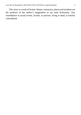This story is a work of fiction. Names, characters, places and incidents are the products of the author's imagination or are used fictitiously. Any resemblance to actual events, locales, or persons, living or dead, is entirely coincidental.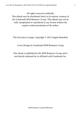All rights reserved worldwide.

This eBook may be distributed freely in its entirety courtesy of the *Goodreads M/M Romance Group*. This eBook may not be sold, manipulated or reproduced in any format without the express written permission of the author.

The Executive Lounge, Copyright © 2013 Angela Benedetti

Cover Design by Goodreads M/M Romance Group

This ebook is published by the *M/M Romance Group* and is not directly endorsed by or affiliated with Goodreads Inc.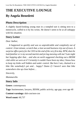## <span id="page-5-0"></span>**THE EXECUTIVE LOUNGE By Angela Benedetti**

## **Photo Description**

A slightly dazed-looking young man in a rumpled suit is sitting next to a motorcycle, cuffed to it by his wrists. He doesn't seem to be at all unhappy with his situation.

## **Story Letter**

*Dear Author*,

*It happened so quickly and was so unpredictable and completely out of control. A last minute, scratch that, a last second business trip out of town. A surprise office party for the CEO at the end of the very first day. BTW, does he look familiar or is my second martini and jet-lag messing with me? Late night bar hopping after that… and who on earth suggested checking out a BDSM club while we were at it? Certainly it couldn't have been my idea; I know how to keep my kinks well hidden and under control. But here I am, chained to a bike like somebody's pet and… happy? Damn if I haven't seen that bike somewhere else up close before…*

*Sincerely,*

*Mammarella*

## **Story Info**

**Genre:** contemporary

**Tags:** businessmen, lawyers, BDSM, public activity, age gap, over age 40

**Content warnings:** dub-con/non-con

**Word count:** 60,737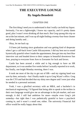## **THE EXECUTIVE LOUNGE By Angela Benedetti**

#### CHAPTER ONE

<span id="page-6-0"></span>The first thing I need you to understand is that I really can hold my liquor. Seriously, I'm not a lightweight, I know my capacity, and it's pretty damn good, plus I wasn't even drinking all that much. But Greg sprang this trip on me at the last minute, and I was up all night finding a twenty-four-hour cleaner and doing laundry and…

Okay, let me back up.

I'd been job hunting since graduation and was getting kind of desperate when I got a call-back from Castle Silicasystems. I did my best not to sound hysterically grateful when I made the appointment, then got into my best blue interview suit and headed down to their campus in beautiful downtown San Jose, praying to everyone from Ares to Zoroaster for luck and favors.

Castle has been around a while and is big enough to have an HR department, so it was another five weeks before I actually reported in to work, but finally, one bright Monday morning, there I was.

It took me most of the day to get out of HR—and my signing hand was sore by then, seriously—but I finally made it up to Greg Wyatt's office. Greg was the CTO and had decided that my shiny new degree and I were just what he needed in a personal assistant.

Yeah, I was a glorified secretary with an MBA, and a bachelor's in mechanical engineering. I'd figured that being able to speak to the techies in their own language would give me an advantage in the job market, and sure enough, it did. I still had ambition for more—maybe even Greg's job someday—but right then I was pathetically grateful to have a paycheck coming in, and it wasn't a small one, either. The university Financial Aid office would be really happy about that.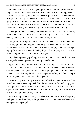So there I was, settling in and getting to know people and figuring out what Greg needed and how to keep him organized and his office running, when he does the oh-by-the-way thing and has me book plane tickets and a hotel room for myself for Friday. It seemed that Nicolas Castle—*the* Mr. Castle—was flying in from Mumbai and planning to overnight in NYC. Executive row, basically the buddies Mr. Castle had hired back in the nineties when he'd started the company, were surprising him on Friday for his birthday.

Yeah, you know a company's solvent when its top dozen execs can fly twenty-five hundred miles for a surprise birthday bash. At least I didn't have to worry about getting laid off in the near future, right?

Greg said it'd be a perfect chance for me to meet everyone and hang out, be casual, get to know the guys. Obviously it's been a while since he was a new hire with a recent diploma, but it was a nice thought, and I was willing to step up for some face time with the big dogs in the company even if I wasn't stupid enough to think I could let it all hang out.

So, cleaning-laundry-packing, and off I went to New York. It was evening—late evening—by the time my plane landed.

I get motion sick, so I took some pills for the flight. I'm mentioning that because I'm pretty sure the drugs—which I totally needed—contributed to what happened later. I got checked in at the Algonquin, which is about twelve classes classier than any hotel I'd ever stayed in before, and found Greg's room. He gave me a once-over and a big smile.

"Hey, Rob, great timing. I was about to head up." He closed the door behind him, and we went up the hall to the elevators. "Allan and Tony got in last night and ambushed Nick in the lobby, so the secret isn't very secret anymore. Nick cussed me out when I called up, though, so at least he was surprised enough to be growly about it."

I made an agreeable sounding noise because I couldn't think of anything intelligent to say about that, and figured no specific comment was better than saying something stupid.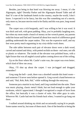Besides, just being in that hotel was blowing me away. I mean, it's the Algonquin, right? Dorothy Parker and the Algonquin Round Table and all that? It's one of *the* landmark hotels in the country, maybe the world, I don't know. I expected it to be fancy, but this was like something out of a movie, only more so, because movies tend to be flashy and this was pure, long-nosed class.

The carpet was a rich burgundy, and I was willing to bet it was wool. It was thick and soft, with great padding. Okay, you're probably laughing now, but when my mom made a bunch of money on her wrench patent, my parents redid the house and Dad and I learned all about how much of a difference good padding underneath the carpet makes. This was the expensive stuff, and my feet were pretty much orgasming in my sixty-dollar work shoes.

The side tables between each pair of elevator doors were a dark wood, carved and stained and shiny, with potted orchids on them– real ones, not silk or plastic or whatever. The inside of the elevator was polished brass, with a light fixture that was all angled crystal spikes coming down out of the ceiling.

Up on the floor where Mr. Castle's suite was, the carpet was even *better*, which kind of blew me away.

Okay, I'll shut up about the carpet. I was jet-lagged and drugged, remember?

Greg rang the bell—yeah, there was a doorbell outside this hotel room and someone I'd never seen before opened it. Greg waved a hand between us and said, "Hal, Rob, Rob, Hal," while walking through the entryway.

Someone put a martini in my hand, and Greg vanished into the suite. There was music playing, classic metal I think, but not loud enough to spike your eardrums, which I appreciated. I thought I recognized a couple of faces from the office, but basically it was a cluster of suits. Hot older guys in suits. Wherever Mr. Castle had met his friends back when, I wanted to go hang out there.

I walked around drinking my drink and occasionally saying hi to people. Some names went by, but none of them stuck. One of the benefits to being the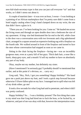new-kid-slash-secretary-type is that you can just call everyone "sir" and that works, so I didn't stress out about it.

A couple of martinis later—it was over an hour, I swear—I was looking at a painting of an African marketplace that I'm pretty sure didn't come from a hotel supply catalog when Greg's hand clamped down on my wrist, the one that didn't have a glass in it.

"There you are. I've been looking for you. Come on." He hauled me across the living room and through an open double door into a bedroom the size of my apartment. A king- size bed dominated the far end to the left, while close to the door was a conversation area with two loveseats and a big upholstered chair, arranged in a square around an expensive looking rug with a fireplace on the fourth side. We walked around in front of the fireplace and turned to face the men whose conversation had stopped as soon as we came in.

Sitting in the chair facing the fireplace—facing me—was an incredibly gorgeous man, even at a party full of hot guys. Thick dark hair, a nose like a hawk, sharp grey eyes, and a mouth I'd sell my mother to have on absolutely any part of my body.

Okay, maybe not my mother, but definitely my sister.

(Have I mentioned I'm seriously gay? I probably should've mentioned that earlier, and at this point it's obvious, so… carry on.)

Greg said, "Hey, Nick, I got you something! Happy birthday!" His hand gave me a push just above my butt, and I took a quick step forward because otherwise I'd have fallen splat on my face. I managed not to spill what was left of my drink either, go me!

It took a few seconds for what Greg had said to penetrate, and when it did I was pretty confused.

Happy birthday? So… I was a birthday present? The first thing that came to my mind was that Greg had hired me to fuck the boss, or be fucked by, or whatever, and part of me was okay with that, however the interpretation went.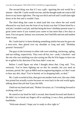The second thing was that if I was a gift—ignoring the real world for a minute—then Mr. Castle would own me, and the thought made me want to fall down to my knees right then. The rug was thick and soft and I could slam right down at his feet and it wouldn't hurt.

The third thing that came to mind (and this was where the real world elbowed its way back into the front of my brain) was that I'd been hired for a real job, I *needed* a real job, and that being the boss's birthday present wasn't a great career move if you wanted your career to last more than a few days at most. Fun was great, fantasy was awesome, but I had bills and rent and student loans to pay.

Mr. Castle had to've been thinking something similar because he gave me a once-over, then glared over my shoulder at Greg and said, "Birthday present? Seriously?"

The guys in the loveseats to either side were smirking, snickering, ogling, and eye-rolling, respectively. They were all hot, too—yeah, I checked—and the one who was smirking was also eyeing me like he'd be happy to have me be re-gifted in his direction if his boss didn't want me.

Before I could figure out what I thought about *that*, Greg said, "Yes, seriously. You've been fighting me on this for months, but you need an assistant, period. He's got an MBA *and* an engineering degree, so I don't want to hear any shit, okay? You're buried, we're dropping balls, so deal."

Mr. Castle scowled at him, then gave me another look-over, this one a little less primal but actually scarier because we were back in the real world again, talking about that job that'd pay the bills.

I held out my hand and said, "Robert Arvazian, sir. I'm looking forward to working with you."

He stared at my hand for half a second, then leaned forward and shook it. He didn't try to break my fingers off or anything; it was a firm, professional handshake.

"Welcome aboard. I hope you're ready to dive right in."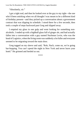"Absolutely, sir."

I got a tight nod, and then he looked over at the guy to my right—the one who'd been smirking when we all thought I was meant to be a different kind of birthday present—and they picked up a conversation about a government contract that was slipping its schedule. I stood there for a few seconds, then took a couple of steps backward past Greg and slipped away.

I emptied my glass in one gulp and went looking for something nonalcoholic. I ended up with a highball glass full of ginger ale, and had actually fallen into a conversation with a guy named Nachman Levin, who was the head of Logistics, when the living room was suddenly a lot fuller and everyone seemed to be migrating toward the main door.

Greg tugged on my sleeve and said, "Rob, Nach, come on, we're going bar-hopping. You can't spend the night in New York and never leave your hotel." He grinned and herded us out.

\*\*\*\*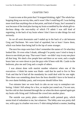#### CHAPTER TWO

<span id="page-12-0"></span>I want to note at this point that I'd stopped drinking, right? The whole barhopping thing was *not* my idea, and it wasn't like I could beg off. I was feeling more tired than anything else at that point, and kind of loopy, but I assumed it was because of the tired plus having my brain scrambled by the whole gift-tothe-boss thing—the non-reality of which I'll admit I was still kind of regretting, in the back of my brain where I don't have to take things for-real seriously.

So we all went downstairs and I ended up in the back of a cab between Greg and Nachman. We were kind of squished, but at least I knew them, which was better than being half in the lap of some stranger.

The next few stops were bars I don't remember the names of. Or what they looked like. Or even what I drank, although I'm pretty sure I tried to keep it down to one drink per stop. That wasn't hard—we didn't stay in any one place all that long. We shed a few people here and there as we went, and a couple hours later we were down to just the guys who'd been with Mr. Castle in the bedroom, plus me and Greg and a couple of others.

I was almost done with martini number whatever when one of the executives—I think his name was Hank—said that he used to live in New York and that he'd had all the mundanity he could deal with for one night. Then there was something about how the boss shouldn't have to be bored at his own damn birthday party, and everyone should follow him.

Two minutes later we were back in cabs on our way to someplace notboring. I think I fell asleep for a few, or maybe just zoned out, I'm not sure, but the cold air that slammed through the car when the doors opened again got my brain cells firing and I followed the crowd into another place.

The outside was pretty plain—cinderblock walls painted grey, which seems kind of redundant to me, but whatever. The lobby area was pretty dull too, with a guy in a leather vest over a T-shirt sitting behind a counter, handing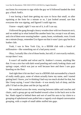out forms for everyone to sign while the guy we'd followed handed the desk guy a black AmEx.

I was having a hard time getting my eyes to focus that small, so after squinting at the form for a minute or so, I just looked around, saw that everyone else was signing, and figured I could sign too.

I know—stupid, right? I was out of it, is all I can say.

I followed the gang through a heavy wooden door with two bouncers on it, and we ended up in what looked like another basic bar, except it was all men, and a lot of them were wearing leather—pants, boots, wristbands, vests. It took me a minute (loopy, remember?) to figure out that it wasn't just a gay bar but a leather club.

Yeah, I was in New York City, in a BDSM club with a bunch of millionaires—like something out of a bad porny novel.

Okay, I actually like a lot of those books, but still, it's not exactly realistic, except there I was.

It wasn't all marble and velvet and St. Andrew's crosses, anything like that. It was a nice bar with dark wood paneling and comfy looking chairs and springy carpet, which was just as well because here and there I saw guys kneeling on the floor.

And right then it hit me that I was in a BDSM club surrounded by a bunch of really studly guys, some of whom actually knew my name, and I started getting hard. I know, you're thinking I had way too much alcohol for that, but like I keep saying, I wasn't that drunk—it was mostly lack of sleep, and the pills I'd had on the plane and the jet lag and all.

We wandered across the room, weaving between tables and couches and chairs, until a group got up and headed toward a door in the back next to the bar. Hank zipped in behind them and sort of used his aura to lay claim to a grouping of upholstered seats pulled into a vaguely oval-shaped conversation grouping, with a couple of small tables stuffed into gaps.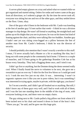A server piled empty glasses on a tray and asked what we wanted while we got organized and started sitting. Orders for sodas and waters came at the guy from all directions, so I ordered a ginger ale. By the time the server took off, everyone was sitting but me and two of the other guys, and they settled down on the floor. Umm, okay.

One of the guys who'd been in the bedroom with Mr. Castle was kneeling at the feet of another guy I'd met earlier that week—I think he was a division manager in chip design. He wasn't all formal or anything, the straight back and palms up on his thighs that you see in pictures; he was on his knees but kind of leaning against the chair, and they were talking like two buddies. Another guy I hadn't met yet was sitting cross-legged on a pillow between the feet of another man from Mr. Castle's bedroom; I think he was the director of security.

I should probably also mention that I wasn't exactly a newbie to this stuff. I mean, I'd never actually had a Master or a Sir or anything like that, but I hung out with some people in the community back home. I'd been to a couple of munches, and I'd been going to the gatherings Brandon Cole has at his house every Saturday. They had a flogging demo once, and I tried it out.

I didn't go first or anything, but the Domme doing the demo seemed really cool. When I finally found the nerve to volunteer to be next, she gave me a sweatshirt to put on over my T-shirt for the first few blows so I could get used to it. I took the next few just on my shirt. It was… interesting. I wasn't in orgasmic raptures over it like you see in porn videos, but it was something I was interested in trying again, maybe in private, with the right guy, you know?

So I'm not a newbie, and I didn't get all freaked out or anything. But still, I didn't know any of these guys very well, and I had to work with all of them, and I was the last one standing there in the middle of the ring of seats, with everyone looking at me, and there were no empty chairs.

The guy sitting next to Mr. Castle pulled a big pillow out from where it'd been tucked next to his chair and tossed it down in front of the boss's feet. "There you go," he said, and he gave me this huge grin.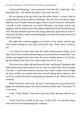I felt myself blushing, 'cause seriously? And then Mr. Castle said, "No, absolutely not," and shoved the pillow away with one foot.

He was glaring at the guy who'd put the pillow down—it wasn't like he was giving me any nasty looks or anything—but still, that was a pretty major rejection even if I hadn't been all eager to throw myself at his feet. And maybe I would've if he wanted me, you know? Because I *was* loopy and he *was* gorgeous and he could slot into that master-shaped hole in my fantasies pretty well. But that absolute rejection still stung, especially right there in front of everyone, and that's when I started thinking I could just leave and catch a cab back to the hotel.

But right then someone tugged on the back of my jacket, and the guy who'd been looking me over back at the hotel said, "Here, there's room by me."

I was kind of frozen, what with the whole embarrassment thing, so he didn't have much trouble maneuvering me around and ten seconds later I was sitting cross-legged next to his chair. He wasn't handsy about it, so I let him get me settled on the floor; the carpet really *was* nice to sit on.

The chair on my other side had these tall sides, and the guy'd pushed a side table backward to make room for me, so I was in a little niche, like an animal in its den. I could look around at everyone, but I wasn't really in line of sight for most of them, so a minute later they were all talking about whatever, and so far as I could tell, no one was paying any attention to me. Which was fine, seriously.

When the server came back, the guy I was sitting next to passed me my ginger ale without having to ask what I'd ordered, and he said, "You okay?" in a low voice.

I said, "Yeah, thanks," and took a sip of my drink, because what do you say?

"Good. I'm Evan O'Neill, by the way. I'm the CFO—it's my job to keep everyone else from bankrupting the company."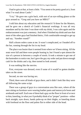I had to grin at that, at least a little. "You seem to be pretty good at it, from what I've read about Castle."

"I try." He gave me a grin back, with sort of an eye-rolling glance at the guys around us. "Greg said you have an MBA?"

I told him about my education and the research I'd done for the Masters, and he gave me a sketch of Castle's financial workings. It was all very mundane and by the time I was done with my drink, I was calm again and the embarrassment was just a memory. And when I finished my drink and saw that most of the other guys had finished theirs, I felt comfortable enough to get up and say, "Another round?"

Half a dozen orders came at me. It wasn't complicated, so I headed off to the bar, running through the list in my head.

The place was busier than it seemed from where we'd been sitting. All the seats were full and there were people leaning in, but I found a spot almost the size of a person in between a couple of stools. It took a minute to get one of the bartenders to notice me, but I gave the guy my order and put down enough cash for the drinks and a tip, then turned to look around.

It was nothing like the movies.

First, everyone was dressed, even if some of it would've gotten doubletakes on the street.

Second, no one was having sex.

Third, there were all kinds of guys there, and it didn't look like they were all following the same script.

There was a group of guys in a conversation area like ours, where all the men sitting on furniture were wearing leather pants and motorcycle boots and armbands and stuff. Each one of them had a guy on the floor in front of or next to him, kneeling, in what you'd probably think of as "proper" position—either back straight, eyes down, hands palm-up on their thighs, or kneeling down with forehead on the floor and palms flat to either side of the head.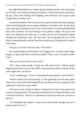But right behind them was another group sitting however. One of the guys on the floor was clearly the dominant partner, with his boyfriend curled up in his lap. They were talking and laughing, and obviously not trying to play Tough Dom or Perfect Sub.

Toward the middle of the room were two guys in slacks and shirts sitting in chairs and looking like any two guys talking in a bar after work. Except there was a third guy kneeling in front of one of the chairs, his wrists tied behind his back with a necktie, his head resting on his partner's thigh. The guy in the chair was talking to the other guy in a chair, but he was running his fingers through his boyfriend's hair, soft and slow. The boyfriend, the one on his knees, looked perfectly relaxed, like this was his way of shaking off a week of work stress.

The guy to my left at the bar said, "First time?"

He sounded mellow and friendly, not all aggressive, or wink-wink-nudgenudge, so I gave him half a smile and nodded. "Here, yeah. First time in New York."

"But not your first time in the scene?"

"No. I have some people I hang out with back home." Which maybe implied more than was true, but I didn't want anyone to slot me into the wideeyed virgin role, you know?

"Cool," said the guy. "If you're interested in playing later, come find me."

"Doesn't seem to be much playing," I said, glancing over the room again. There was a lot of stuff that'd probably get you thrown out of a regular bar, but nothing I'd call serious play either.

"The main room's kind of mellow," Barstool Guy said, "but it gets more serious in the playroom." He pointed toward the door I'd noticed before, next to the end of the bar. "Still no sex allowed, but more fun than you can have in the bar."

"I'll remember that, thanks. I came with some friends, though, and we're pretty settled for now."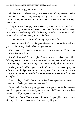"That's cool. Hey, your drinks are up."

I looked around and sure enough, there was a tray full of glasses on the bar behind me. "Thanks," I said, hoisting the tray. "Later." He nodded and gave me half a wave, and I headed off, careful to balance the tray as I wove through the furniture.

The group was three guys short when I got back. I handed out drinks, dropped the tray on a table, and went to sit on one of the little couches next to Evan, who'd moved—I figured he deliberately shifted to a place where I could sit next to him without having to be on the floor.

"More comfortable?" he asked, taking a sip of his soda.

"Yeah." I settled back into the padded corner and toasted him with my glass. "I like having a back to lean on, you know?"

He nodded. "You could work on your posture, and you'd be more comfortable on the floor."

I kind of stopped for a couple of seconds and switched gears. That definitely wasn't business- or finance-related. "Umm, yeah, I've heard that. It's something I'll need to work up to, since I'm usually all about comfort."

He laughed and nodded again. "You'll be happy to know the company has a decent chair budget. We don't want anyone taking time off to hit the chiropractor, or doing substandard work because their attention is all on their aching back."

"Good policy," I said. "More companies should spend some money on prevention. It's cheaper than treatment later."

"Absolutely. We have a great gym—did you get to that in the new-hire tour? It's open to everyone, and you get an extra half hour for lunch three times a week if you spend it in the gym."

"Seriously? Wow. That's probably in one of the pamphlets they gave me Monday. I'll admit I haven't read through everything yet."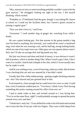"Hey, anyone too lazy to read everything probably wouldn't want to hit the gym anyway." He shrugged, looking me right in the eye. I felt myself blushing, which sucked.

"Probably so. I'll definitely find the gym, though. I was taking PE classes at school so I could use the facilities there, but I haven't gotten around to joining a regular gym."

"Now you don't have to," said Evan.

"Awesome." I took another slug of ginger ale, watching Evan while I drank.

He was a great looking guy. Not that anyone in the group needed a bag over his head or anything, but seriously, you could tell he wasn't a keyboard slug, even when he was wearing a suit, and he had big, strong looking hands, which are one of my major turn-ons. Other guys are size queens about a man's dick, but I'll take an average dick and big hands any day.

His hair was brown and short and kind of messy; it was obvious it wasn't full of product, which is another thing I like. When I touch a guy's hair, I don't want it to crackle. And he had a dimple in his chin, which I'm not usually into, but he made it work.

And he was smiling at me, a sort of knowing, sideways smile, like he knew I was checking him out and was amused by it but didn't mind.

Usually that'd be a little embarrassing—getting caught checking someone out—but I felt relaxed and just grinned back at him.

Evan leaned in, close enough that he could lower his voice so only I could hear, even if someone walked past us. "You know, I think I envy Nick having something this pretty running around his office from now on."

I had to smile wider at that, and twisted around so I was facing him. "You're on the same floor, right? I could probably arrange to spread the pretty around every now and then."

"I think that's only fair." Evan shifted his soda to his left hand and reached out to trace the line of my jaw with two fingers. They were a little damp from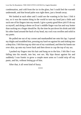condensation, and cold from the ice in the glass, but I could feel the warmth underneath, and that broad palm was right there, just a breath away.

We looked at each other and I could see the wanting in his face. I felt it too, so it was the easiest thing in the world to turn my head just a little and suck one of his fingers into my mouth. I give a pretty good blow job if I do say so myself, and doing a demo on Evan's middle finger was fun and way hotter than sucking on a finger should be. By the time he put down his drink and slid his other hand around the back of my head, my cock was swollen and solid in my pants.

He pulled me out of my corner and manhandled me onto his lap. I spread my thighs and straddled him, pressing my hard-on against his and sinking into a deep kiss. I felt him tug my shirt out of my waistband, and then his hands ran over skin, up onto my lower back and then down to cup the top of my ass.

I pushed my fingers into his hair and hung on to the kiss. I felt like I was falling into his mouth, into hot, wet sex. My hips thrust against his and suddenly I was frantic to grow a couple more arms so I could strip off my pants, and his, without letting go of him.

After that, it all went kind of fuzzy.

\*\*\*\*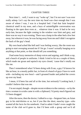#### CHAPTER THREE

<span id="page-21-0"></span>Next time I… well, I want to say "woke up", but I'm not sure I was ever really asleep. Let's say the next time my head was clear enough that I was aware of where I was, I was in a hospital bed. I had that faint hospitalchemical smell in my nose, and a buzz of unintelligible conversation was floating in the open door even at… whatever time it was. It had to be very early-late, because the light coming in the window was faint and grey, and there was no way it was evening. There was a lump in the other bed a few feet away, but whoever it was, he was facing away from me and I didn't recognize the back of the guy's head.

My own head ached like hell and I was feeling woozy, like the room was going to start swooping around me if I let go. I wasn't actually hanging on to anything at that point, so that should tell you something.

I had some fuzzy memories of sharp voices and arguing, and I think a cop, and a bunch of people in uniforms. I think I tried to hit on a couple of them, which made me groan and squinch my eyes closed, 'cause that's totally not like me.

Then I remembered what I'd been doing with Evan, a guy I'd known for like an hour, in a mostly public bar, in front of a bunch of guys I have to work with—including my new boss!—and I groaned louder and pulled the covers up over my head.

I mean, it'd been fun and all at the time, but seriously? Looking back, I couldn't believe that was me.

I'm not stupid, though—despite recent evidence to the contrary—so by the time a woman in scrubs came in with a clipboard, I'd pretty much figured out I'd been drugged.

After the nurse, then the doctor, I talked to a cop—Sergeant Sato, an Asian guy in his mid-thirties or so, hot if you like the short, muscley type—who wanted all the facts for his notebook. I had to admit I hadn't even caught the name of the club we'd gone to, that I'd been with a group and we'd all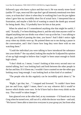followed a guy who knew a place and that was it. He was mostly stone-faced (unlike TV cops, most real life cops don't get all intensely emotional over their cases, or at least don't show it when they're working) but I saw his jaw tighten when I gave him my incredibly short list of actual facts. I interpreted that as frustration, and maybe a little bit of wanting to smack the dumb guy around for being dumb. Hey, I'd probably have let him at that point.

When he asked me if I remembered anything else that might be useful, I said, "Actually, I've been thinking about it, and the only time anyone could've slipped anything into our drinks was when I was up at the bar. I was talking to this guy, just kind of passing the time, you know? And I didn't notice right away when my drinks were up. He pointed them out to me during a pause in the conversation, and I don't know how long they were there with no one watching them."

"Could the individual you were talking to have introduced the substance into your drinks?" the cop asked, looking like maybe he'd adjusted his opinion of me up high enough to believe that I *might've* been smart enough to finish high school.

"I don't think so. I mean, I wasn't looking at him every second once we started talking, but I was looking back and forth between the other people in the bar and him. If it'd been me, I wouldn't have counted on me-the-other-guy looking away long enough. I was looking back at him kind of at random."

"The people who do this regularly can be incredibly quick about it," he said.

"Right, I get that, but…" I stopped and frowned. "It couldn't have been just me and Evan, right? I mean, there's no way whoever did it would've known which drinks were ours. So he'd have had to dose every drink on the tray. That would've taken longer."

Sato glanced over at the other bed, at my roommate—I'd found out it was Greg when he turned over, still out of it, while the doctor was there—and said, "We haven't been able to interview everyone in your group yet, but from what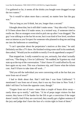I've gathered so far, it seems all the drinks you bought were drugged except the two waters."

"So it would've taken more than a second, no matter how fast the guy was."

"Not as long as you'd think, but yes, longer than a second."

I thought about that, but it still didn't make sense. "Any idea why? I mean, if I'd been alone then it'd make sense, in a twisted way, if someone tried to roofie me. But no strangers even tried to pick me up after I was drugged. The guy I was talking to at the bar hit on me, but it was kind of low level, nowhere near as intense as you'd expect for someone who planned to drug me and drag me into the bathroom or something."

"I can't speculate about the perpetrator's motives at this time," he said. Definitely not like a TV show. He finished writing some stuff in his notebook, then asked, "Would you be available to testify if we do apprehend a suspect?"

That stopped me. I really wanted to say yes, seriously, but what I actually said was, "The thing is, I live in California." He nodded; he'd gotten my vital stats up at the top of the conversation. "I don't know if I could afford to fly out here again on my own. This was a business trip, and I know what the tickets cost. And I'd have to take time off work…"

"Did you tell the individual you were conversing with at the bar that you were from out of town?"

I had to think about that. Had I told him I was from California? "I mentioned I was from out of town, that it was my first time in New York. I didn't tell him I'm from the opposite coast, though."

"Targets from out of town—more than a couple of hours drive away rarely show up to testify," said Sato. "A lot of perps target visitors for that reason; they know it'll be harder for the DA to get a conviction if the target doesn't testify And if they are convicted, they usually get a lighter sentence if the jury and judge don't have the face of a victim right in front of them."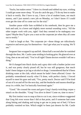"Sucks, but makes sense." I drew in a breath and rubbed my eyes, wishing I could get some more sleep. "If you do catch the guy, I'll do my best to make it back to testify. But I have to say, I have a lot of student loans, not much money, and I just started a new job on Monday, so I don't know if I could even get the time off to come out for the trial."

Another pause while Sato scribbled in his notebook, then he gave me a look and said, in a lower and slightly more normal sounding voice, "All the other targets work with you, right? And they seemed to be mahogany row types? Maybe they'll give you a seat on the corporate jet when *they* all come out to testify."

I had to laugh at that. "No corporate jet—those things are ridiculously expensive and never pay for themselves—but I get what you're saying. We'll see."

Sergeant Sato wrapped it up and left. About half a second after he vanished through the door, Mr. Castle came striding in looking grim. He glanced over at Greg, then at me and said, "You're all right? Damn doctors wouldn't tell me a thing."

He'd changed into black slacks and a grey shirt with a leather jacket over it, and was pretty clearly pissed off, but he was still gorgeous; that much hadn't been fatigue or jet lag or alcohol or drugs. I remembered that he'd been drinking water at the club, which meant he hadn't been affected. Great—he probably remembered exactly what I'd done, with perfect clarity. I forced myself to meet his gaze and said, "Yes, pretty much. Doctor said I'll be kind of out of it on and off for the next day, and the headache and nausea should go away in a while, but I'm basically functional again."

"Good." He crossed the room and gave Greg's barely-twitching corpse a smack on the shoulder. "Greg! You alive in there? Come on, time to move."

My first instinct was to snap at him to cut it out, since evidence suggested that Greg felt even worse than I did at that point, and if someone had come along hitting and shaking and trying to get me to jump out of bed, I'd have probably vomited on him. Which might've been just deserts for Mr. Castle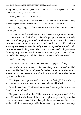acting like a jerk, but Greg just moaned and rolled over. He peered up at Mr. Castle and slurred, "Nick? Whafuck?"

"Have you talked to your doctor yet?"

"Doctor?" Greg blinked a few times and levered himself up on to shaky elbows to peer around. He squinted at me, then said, "Hey, Rob."

I said, "Hey, Greg," but his attention was already back on Mr. Castle. "W'happen?"

Mr. Castle stared down at him for a second. I could imagine the expression on his face just from the back of his body language, you know? He finally said, "The whole gang got roofied, or whatever the hell it was. I don't know because I'm not related to any of you, and the doctors wouldn't tell me anything. But everyone was definitely altered, everyone but me and Nach, because we were drinking water. The rest of you pretty much collapsed into a damn orgy right there on the floor. We were about to get thrown out when I persuaded the manager to call the police and a few ambulances instead."

"Fuck," said Greg.

"Not quite," said Mr. Castle. "You were working up to it, though."

Greg made a snorting sound, kind of like a laugh, then one hand fumbled around until he found the control panel for the bed. He stabbed at a button, and a few minutes later, the same nurse who'd come in to talk to me when I woke up poked her head in.

"Mr. Wyatt? Good, you're awake. How are you feeling?" She bustled up and checked out some of the monitors over and around his bed.

"Awful," said Greg. "But I've felt worse, and I need to get home. Any way I could bust out of here?"

She gave him a small smile. "I'll let the doctor know you're awake." She sort of herded Mr. Castle out of the way through sheer personality aura, her pleasant expression never shifting, then pulled the curtain around Greg's bed so she could do whatever—probably the same as I'd gotten when I woke up.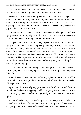Mr. Castle scowled at the curtain, then came over to my bedside. "I don't suppose the police had any ideas about who did this or why?"

I shook my head, then stifled a groan and decided not to do that again for a while. "Not really. I mean, there was a guy I talked to for a minute at the bar, while I was waiting for the drinks, but he didn't really have time to do anything." I described the conversation, and how I'd been looking between the guy and the room, back and forth.

"So I don't know," I said. "I mean, if someone wanted to get laid and was trying to take a shortcut, why hit all the drinks? And how come no one came over after we'd been drinking and tried to follow up?"

"Maybe it took effect faster than they expected? If this was their first time trying it…" He scowled at the wall past my shoulder, thinking. "It seemed like we were just talking and then suddenly it was like a porno—I wanted to look around for a camera." He paused, then shook his head. "That'd be stupid. If the house wanted to sell hidden-camera movies, they'd have better luck in the playroom. It'd be stupid to start a lot of activity they usually don't allow in the bar. And they were about to throw us out before anyone got to anything that'd work as a porno highlight."

That made sense. I hadn't thought about being filmed—the idea made me blush again, which was annoying—but Mr. Castle was right that the pieces didn't fit.

He took a step closer, until he was leaning right over me, and lowered his voice. "That's the cops' problem. Before we're back with the mob, I need to talk to you about Evan."

I just nodded. He looked pretty grim, and I wondered for a second if maybe he and Evan had something going, and he was going to warn me off. Just my luck, ending up next to the boss's boyfriend just when the drugs came out, right?

Except when he said, "You need to give Evan some space for a while. He's married, and he doesn't fool around. He's the nicest guy you'll ever meet. It was pretty obvious you were embarrassed, and he wanted to take you out of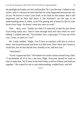the spotlight and make you feel comfortable. He's just like that. I talked to him earlier, and it's obvious he feels like hell for what happened between the two of you. He knows it wasn't your fault, or his fault for that matter. But it still happened, and he feels bad about it. His husband's not the type to be understanding about it, either, so he'll be getting shit at home for this for who knows how long—he doesn't need any more at work."

That… okay, wow. Totally not what I'd expected, except the part about Evan being really nice. That'd come through loud and clear while we were talking. I nodded and said, "No problem. He's a great guy. I'll stay out of his way. Umm, as much as I can?"

Mr. Castle nodded. "Right. You'll have to interface with him at work at times. Just be professional and leave it at that level. Don't duck into closets to avoid him, but let him decide how friendly to be, and how fast."

"Absolutely."

"Good. I appreciate that." He looked over at the curtain around Greg's bed. "I rescheduled all of us for a one-forty flight. Everyone should be ready in time to make that. We'll meet in the hotel lobby at eleven-fifteen and head out together." He waited for me to nod understanding, nodded back, and left.

\*\*\*\*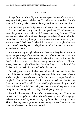#### CHAPTER FOUR

<span id="page-28-0"></span>I slept for most of the flight home, and spent the rest of the weekend sleeping, drinking water, and sleeping. Oh, and when I wasn't asleep, I mostly stared at the ceiling and imagined all the ways work would probably suck now.

Although having a bunch of people at work know I was submissive wasn't on that list, which felt pretty weird, but in a good way. I'd had a couple of lovers be jerks about it, and one of them—a guy in my Business Ethics seminar, which is totally ironic—told everyone at school who'd stand still to listen that I was a wussy little prick who wanted someone to tie me up and spank my ass. Which wasn't what I'd said at all, but people who have preconceived ideas they've picked up from bad jokes don't tend to care much about detail accuracy.

Almaden's a big enough school that "everyone Trey knew" wasn't a significant percentage of the student body, and after a couple of weeks the reactions had died down to just an occasional smirk or comment. It sucked, but I dealt with it. I'll admit it made me pretty gun-shy, though, and if I hadn't already been to a couple of Brandon's Saturday things, I probably would've ducked back into the kink closet and nailed the door shut.

So having people at work find out was nightmare fodder, but it looked like most of the executive staff was kinky. And they didn't even seem to be the kind of people who looked down on male subs. I know it's stupid, but a lot of people do. One of the guys on the floor at the bar had been the Security Director, though, and he couldn't do his job if people were smirking at him all the time. I wasn't worried about being harassed because of my preference for being the one kneeling, which… okay, that felt pretty damn good.

But still, I had—okay, a bunch of us had—been way out of line in our behavior, and drugged or not, it had to be embarrassing. I was still trying to get to know everyone and figure out how my cog fit into the company machine. This whole thing was a huge bucket of sand in the gears, and there was no way it wouldn't be awkward. At *least* awkward.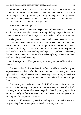On Monday morning I arrived twenty minutes early. I got off the elevator on the executive floor and followed the seductive scent of coffee to the break room. Greg was already there too, doctoring his mug and looking normal, except for a tight expression like he had a low level headache, or like someone had chewed him a new asshole, or maybe both.

"Hey, Rob. You feeling okay?"

"Morning," I said. "Yeah, I am. I spent most of the weekend unconscious and that seems to have taken care of stuff." I pulled my mug off the shelf and poured. I like mine black with sugar, so I was ready to roll in half a minute.

He laughed and said, "Yeah, me too. Hey, Nick wanted to see you as soon you got in. Go ahead and take your coffee." He waved a hand down the hall toward the CEO's office. It took up a huge corner of the building, which wasn't exactly skinny. I'd been in and out of it a couple of times the previous week while Mr. Castle was travelling. Finding it was no problem, but knowing that Mr. Castle would be in there made it feel completely different. My heart sped up and my mouth went dry.

I took a slug of hot coffee, ignored my screaming tongue, and headed down the hall.

The outer office had a hardwood conference table surrounded by ten expensive-looking chairs off to the left, and a more casual seating area to the right, with a couch, a loveseat, and three comfy chairs. Straight ahead was another door, currently open, to the inner sanctum where the actual work got done.

The morning sun made Mr. Castle look like he was ready for a photo shoot. One of those magazine spreads about the dozen most powerful and rich, hot, single CEOs that non-business mags do when they're trying to look serious but really are desperate to sell copies and want women (or gay men) to stock up just for the photos. Like that.

Before I could freeze or pop wood or anything else completely disastrous, he glanced up from his computer and said, "Morning. Come in."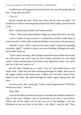I walked over and stopped in front of the desk. He was still typing when he said, "Greg calls you Rob?"

"Yes, sir."

He just nodded and said, "Rob, then. Here, tell me what you think." He reached over with his mousing hand and shoved a thick folder across the desk at me.

Okay. I picked up the folder and looked around.

"There." The mouse hand stabbed a finger at a clean desk off to one side.

I took a couple of steps toward it. It looked like overflow rather than an actual assistant's desk, and I wondered whether it was meant to be permanent.

"Should I, umm, order a desk for the outer room? I should be guarding your door, right?" I smiled to show I was sort of kidding, although not really, but he didn't look up.

"I don't need a secretary, Rob. People around here know better than to bug me with trivial crap, and I type my own e-mails and book my own plane tickets. I need someone who can function as my right hand. If that's you, we'll find out in the next week or so."

He still hadn't looked up, so I said, "Yes, sir," and settled down at the empty desk. I spent the next hour skimming through the folder, then went to the supply cabinet in the break room. I filled a box lid with a load of loot, filled my new desk, and started through the folder again, taking notes this time.

At eleven-forty, Mr. Castle said, "I have a lunch appointment. I'll be back around one-thirty," and left.

Okay, then.

I went to the deli up the block and got a roast beef and cheddar sandwich, a bag of chips and a banana. I got an up-elevator in no time; it was twelvefifteen and all the traffic was on the way out of the building. I ran into Nachman on my way back to the office—our office?—and he said, "Hey,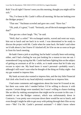Rob! You all right? I haven't seen you this morning, thought you might still be sick."

"No, I've been in Mr. Castle's office all morning. He has me looking over the Bridger project."

"That one." Nachman scowled and gave me a nod. "Have fun."

"Oh, yeah, it's great," I said. "Seriously, are *all* the tech managers here like that?"

That got me a short laugh. "No," he said.

"Well, that's a relief." We exchanged smirks, waved and went our ways, him out to lunch and me back in to work. I was determined to be ready to discuss the project with Mr. Castle when he came back. He hadn't said when we'd talk about it, but I knew if I slacked off, he'd be on me as soon as he got in from his lunch meeting.

He hadn't been a jerk or anything, but he hadn't actually been welcoming, either, and I had a feeling he was just looking for a reason to toss me out. I remembered Greg saying that Mr. Castle had been fighting him on the subject of getting an assistant at all for a while, so it made sense that he'd take any excuse to reject me. My head knew it wasn't personal—probably wasn't, although I still wasn't sure what he thought of the thing on Friday night—but my gut wanted to impress him.

My bank account also wanted to impress him, and the tiny little Financial Aid clerk who lived in my head *definitely* wanted me to impress him.

I had some comments and suggestions about the issue he'd tossed at me, but there was some info I needed before I'd be willing to discuss it with anyone. Certain things were standard, but I wasn't willing to chance looking like an idiot by making assumptions that might not be accurate in this case. I needed to see the Bridger contract, which was unfortunately down in Contracts. I was pretty sure everyone down there would be out to lunch, and even though I might be able to get away with poking through their files on my own—"Me? I'm Mr. Castle's personal assistant!"—I didn't know where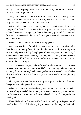exactly it'd be, and going in cold to hunt around on my own could take me the rest of the day, forget lunchtime.

Greg had shown me how to find a lot of data on the company server, though, and I had a log-in for that. If I really was the CEO's assistant then I imagined my log-in could get me into most of it.

What I didn't have was a computer, but Mr. Castle had one; there was a laptop on his desk that'd inspire a decent orgasm in anyone even vaguely technical. He wasn't using it right then, either, being gone and all. I hesitated for about twelve seconds, then took the Bridger file and all my notes over to Mr. Castle's desk.

Where I stopped and stared. He hadn't logged out.

Wow, that was kind of dumb for a man as smart as Mr. Castle had to be. Sure, he was on the top floor of a building he owned, with decent corporate security and presumably loyal employees all over the place. But one disloyal employee—or one more-or-less loyal employee who thought he deserved a nice raise—could make a lot of mischief on the company servers if he had access to the CEO's log-in.

Mr. Castle wasn't stupid, and Castle wouldn't be where it was if he were careless. So I was going to assume he'd left his account logged in—while he was away for an extra-long lunch meeting—because he wanted to see whether I had the balls to come over here and get the info I needed to complete my assignment.

I have great balls, and that's not just my own opinion, either, so I dove into the system with a huge smirk on my face.

When Mr. Castle returned at about quarter to two, I was still at his desk. I had everything I needed, but at that point it was a matter of pride to let him "catch" me there. I looked him in the eye and said, "Did you have a productive meeting, sir?"

He set his briefcase down on a side chair since I had my stuff spread out all over his desk. "Yes, I did. We're going to make a lot of money on the Pinelli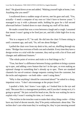deal." He glared down at me and added, "Making yourself right at home, I see. Anything else you need?"

I swallowed down a sudden surge of nerves, met his gaze and said, "Yes, actually—I need a computer of my own so I don't have to borrow yours." I managed to say it with a pleasant smile, holding his gaze for a full second afterward before I looked down to start clearing my stuff off his desk.

He made a sound that was a cross between a laugh and a cough. I assumed that meant I wasn't going to be fired just yet, and did a little high-five in my head.

"Put in a request to IT," he said. He slid into the chair I'd been sitting in until a moment ago, and said, "So, tell me about Bridger."

I pulled the chair over from my desk to his, and sat, shuffling through my notes. "Bridger has overruns of both cost and schedule. Every time they have a design review or a trial with the customer, they end up with a list of fixes and changes and additional features."

"The whole point of reviews and trials is to find things to fix."

"True, but there's a difference between fixing a problem to bring a system up to spec, and adding a new feature that isn't in the spec, or even making an optional change to something that's already up to spec. There are standard channels for out-of-contract change requests coming from the customer, but the techs and engineers—on both sides—aren't using them."

"Why is that anything I should be concerned about?" he asked in a sharp, impatient voice. "I don't micromanage at the project level."

I quailed a little, but I knew I was right, so I looked him in the eye and said, "Because this is a management problem, and if you don't stomp on it, it's going to spread." He just cocked his head at me, like he was waiting for me to explain why I wasn't wasting his time, so I went on.

"The techies in the trenches want to make their shiny thing cooler—if they have any kind of decent morale, they'll be pretty enthusiastic about that. The techies don't care what team they're working for, they're just messing around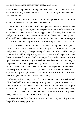with this cool thing they're building, and if someone comes up with a neatoawesome idea, they'll want to dive in and do it. I'm sure you remember what that feels like, sir."

That got an eye roll out of him, but his lips quirked in half a smile for about a millisecond. I thought, Hah! and went on.

"From the customer side," I said, "Bridger has no reason to rein in their own techies. They'd love to get a shinier system with more bells and whistles, and if their own people can make that happen under the table, that's a win for Bridger. But from our side, any additional bell or whistle has a price tag. Each additional line of code costs an hour of technical labor, not only for making the change itself, but for testing and documentation changes. That gets expensive."

Mr. Castle knew all this, so I hurried on with, "It's up to the managers on our team to rein in our techies. We're willing to make whatever changes Bridger wants, so long as they go through channels. An official add or change comes with an additional price tag to cover our costs. A change made under the table because the techies think it's cool, or that it makes sense, or that it's 'quick and easy' because it's just a few lines of code—that costs us money. If our people make the change voluntarily, out of contract, then we have to eat it. We don't want to squash the techies, but we have to get them to understand that every single addition or change, even one line of code, needs to be approved and go through Contracts. Techies think this is stupid, but it's up to their managers to make them toe the line anyway."

I leaned back and said, "If you don't stomp on this now, the techies will talk to their buddies about what they're doing, and it'll spread to the techies on other projects. And the managers who overlook it will talk to other managers about how much happier *their* customers are, and within a few years every project in the company will have this money drain in it. It's a management issue, and the best way to curb it is from the top."

He stared at me for a few seconds, then nodded. "I agree with you about the problem. Any suggestions?"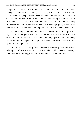Specifics? Umm… What the heck. "Giving the division and project managers a good verbal reaming, as a group, would be a start. For a more concrete deterrent, separate out the costs associated with the unofficial adds and changes, and take it out of their bonuses. Something like three-quarters from the PMs and one-quarter from the DMs. That'll add up fast, especially for the DMs who are responsible for a dozen or twenty projects, and motivate them to do some trickle-down reaming that'll make an impact on the techies."

Mr. Castle laughed while shaking his head. "I don't think I'll go quite that far, but I like how you think." He crossed his arms and stared at me, his expression almost pleasant. "All right," he said, "you're not completely useless. Go put in a request for a laptop. I'll have a few more projects for you by the time you get back."

"Yes, sir," I said. I put my files and notes down on my desk and walked sedately out of his office. As soon as I was sure he couldn't see me anymore, I did one of those jumping fist-pump maneuvers and mouthed, "Yes!"

\*\*\*\*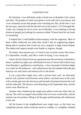## CHAPTER FIVE

By Saturday, I was definitely ready to head over to Brandon Cole's place and relax. The people at Castle were good to work with, but it was intense, and I was constantly aware that people were watching me, like, all the time. I was the new guy, some kid with the ink still wet on his master's. If I'd thought Mr. Castle was waiting for me to screw up on Monday, it was nothing to having dozens of people just looking for reasons to think I'd been hired for my looks or something.

It helped that I could babble techno-neepery with the engineers. Most of them visibly mellowed out when they found I had an engineering degree. Being able to mention that I built my own computer in high school helped. The admin and support people were harder to impress, though.

No matter what anyone says, it's hard to stay on point twenty-four-seven. It's impossible, actually, and after a week of trying, I was wrung out.

I drove the few blocks from my apartment near the university to Brandon's house. I parked my eight-year-old Honda in front of a house half a block away from Brandon's, grabbed my contribution—a few of pounds of chicken thighs in a cooler for the barbecue—and walked down the tree-shaded sidewalk past lined up cars and trucks and motorcycles to the house.

It was a grey-blue single story with a private front yard. An intricately pieced wall, painted wood between stone pillars, enclosed most of the yard, with a sturdy gate near the driveway and mounds of jasmine between the wall and the sidewalk. The flowers were blooming in the September heat, and the sweet scent filled the air.

Jasmine vines climbed up the rough stone pillars to the top of the wall, six feet up. The wall was topped with another foot of woven-wood trellis, and the jasmine ran riot up there, filling in all the gaps and blooming with enthusiasm in the sun.

All the houses in the neighborhood were single story, so the front was completely private, unless someone stood on a ladder, or a neighbor climbed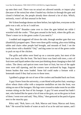up onto their roof. There was no actual sex allowed outside, or impact play (because of the noise) but when I hauled my chicken in through the gate and closed it behind me, the people already there showed a lot of skin. Which, seriously, wasn't all that unusual in the heat.

We'd done bondage demos out there before, but right then, everyone on the patio was a sub, so far as I could see.

"Hey, Rob!" Brandon came over to close the gate behind me while I wrestled with the cooler. "That goes around in the back, where the grills are. There's more ice in the green cooler if you need it."

I nodded and staggered off down the side, through another gate that was (thankfully) propped open. There were three grills waiting, plus extra folding tables and chairs other people had brought, and mounds of food. I set the cooler down with a thankful "*Oof,*" and dug some ice out of the green cooler to pack on top of the chicken.

The grills and tables were lined up on a concrete patio, but most of the back was lawn, like the front. The back fence was lined with trees, a mix of fruit trees and liquid ambers that were just thinking about changing to their fall colors. The cherry and apricot trees were bare of fruit, but two of the apple trees were still ripening, and the corners were anchored by huge, fragrant lemon bushes that were loaded. Some kid could make a fortune with a lemonade stand if they had access to those trees.

I grabbed a ginger ale out of one of the coolers and headed back out front.

A guy I knew from the university, a cute blond with perfect hair, wearing a silver wheat chain collar with a turquoise medallion set into the front, was sitting on one of the loungers. His legs were crossed to make room for an older woman sitting on the foot of his lounger. A guy I'd seen around but hadn't met, who looked like he spent a lot of time at the gym, sat on the grass in front of them. I went over and said, "Hey, Riley," then gestured at the patch of grass next to the muscley guy.

Riley said, "Rob, have a sit. Rob, Marcus and Anna; Marcus and Anna, Rob." He waved his bottle of water at each of us as he said our names, and I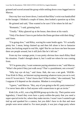grinned and waved around the group while settling down cross-legged next to Marcus.

Once my face was lower down, I noticed that Riley's wrist was handcuffed to the lounger. I blinked a couple of times, then looked a question up at him.

He grinned and said, "Don wanted to be sure I'd be where he left me."

"Romantic," I said, grinning back.

"Totally." Riley glanced up at the house, then down at his watch.

"Only if he doesn't have to pee before the Doms get done with their thing," said Anna.

"I'm going slow," said Riley, waving his water bottle again. "It's actually pretty hot. I mean, being chained up and then left alone is hot to fantasize about, but fucking stupid in real life, right? But he can leave me here because there are people around, but it still *feels* like he's left me."

From my low vantage point, it was pretty obvious how much Riley liked his situation. I hadn't thought about it, but I could see where he was coming from.

"If I'm gonna play, I want someone paying attention to me," said Marcus. "What's the point if they just walk away? That's a punishment, not a reward."

"Why kay eye oh kay," said Anna. Hah, she was a net geek. YKIOK– Your Kink Is Okay, an Internet saying meaning whatever turns you on is cool, even if I'm not into it. "I don't know that I'd like it either," she continued, "but I suppose it'd depend on the situation. Mindset is everything."

"I guess," said Marcus. "Hey, any of you going to the KL party tomorrow? I've never been able to find anyone with connections to get an invite."

Kink Life, or KL, was a big BDSM group up in the city. Their parties were legendary; I heard they even have a party-within-the-party that you need a super-special invite for, where they make movies. I wasn't sure I wanted to get tied up and spanked for a camera, but you didn't *have* to do that and most people were never asked to. For most people, it was just a huge party where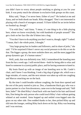you didn't have to worry about people smirking or glaring at you for your kink. It was pretty much the ultimate in exclusive kink groups on this coast.

Riley said, "Nope, I've never been. Either of you?" He looked at me and Anna, and we both shook our heads. Riley shrugged. "Don's not interested in playing with a bunch of strangers around. I'd have killed for an invite before we hooked up, though."

"I'm with Don," said Anna. "I mean, it's one thing to do a little playing here, where we know everybody, but with hundreds of people around?" She got a look on her face like she'd bitten into a bug.

"You don't have to do anything you don't want to, though, right?" I asked. "I mean, that's the whole point, I thought."

"Any large group has its leaders and followers, and its share of jerks," she said. "I'd be surprised if there's never any social pressure to do this or not do that. The bigger a group, the more assholes there are, and the more jagged the group dynamics get. It's human nature."

Well, yeah, that was definitely true. Still, I remembered the kneeling men from the bar a week ago. I still envied them—both for being able to relax and kneel to someone in a (sorta) public place, and for having someone to kneel to.

My brain flared up with an image of me kneeling next to Mr. Castle's chair, and I knew I was blushing. I took a big slug of ginger ale, which was a huge mistake, of course, and the next minute was taken up with me coughing and Marcus smacking me on the back.

By the time I could breathe without coughing, the front door opened and the rest of the party started to join us. Don, a handsome black guy who was a junior partner in a law firm downtown, came over to the lounge and said, "Still here, babe?" He tilted Riley's head back with one hand in his hair and kissed him, Don being the only person who could touch Riley's hair without getting whined at and swatted. Anna hopped up and settled cross-legged onto the grass on my other side. Don nodded thanks to her, then picked Riley up and slid onto the lounger, settling Riley back down on his lap. Riley was beaming and I was envious.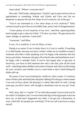Anna asked, "Where's everyone else?"

Don said, "Still inside, talking knots. Teacher's got to pack and run, has an appointment or something. Wendy and Charlie and Chris and Jim are desperate to squeeze the last few drops of evil creativity out of the guy."

"You're not interested in a few more drops of evil creativity?" Riley twisted around to give Don an incredibly fake, pouty look of disappointment.

"I have plenty of evil creativity of my own," said Don, squeezing Riley hard enough to get a yelp out of him. "I'll show you later. The guy knows his ropes, though, no question. Good stuff."

"Awesome," said Riley.

It was. Or it would be. It was for Riley, at least.

Dating is no easier if you're kinky than it is if you're vanilla. If anything it's a little harder, because you have a whole 'nother set of variables to match. Someone who likes a little spanking won't be happy with someone who has heavy pain kinks. Someone who gets off on harsh rules and humiliation won't be happy with a caretaker Dom. If you're into puppy play or age play or electricity, you have to find someone else who's into that, plus all the usual stuff—matching (other) hobbies and senses of humor and what you like doing for your vacation, and whether you're a neat freak or don't mind letting the dishes pile up.

Of course, if you're just looking for vanilla sex, that's easier. I've had my share of blow jobs and hand jobs and plain rubbing off with guys whose names I was sort of fuzzy about, but playing is a whole other deck of cards. Letting some guy you don't know well enough to absolutely trust tie you up? Yeah, no.

Well, okay, that's a "maybe" if I'm with other people I trust to look out for me while I'm helpless, but I've never been that big on having people watch me have sex, so that hasn't happened very often. I can get into a threesome, or even a bed-full, but people just *watching*? I'd be too self-conscious to enjoy myself.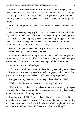Before I could depress myself into oblivion by contemplating my lack of a love- and/or sex-life, Brandon came over to me and said, "You brought chicken, right?" When I nodded, he said, "Let's go back and get that started on the gas grill, since it'll take longest. I'll fire up the charcoal for the burgers and sausages."

I said, "Sounds good," waved to the others and followed Brandon into the back.

I let Brandon set up the gas grill, since I'd only ever used charcoal, while I dug my bags of chicken out of the ice. They were sitting in a thick, garlicky marinade, so my hand got pretty yucked up while I was pulling pieces out, but there was a hose coiled up to one side where I could wash after, or I could go inside to the kitchen sink if I wanted to be fancy.

While I arranged chicken on the grill, I asked, "So what's with the classified meeting? Demos are usually open."

Brandon loaded up a chimney starter for the second charcoal grill and tossed me a grin over his shoulder. "It's about surprising your sub. Not quite as effective if the subs are right there listening to all the tricks, I guess."

"I thought it was about bondage?"

"That too. I don't know, I wasn't in there, but I guess it all goes together? Nick doesn't come very often—he's really busy—but when he teaches, everyone says it's great, so I asked if he'd come. We just got lucky."

I stopped with my hand in a chicken bag and stared at him. "Nick?"

"Nick Castle? He owns an electronics company downtown."

"Holy shit, he's my boss!" I turned and stared at the house, trying to peer in through the kitchen windows, like he was going to be standing there waving at me. "My boss is in there, right now?"

Brandon grinned. "No, I think I heard his bike a minute ago. He had somewhere to get to after the session." Brandon left his charcoal to do its thing and came over to pat me on the back, like he was afraid I might faint and need a catcher or something. "You didn't know your boss was kinky?"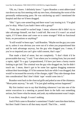"Oh, no, I knew. I definitely knew." I gave Brandon a semi-abbreviated run-down on my first meeting with my new boss, eliminating the worst of the personally embarrassing parts. He was snickering up until I mentioned the hospital and that we'd been drugged.

"Shit." I got a one-armed hug and there wasn't any teasing in it. "I'm glad you're okay. What if you hadn't been with a group?"

"Yeah, that would've sucked large. I mean, whoever did it didn't try to take advantage himself, not that I could tell. But even if it wasn't an actual rapist, if I'd been alone and come on to some stranger? With no functional brain, no precautions or anything?"

"It still would've been rape," said Brandon. "Maybe not the guy you came on to, unless it was obvious you were out of it when you propositioned him and he took advantage anyway, but the guy who drugged you. I mean, if you're so impaired you can't give valid consent, that's rape."

That made a kind of sense, but not completely. "I don't think it'd be prosecutable that way," I said. "I see where you're coming from, but you need a rapist, right? To a guy I propositioned, I'd have just been a horny tourist looking to get laid. The criminal was the guy who drugged me, but he didn't touch me. I mean, there's got to be some law against drugging someone without their knowledge; if I'd let someone fuck me while I was drugged, that would've increased the severity of the charges, right? They take damage done into consideration? But I don't think 'rape' would come into it."

Brandon went back to the charcoal grills and poked at one of the chimneys. "Moot point anyway," he said. "I'm just glad nothing serious happened."

My first instinct was to say that blushing whenever I ran into one of the senior executives in a meeting or passed them in the halls *was* something serious, but I knew what he meant, and yeah, my embarrassment wasn't major.

It was there, though. It wasn't nothing.

And if Nick came to Brandon's sometimes? I hadn't seen him there before, but then I hadn't been to all that many myself. That'd be… weird.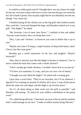It could be a really good weird if I thought there was any chance he might be into me, even just to play with once or twice, because the guy was seriously hot. He'd made it pretty clear on party night that he was definitely *not* into me, though. Very much not.

I finished laying all the chicken out on the big grill, then looked around. Aha, trash bin. I went and dumped the bags, and Brandon looked over at my grill. "Just thighs?" he asked.

"My favorites. Lots of meat, best flavor." I smirked at him and added, "Anyone wants breasts, they can bring their own."

"Hey, I just said 'chicken', so however you want to define that is up to you."

"Maybe next time I'll bring a couple buckets of deep-fried hearts, then? Chewy, but they taste great."

Brandon got a weird expression on his face and laughed. "Hearts? Seriously?"

"Hey, they're muscles, just like the thighs or breasts or whatever. You've never cooked the heart that comes with a whole chicken?"

"I don't usually get whole chickens. I wouldn't know how to cut one up."

"I'll show you sometime. It's easy, and you can save a lot of money."

"I thought you only liked the thighs?" he asked with a teasing grin.

I gave him a scowl back. "They're my favorites, but I'll eat whatever. I figured if I'm cooking six pounds of chicken all at once, I want all the pieces about the same size and shape, and the thigh *is* my favorite piece."

"So it's all about doing as little work over the grill as possible," said Brandon, still teasing. "So much for your selfless contribution to the group event."

"It's called being efficient," I shot back, my nose in the air and the snottiest look I could manage on my face. "I make excellent money being efficient."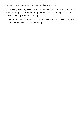"I'll bet you do, if you work for Nick. He seems to do pretty well. Plus he's a handsome guy, and he definitely knows what he's doing. You could do worse than hang around that all day."

I didn't have much to say to that, mainly because I didn't want to explain just how wrong he was and exactly why.

\*\*\*\*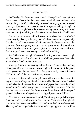### CHAPTER SIX

On Tuesday, Mr. Castle sent me to attend a Change Board meeting for the Ferret project. (I know, but the project names are all silly and irrelevant; it's a security thing.) He didn't tell me why he wanted me to go, just that he wanted me to go. That meant he wanted to see if I'd spot something. It might be another test, or it might be that he knew something was squirrely and trusted me to see it. Or just to bring him the data so he could see it. I wished I knew.

Two and a half weeks and I still wasn't sure where I stood at Castle. I mean, okay, I picked up at the party that he had zero interest in me personally. It kind of sucked, but that wasn't why I was there. Mr. Castle isn't the kind of man who lays everything out for you in great detail illustrated with PowerPoint slides; he expects you to pick up on stuff yourself, and if you don't then you're not smart enough to work in his building.

I wish I had a hint, though. If he was still testing me, then it meant I might still find myself pink-slipped at any time. My blood pressure and I wanted to know whether I had a stable job or not.

Anyway, I went to the meeting and sat down at the far end of the long, rectangular table, to one side so I wasn't right in line-of-sight of the person chairing—present, but not in their face. Everyone knew by then that I was the CEO's PA, and I didn't want to freak anyone out.

A woman in jeans and a white polo shirt with some kind of convention logo on it was bustling around the head of the table. She said hi when I walked in, and when I took my seat she slid a stack of papers down the table, a long, smooth slide that ended up right in front of me, still in a neat stack. If I'd tried that, half the papers would've flown across the tabletop and the carpet. I guessed she had a lot of experience in unclipped-paper-stack sliding.

The table was an older one with a slick, Formica top; that probably helped. It sat in a no-frills, windowless conference room. There was a dusty plant in one corner that I knew was real because it had some dead, brown leaves on it. The putty-colored carpet had a few stains, and a large ripple to one side, like a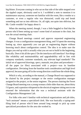big blister. Everyone coming in who sat on that side of the table stepped over the rippled carpet, obviously used to it. I scribbled a note to mention it to maintenance anyway; someone not familiar with the room, like a vendor or a customer, or even a regular who was distracted, could trip and break something and sue us into oblivion. Or, all right, not quite into oblivion, but Mr. Castle wouldn't be happy about it.

When the meeting started, though, I was a little boggled to find that the person who'd been setting up wasn't some kind of assistant to the chair, but was the actual meeting chair.

Change Board meetings control and approve requested engineering changes. It was a configuration management thing, and I'd spent the morning boning up, since apparently you can get an engineering degree without knowing much about configuration control. The idea is to make sure the dingus you end up with is actually what you set out to build in the beginning, basically. Does it hit all the specs? Do the interfaces still interface? Are things like reliability and maintainability and upgradeability still in line with company standards, customer standards, any relevant legal standards? The initial set of approved drawings, specs, manuals, test plans and procedures all the paper (or files) associated with a project—was its baseline configuration. Deviating from the baseline took consideration and high level approval, because going off in the wrong direction could hose the whole thing.

Which is why, according to the manual, a Change Board was supposed to be chaired by the project manager or the senior configuration manager assigned to the project, or the senior engineer. The person chairing the Ferret Change Board meeting was a young woman a little older than me, about thirty I'd guess, and a question whispered to the electrical engineer sitting next to me returned the information that she was a technical assistant with the Configuration Management Lab.

For folks who aren't familiar with technical organizations and job titles, "tech assistant" means a specialized clerk. She was basically a typing-andfiling kind of person who'd been around long enough to pick up some specialized procedures for the area she worked in.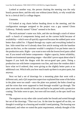Looked at another way, the person chairing the meeting was the only hourly person there, and the only one without (most likely, or why would she be in a clerical slot?) a college degree.

### Ummmm.

I'd looked at org charts before heading down to the meeting, and the configuration manager assigned to the project was a guy named Glenn Calloway. Nobody named "Glenn" seemed to be there.

The tech assistant's name was Julie, and she ran through a stack of minor stuff—a bunch of components being used on the current build because of availability—which were all quickly approved because the subbed parts were better than called for. I flipped through my copies and everything looked in line. Julie noted that we'd already done first article testing with the baseline parts on this box, so the customer wouldn't complain if we put better ones in the production units. Right—you want to test with the lowest level parts called out. If you tested with better components—higher capacity, better reliability, broader environmental operating ranges—that didn't prove squat about what'd happen if you built the dingus with the not-as-good spec parts. Doing a production run with better components was fine, and since the vendors didn't have what we'd ordered, they were giving us the slightly better parts at no additional cost. Which tells you how much mark-up there is on piece parts, but anyway.

Next we had a set of drawings for a mounting plate that went with a different unit, and a QA inspection supervisor explained that some of the holes in the plate were too small—once the plate was painted, the holes closed up and the wires that were supposed to feed through wouldn't go through. The plate went onto the outside of the unit and had to be painted with a protective coating. The holes were to spec, but were still too small, so the spec itself was wrong.

The engineer on my other side cursed under her breath and sorted through her set of the drawings. "That was Lou. At the time he signed off on this, we thought it would go in a housing and wouldn't need painting. The housing was eliminated, and when we noted the paint requirement, nobody thought of the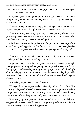holes. Usually the tolerances aren't that tight, but with wires…" She shrugged. "It'll cost, but we have to fix it."

Everyone agreed, although the program manager—who was also there, sitting halfway down the table and why wasn't *he* chairing the meeting? wasn't happy about it.

They ran through a few more things, then Julie got to the last packet of papers. "Request to mod the uplink on TA-021834-03," she said.

The electrical engineer on my right said, "It's a simple upgrade and we can get a forty percent noise reduction with minimal additional cost. I've talked to Stan about it and he says the customer will go for it."

Julie frowned down at the packet, then flipped to the cover page of the actual drawing and tapped it with her finger. "This box is used by eight other projects. You can't just make a change without getting them all to sign off on it."

The PM scowled at her. "That's not practical. Look, it's an improvement, it's cheap, and the customer's willing to pay for it."

"I get that, Len," said Julie, "but you can't up-rev a drawing that eight other programs are using without getting their approval. I recognize five of these project numbers—they're long-running projects that've had multiple add-ons and upgrades and enhancements over the years, and they'll probably have more. What if one or two or all five of them don't want this change for whatever reason?"

"It's a cheap improvement. They'll want it."

"Then you'll be able to get the other PMs to sign off on it," said Julie. "It's company policy—all affected projects have to sign off or you can't make a change. Your other option is to re-identify. Start over with a new drawing number used only by this program and you can do whatever you want."

"Re-identifying is expensive," Len retorted in a voice loaded with exaggerated patience. "We'd have to change every reference to this box number on every piece of paper it appears on."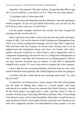"I get that," she repeated. "But that's policy. You get the other PMs to sign off, or you re-identify, or you leave it as it is. Those are your only options."

"I'm going to talk to Glenn about this."

"Glenn's buried in the Shoreline tank this afternoon," she said, referring to another program. "If you can't get ahold of him there, you can call Carl, but he'll tell you what I told you. So will Glenn."

Len the project manager muttered and scowled, but Julie wrapped the meeting and that was the end of it.

When I got back to the office, I dove back into the org charts and made a couple of calls. Carl was the director of the Configuration Management Lab. Glenn was a senior configuration manager, and was also Julie's supervisor. Julie had been with the company for eleven years, having come in as an eighteen-year-old receptionist whose new boss was friends with Julie's mother, who also worked for us. Julie'd done a stint as department clerk in Component Engineering, then moved over to Configuration Management as Carl's secretary. From there she'd moved over to working projects, which is *not* easy, because secretaries get no respect; it's like they're perpetually branded with a scarlet "S" even if they move to another job in the company.

I had to dig into the accounting database, and then look up a few years worth of bid data from proposals, but I finally figured out what was going on.

I sat down with Mr. Castle late the next morning, and he said, "So, what did you find?"

"I found that Carl Emerson has a secret weapon. The CM Lab has gotten into the habit of bidding their chunk of a critical project with some ridiculously low number of hours for someone like Glenn Calloway—the bid for the Ferret project was eight hours a week—and then when it's time to actually *work* the project, they plug Julie Kale in full time. They've been doing it for about six years, and it works beautifully. Julie makes a small fraction of what someone at Glenn's level makes, but she can do the work. She knows her stuff, she's organized, and she's not intimidated by senior people. I saw her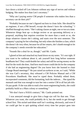face down a ticked off Len Johnson without any sign of nerves and without budging. She makes less than Len's secretary."

"Why am I paying senior CM people if someone who makes less than a secretary can do their job?"

"Probably because no one's figured out how to clone Julie. She should be an engineer, if not a PM herself, except she doesn't have the schooling." I shuffled through my notes. "She's taking classes at night, one or two at a time. Whenever things heat up—a design review or an upcoming delivery or a proposal, anything that requires overtime for more than a week or so, she drops whatever classes she's taking, and starts over the next semester. The company's paying for her schooling, but only when she finishes a class, which she doesn't do very often, because for all her smarts, she's dumb enough to let the company's needs override her education."

"Sounds like a deal for us, though," said Mr. Castle.

I glared at him and smacked my hand down on my notes. "It's not right. If you want to be cutthroat about it, ask yourself how long before someone headhunts her? They could double her salary and still be saving money on the deal for the work she does. And how much more could she do for the company if she had an engineering degree? Do you know how she learned to chair Change Board meetings?" He just raised an eyebrow at me, so I said, "While she was Carl's secretary, they released a CM Policies Manual and a CM Procedures Handbook. She must've typed them. Probably edited them, incorporated comments, did the formatting, built the indexes… She *typed the manuals* and that was enough to turn her into a senior CM in all but job title. Or pay grade. If she was able to read a few more engineering books, she could probably build us a Mars colony or something."

"We don't have a NASA contract," Mr. Castle pointed out.

I was annoyed enough to give him a huge eye roll for that one. "Fine. Whatever you want, she could probably do it, but she needs to get through school first. This nickel-and-dime stuff isn't working, obviously, and even if we could get her to quit quitting school every time her project goes into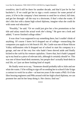overdrive, she'd still be there for another decade, and that'd just be for her bachelor's. If we could get her to sign a work contract for some period of years, it'd be in the company's best interests to send her to school, full time, and get her through—all the way to a doctorate, if that's what she wants. If she's this hot with a damn high school diploma, imagine what she could do with some real education."

"Possibly," he said. "Or we could just give her a few promotions so her title and salary match the actual work she's doing." He gave me a look and added, "I never finished college either."

It was clear I was supposed to say something there, but I couldn't think of anything. Of course I knew he'd dropped out of college—researching the companies you apply to is Job Search 101. Mr. Castle was one of those Silicon Valley millionaires who'd dropped out of school to start his company in a garage, and one of the very few who hadn't been shoved aside and finally kicked to the curb by his venture capitalists. I knew that, but it hadn't popped up in my head as a piece of relevant info, although it certainly should've. This was one of those head-desk moments, but people don't actually head-desk in real life, so I just sat there looking kind of stupid.

He finally went on to say, "Someone should probably talk to Julie and see what she wants. I'd be willing to sign off on sending her to school if she'd sign a contract to work for us after—at least ten years if she wants a PhD. Or if she likes bossing engineers and PMs around with her high school diploma, we can promote her and let her keep doing it. Her choice; find out."

\*\*\*\*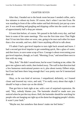#### CHAPTER SEVEN

After that, I headed out to the break room because I needed coffee, and a few minutes to reboot my brain. Of course, that's when I ran into Evan. He was standing in front of the coffee maker and had obviously just put up a new pot. It was rumbling and gurgling and dripping coffee into the carafe at a rate of approximately half a drop per minute.

I'd seen him before, of course. We passed in the halls every day, and had been in some of the same meetings. This was the first time since That Night that I'd run into him when we were, one, going to be near each other for more than a few seconds, and two, didn't have anything official to talk about.

I'll admit I had a gut-level impulse to turn right back around and leave. I had a second gut-level impulse to get something quick, like a glass of water, and *then* leave, to save some scrap of face. Courage is about overcoming your gut-level impulses, though, so I said, "Morning, Evan," and stood there next to him with my mug.

"Hey, Rob." He didn't sound tense, but he wasn't looking at me, either. He gave me a glance and a smile, then looked away. The wall in that direction had a few humorous motivational posters on it, plus about twenty Dilbert strips, but Evan had been there long enough that I was pretty sure he'd memorized them all.

Okay, so he was kind of nervous. I empathized, definitely, so I leaned closer and lowered my voice, and said, "I'm really sorry about that night. I should've kept a closer eye on the drinks."

That got him to look right at me, with a sort of surprised expression. He said, "Hey, nobody blames you. The bartender should've made sure you noticed when he put the tray down. Hell, the bartender should be watching for people who are hanging out right up at the damn bar drugging people's drinks. It wasn't your fault."

"Maybe not, but somehow that doesn't make me feel better."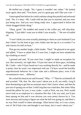He huffed out a laugh. "No, I guess it wouldn't me, either." He looked away again, then said, "You know, you're a great guy and I like you a lot—"

I interrupted him before he could continue along that painful and awkward road. "No, it's okay—Mr. Castle told me that you're married, and you were just being nice. And you *were* being really nice. I appreciated it before the whole drugged-drinks thing."

"Okay, good." He nodded and stared at the coffee pot, still drip-dripdripping. "I just didn't want you to think I was actually…" He sort of trailed off.

"I won't think you were actually planning to cheat on your husband if you don't think I'm the kind of guy who climbs into the lap of a co-worker I've only known for half an hour."

That got me another laugh, a little louder. "Deal." He glanced at me again and added, "I have to admit that if I were free, I might not have minded the lap-climbing so much."

I grinned and said, "If you were free, I might've made an exception for you. But seriously, not right then. I'd just met most of those guys, including Mr. Castle—who I'd just found out I was working directly for—and he made it pretty clear he wasn't too impressed with me. I'd have saved the horribly unprofessional behavior for a later time and a different place, even if the circumstances were… different."

He cocked his head at me and frowned. "Why—?" Then he cut himself off and scowled. "Oh, that. No, that wasn't about you at all, not really. Greg'd been threatening to get him an assistant since I don't know when, and then he just sort of sprang you on him. I told Greg that was a bad idea. But when Allan tossed the pillow for you, it was a joke—a jab at Nick, not you. Nick would never look at an employee in a situation like that. Like you said, you'd just been sprung on him and it was obvious you were pretty thrown by it. You were nervous and trying to figure out what the hell was going on, and there's no way Nick would've taken advantage. Allan knows that, so it was a tease, sort of. He'd had a few and thought it was funny, but it wasn't about you."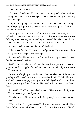"Oh. Umm, okay. Thanks."

That was a bomb set off in my head. The thing with Julie faded into nothing—I felt like a spreadsheet trying to recalculate everything after one key number changed.

"So, how's it going?" asked Evan after a pause. We were both staring at the coffee going drip-drip-drip, but the atmosphere wasn't quite as thick as it'd been a minute earlier.

"Fine, great. Kind of a mix of routine stuff and interesting stuff." It suddenly clicked that Evan was CFO, and Carl Emerson's semi-scam was definitely a money thing. Not something Evan *needed* to take notice of, but I bet he'd enjoy hearing about it. "Umm, do you know Julie Kale?"

Evan frowned for a second, then shook his head.

"She works for Carl Emerson in Configuration. Tech assistant. She's chairing Ferret's Change Board meetings."

Evan turned and looked at me with his mouth just a tiny bit open. I counted four before he said, "What?"

I said, "No, seriously," and told him the story. It was pretty good, once you got over the sheer boggle of it, and we were both chuckling by the time the coffee was done.

So we were laughing and smiling at each other when one of the security guards poked her head into the break room and said, "Mr. O'Neill? There you are," and a dark-haired guy wearing a visitor's badge clipped to his slick suit pushed past the guard into the room. He stared at Evan, then at me, then at Evan.

Evan said, "Nate?" and looked at his watch. "Hey, you're early. I just got coffee, but we can go now if you want."

The visitor said, "No reason to rush. Funny story?" and he was staring at me again.

"Yes, kind of." Evan got a stressed look around his eyes and mouth. "Nate, this is Rob Arvazian, Nick's new assistant. Rob, this is my husband, Nate."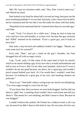Ahh. Oh. I put on a business smile, said, "Hey, Nate. Good to meet you," and offered my hand.

Nate looked at my hand for about half a second too long, then gave me the most insulting handshake I've ever had. Seriously, I don't know how he did it, but he communicated the fact that I was shit under his shoes with that shake.

"Hopefully Evan mentioned that he's married more than two seconds ago," said Nate.

I said, "Yeah, I've known for a while now," doing my best to keep my voice and face even and friendly, or at least civil, because this guy seriously had "JERK" tattooed on his forehead. "Evan's a great guy, you're lucky to have him."

Nate took a step forward and suddenly looked a lot bigger. "Maybe you want some luck for yourself?"

Evan said, "Nate," and put a hand on the guy's shoulder, but Nate shrugged him off with an angry twitch.

Crap. "Look, yeah, I'd like some of the same kind of luck for myself, which to me means finding a guy of my own who's as built and handsome and half as nice as Evan is. But I'm not after your husband. And even if I were it wouldn't do me any good because, see above, he's a great guy and wouldn't prowl around behind your back. Or if he would then I wouldn't want him, because I'm looking for a great guy of my own, and sneaking cheaters are jerkwads."

"Easy to say." Nate hadn't taken a swing at me yet, but he was still glaring. "You were eager enough to crawl into his lap."

"If you know that, then you know we were both drugged. And he told you about it, right? See, a sneaking cheat wouldn't have come home and told you about it. That means he's not sneaking, and didn't mean to cheat. Because he was drugged."

I couldn't believe this asshole. He'd better be a wildcat in bed, is all I can say, because Evan didn't deserve this kind of crap. He was tense, his face was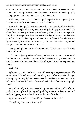all wincing, with gritted teeth, like he didn't know whether he should crawl under a table or drag his husband out by one leg. I'd vote for the dragging by one leg option—and down the stairs, not the elevator.

If Nate kept this up, I'd be half tempted to go for Evan anyway, just to detach him from this toxic fucker he was shackled to.

Before that thought had a chance to sneak out my mouth, Mr. Castle filled the doorway. He glared at everyone impartially, looking grim, and said, "The whole floor can hear you. Nate, you're leaving. Evan, if you want to go with him, that's fine—you can have the rest of the day off so you can deal with your shit. If you'd rather stay at work and let your shit cool down before you try to shovel it, that's fine too. Either way, I expect that neither of you will bring this crap into the office again, ever."

Nate glared right back at Mr. Castle and said, "This is personal—" but Mr. Castle cut him off.

"That's exactly why it doesn't belong in the office. Out, now." He stepped into the room and stood to one side of the doorway, staring at Nate until he left. Evan went with him, and I heard him whisper, "Sorry," as he passed Mr. Castle.

Well, shit.

I glanced up at Mr. Castle, who was still wearing an expression right off a stone statue. I turned away and topped up my coffee mug, added sugar. Stirring very thoroughly kept me occupied for another twelve seconds or so, before Mr. Castle said, "Let's order some lunch. I don't feel like leaving right now."

I turned around just in time to see him give a wry smile and add, "If I turn my back on this place, lightning will probably strike, or at least someone'll send a stripper-gram and that'll be it for the rest of the day."

I grinned back and said, "Possibly for the rest of the week."

"Most likely. How about Mexican?"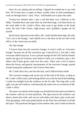Since he was asking and not telling, I figured he wanted me to eat with him. We'd done that a couple of times, usually when we had something to work on through lunch. I said, "Sure," and headed out to place the order.

Twenty-two minutes later, I got a call that there was a delivery in the lobby. I headed down and came back up with three bags. I set them down on the work table in Mr. Castle's office, then went to get drinks at the break room. He took Coke Classic, high-octane, and I grabbed a ginger ale for myself.

By the time I got back to the office, Mr. Castle had the three bags. He said, "Let's eat in the lounge," and walked over to the door on the far side of the office, in the corner near my desk.

Oh, *that* lounge.

I'd never been into the executive lounge. It wasn't really an "executive lounge" because not all the executives got a keycard for it, but that's what everyone called it anyway. It was a private lounge for the CEO and his friends, mostly the guys he'd known since before Castle was a business, plus a few others who'd been given cards over the years. There were a lot of rumors about the luxury and general awesomeness of the executive lounge, passed around among the employees who'd never been there.

Mr. Castle slid a key card into the lock, and I followed him inside.

The executive lounge took up the rest of this end of the floor, as deep as Mr. Castle's office suite, and running all the way to the far end of the building; I could see sunlight from the windows on the far side. The long side, to the right, was also all windows, with basically the same view as we had out of Mr. Castle's office.

The inner two-thirds of the lounge was divided from the outer one-third on the window walls by six-foot partitions. The open area by the windows was about a dozen feet wide, and was set with tables and chairs, plus couch-andchair groupings, with some potted plants on the floor here and there to divide the space. The partitions had gaps on the window side, and I could see that the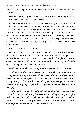inner part of the long room was divided into half a dozen smaller sections, like cubicles.

I was wondering why anyone would come to an executive lounge to sit in a cubicle when I saw who was there ahead of us.

A handsome woman in a dark green suit was sitting on one end of a sofa. A man whose face I couldn't see, but who was wearing khakis and a polo, and silver and white sports shoes, was curled up on the sofa with his head in her lap. She was looking out the window, just relaxing, and running her brown hand through his blond curls, slow and gentle. Mr. Castle and I passed them, heading for one of the tables with our lunch, and I saw the guy huff out a sigh and visibly relax. The woman said, "There, good boy," and bent down to press a kiss into his hair.

Ahh. *That* kind of private lounge.

I maintained, because I'm not a dork, and followed Mr. Castle to one of the round tables that sat right in a patch of sun. While digging in the paper sacks, Mr. Castle said in a low voice, "This isn't work. This place is like an embassy—when you're here, you're not at work. This isn't part of Castle Silica. Coming in here is like going off-site."

I said, "Understood," in a voice just as low, and set down our drinks.

"Nothing X-rated out here," he went on. "That's what the cubes are for, or just if you want some privacy. Half of them have beds, two have benches, and the one on the far end is just matted. We keep the noise down; there's some soundproofing on the walls, but that only goes so far, and you never know when someone's going to open a door. If you're a screamer, deal with it, or use a gag."

"Understood," I repeated. I really had no idea what else to say. We sorted out the food and started eating, but even while working my way through a really great burrito, I couldn't help but remember what Evan had said earlier, that Mr. Castle wasn't actually repulsed by me, that he just didn't want to take advantage while I was new and obviously confused.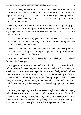I was still new, but wasn't at all confused, so when he shifted one of his own burritos and knocked a packet of hot sauce onto the floor, some wild impulse had me say, "I'll get it, Sir." And instead of just bending over and picking it up, I slid out of my chair and knelt on the floor to get it, then offered it up to him in one hand.

I kept my expression neutral the whole time. I still had enough of a grip on sanity to know that not being repulsed by me wasn't the same as wanting anything to do with me outside of business. But there I was, and I guess I was going to find out.

Mr. Castle took the packet, gave me a smile that was a bare half-second quirk of his lips, and said, "Good boy." He brushed his hand through my hair once, then turned back to his lunch.

I stayed on the floor for a couple seconds, but the moment was past, or at least I didn't see anything else coming of it right then, so I got back into my chair and took another bite of burrito.

A minute later he said, "Next time we'll get fish and chips. You can kneel for me and I'll feed you."

I stopped in mid-bite and then had to swallow hard. I'd never done that before, never really seen the point except sort of intellectually. I mean, yes, kneeling next to someone and depending on them to feed you by hand was obviously an expression of submission, sort of like crouching in front of someone's chair and letting them put their feet up on your back. I'd never thought it was sexy before, but right then my dick was hard and aching, and my balls were sending little messages to my brain begging to get him to feed me.

After explaining to my balls that we were eating burritos today, and trying to hand-feed someone a burrito would only cause hot food to fall into that someone's lap, possibly causing burns, my balls got the message and calmed down. A little. They were still whining, though, and my dick was standing up with them in support. I was glad I was still sitting down just then.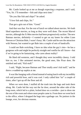Mr. Castle looked up at me as though expecting a response, and I said, "Yes, Sir. I'll remember—fish and chips next time."

"Do you like fish and chips?" he asked.

"I *love* fish and chips, Sir."

That got a grin out of him. "Good."

And that was that. For the rest of lunch we talked about movies. We both liked superhero movies, as long as they were well done. The recent Marvel movies, although the X-Men movies had been progressively suckier. The new Batman movies, definitely—I wanted to get on my knees for either Liam Neeson or Christian Bale, I wasn't fussy. Mr. Castle said he saw the attraction with Neeson, but wanted to get Bale into a couple of sets of handcuffs.

I could see Bale switching. I have no idea what the guy's into—he has a gorgeous wife and might be perfectly straight and vanilla for all I know—but if we're going to be fantasizing, who cares about reality?

He liked old westerns, and I thought they were incredibly cheesy. I told him so, too. I like animated movies, the good ones, like Pixar does. He smirked and said, "Kid stuff."

I said, "Right, because Batman and Thor totally aren't kid stuff," and he threw a wadded-up napkin at me.

It was like hanging with a friend instead of eating lunch with my incredibly rich and powerful boss, and it was cool. I only called him "sir" a couple of times, after I got up off the floor and all.

When we were done, I stuffed all the trash into the bags and took them along. Mr. Castle led the way out the far door, around the other side of the long room, which led to a plain, locked door on a corridor—just to show me the rest of the room and where most people came in. From there we went back to the office, where I dropped the bags into a garbage can. No janitors in the lounge, ever, for obvious reasons.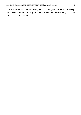And then we went back to work, and everything was normal again. Except in my head, where I kept imagining what it'd be like to stay on my knees for him and have him feed me.

\*\*\*\*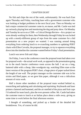#### CHAPTER EIGHT

No fish and chips the rest of the week, unfortunately. He was back East again Thursday and Friday, touching base with a government customer who was looking at budget problems in the next fiscal year. Then on Monday we had a major commercial customer come in, en masse, and Mr. Castle was tied up variously playing host and monitoring the dog and pony show. On Monday and Tuesday he sat in on a CDR—a Critical Design Review—for a project we were already working for them, then Wednesday through Friday he was locked up with a mostly-different group of reps from the same customer for a bid presentation on a new project we wanted. I was running around doing everything from ordering lunch to re-crunching numbers to updating PERT charts with Ellen Corvalis, the proposal manager, to try to squeeze everything down into the timeline the customer wanted before Friday's final presentation.

Lunch was never fish and chips.

On Friday, I was in the conference room the proposal team had taken over for proposal work—the actual *work* work, as opposed to the presentation going on in the much fancier conference room across the hall. I sat on a long, battered table with a cheap, fake woodgrain top, watching Ellen stare at the latest version of the program PERT chart, a huge piece of paper tacked down the length of one wall. The project manager on the customer side was in his sixties and liked paper, so we gave him paper, although it was a ridiculous amount of extra work.

Half a dozen other members of the proposal team worked behind us, researching and updating and calculating and reprinting. Keyboards and laser printers clattered and hummed, and the air smelled of the pizza and fruit cups I'd ordered for team lunch, plus the ever-present coffee. Mr. Castle had taken the customer team to lunch at an Italian place about a mile away, giving us some time to work before the final afternoon session.

I thought of something, and picked up a binder of the detailed bid breakdowns. Yes, of course he did.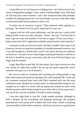I clued Ellen in to Carl Emerson's bidding trick—he'd bid ten hours of a senior configuration manager's time, which would probably cover Julie Kale for full time plus some overtime—and I also mentioned that Julie probably wouldn't be making peanuts for very much longer, one way or the other. Ellen scowled and pulled out her phone to send a text.

"Creative use of resources is great," Ellen muttered while tapping in a message, "but stretch it too far and it snaps back on your ass."

I agreed with her with some enthusiasm, and she sent me a smirk while hitting SEND on her text with a flourish. "There," she said. "Carl has half an hour to get me some real numbers. If he tries to argue, I'll toss you at him helps to have the CEO's right hand available to load into the rocket launcher."

I returned a weak scowl for her smirk. Not that I wouldn't like to give Carl Emerson a lecture on long-term retention of valuable personnel resources, but I was still enough of a newbie that I wasn't sure about chewing out someone on that level. I crossed a set of virtual fingers and hoped Emerson would be on the ball. It should be an easy conversion, after all, even if the final figure was larger than he wanted.

Larger than Ellen would like, for that matter, but a later overrun for what was clearly an under-bid wouldn't do our rep any good, especially with a customer who gave us a lot of business.

We went on with our tweaking and crunching and calling people to nag them about inputs and revisions and approvals, and eventually Mr. Castle and the customers returned from lunch and Ellen vanished back into the main conference room. Donald, her second, wasn't as enthused about using me, so I camped out at a table in a corner with my laptop and worked on some of the Pinelli research, which'd been tossed at me to deal with in all my spare time. I was out of the way but available if Donald wanted anything.

I was also right there in case Mr. Castle needed anything, although he didn't. Despite all the scrambling and updating backstage, the proposal presentations were pretty well scripted and, from what I heard, everything went smoothly in front of the customers, which put everyone in a good mood.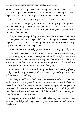Tired—some of the people who were working in the proposal room had been putting in eighty-hour weeks for the last month—but having it all come together and the presentations go well kind of makes it worthwhile.

Or if it doesn't, you're probably in the wrong job, you know?

The afternoon went pretty much like the morning. I got through some research I was doing on one of our competitors, and by four I decided to head upstairs to the break room on our floor to get coffee, just to get out of that room for a few minutes.

The pot was empty—probably because most of the execs were down at the proposal presentation, showing our dedication to doing their project on the allimportant last day—so I was standing there watching the fresh coffee dripdrip-drip into the pot when Greg came in.

"Hey!" he said with a sneaky grin on his face. "You playing hooky too?"

"Not really," I replied. "Donald thinks I'm useless so I'm just sort of taking up space in the proposal room, working on Pinelli stuff." Greg had been on the Pinelli team for over a month—it was a major new business push and it'd had everyone on our floor working overtime for longer than I'd been with the company—so he knew exactly what I was talking about.

I continued with, "So you're the only one here who's actually playing hooky. What'll you give me not to tell Mr. Castle?" I grinned right back at him so he'd know I was kidding.

Greg laughed and held up both hands like he was surrendering. "I've been smiling at their chief engineer for so long my face is about to crack off—I had to sneak out for a few. Besides, we're at the summing-up, all the questions have been asked and answered. Ellen's the focus right now, Nick'll probably say a few words at the end, and then it'll all be handshakes and heading out. Nobody's going to miss me now."

I was pretty sure Mr. Castle had noticed him leaving, but I was also pretty sure that if he'd objected, Greg would've gotten a stern text before he even hit the elevator.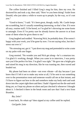The coffee finished and I filled Greg's mug for him, then my own. He doctored his and took a sip, then said, "How've you been doing? Aside from Donald, who just takes a while to warm up to people, by the way, so it's not you."

"Good to know," I said. "It's been great, though, really. Mr. Castle keeps me scrambling, but it's usually something interesting, so that's fine. If it were all easy, routine stuff, I'd be bored, so I'm glad he's throwing me some knots to untangle. Even if I'm pretty sure he already knows the answer to at least some of them when he gives them to me."

Greg laughed and nodded. "Knowing Nick, he probably does. If he weren't happy with your work, you'd be gone by now. I'm not saying relax, but don't stress out over it."

"No stressing out, got it." I put down my mug and pretended to write a note on my palm with one finger.

Greg snorted. "No wonder you and Nick get along—he's a smartass too. I'm glad it's working, though. When you came in to interview, I was pretty sure you'd be perfect for him. I'm glad I was right." He gave me a bright grin and raised his mug in my direction, like he was toasting me, then waved and headed out.

My phone had been on silent—not even vibrate—all day because I just knew that if I left it set to make any noise at all, I'd be sent to run something over to the presentation room and someone would call me at that instant, and I'd have to figure out how to die and somehow make my body melt and soak down into the carpet right there and then. I hadn't figured out the die-and-melt thing yet, so I kept my phone on silent and just checked it whenever I thought about it. I checked it there in the break room and saw that I had a text from Brandon.

# *Bsy 2nite?*

I sent back, *No whats up?* then sipped at my coffee until he replied.

*Get2gethr 2nite*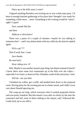*Place up in the hills want 2 come?*

I figured anything Brandon was inviting me to was a kink-type party. I'd been to enough daytime gatherings at his place that I thought I was ready for something a little more… more. Something in the evening would be "more", right? I typed:

*Sure, sounds like fun*

and then:

*Address or directions?*

There was a pause of a couple of minutes—maybe he was talking to someone else? —and I was almost done with my coffee by the time he replied again.

*Pick u up? 7?*

That'd work fine. I sent:

*Sure thanks*

He sent back:

*Wear sthing nice :D*

Huh. Maybe it was another munch-type thing, but dinner instead of lunch? I knew there were some nice restaurants up in the hills over the valley especially Los Gatos, or down in New Almaden, south of the university. I sent:

*Will do—see you then*

I finished my coffee, got a refill, and headed back down to the proposal room. Having plans for the evening put me in a better mood, and I didn't even care about Donald ignoring me.

The wrap-up ran long, which everyone who'd worked proposals before said was pretty standard. But that meant it was after six-thirty by the time the customers had left, most of them rushing to the airport, and I followed Mr. Castle back up to our office.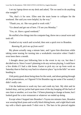I set my laptop down on my desk and asked, "Do we need to do anything else tonight?"

"No, that's it for now. Ellen sent the team home to collapse for the weekend. She said you were helpful, by the way."

"Thank you, sir. She was good to work with."

"Go ahead and get out of here. I'll see you Monday."

"Yes, sir. Have a good weekend."

He stuffed a few things into his computer bag, threw me a casual wave and took off.

I looked at my watch and scowled, then sent a quick text to Brandon.

*Running l8, pick me up from work?*

My phone actually rang a minute later, and I gave him directions while taking some teasing for turning into a workaholic executive when I hadn't even been there a month.

I thought about just following him to the event in my car, but then I decided not to. Since I wasn't planning to do any serious playing, I could have a few drinks if I had a ride home. Easier to pick my car up from work on Saturday than to find my way back to whatever place "up in the hills" we were heading to.

I felt pretty good about being done for the week, and about getting through all the presentations, so I figured I'd let Brandon rag me some if he wanted, I didn't really care.

I hit the bathroom to wash my face and comb my hair. My shirt and tie looked okay, and my jacket had spent most of the day hanging off the back of one chair or another, so it was fine. I'd been planning to change at home, but I looked good for a nice restaurant or whatever we ended up doing.

Except when I hopped into Brandon's Toyota ten minutes later, Brandon was wearing black jeans and scruffy black hiking boots, and a tight black tank top with a black open-mesh T-shirt over it. The bars in his pierced nipples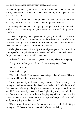showed through both layers. Black leather bands were buckled around both wrists, about two inches wide. One had a watch on it, but the general effect was still wrist cuffs.

I folded myself into the car and pulled the door shut, then grinned at him and said, "Surprised you don't have a collar to go with the cuffs."

Brandon pulled out into traffic, giving me a quick smirk back. "Only club kiddies wear collars they bought themselves. You're looking very… mundane."

"Yeah, I'm getting the impression I'm going to stand out." I wasn't overjoyed, but there wasn't anything I could do about it so I decided not to stress out over my outfit. "You said wear something nice—you didn't define 'nice' for me, so I figured nice-restaurant type nice."

He laughed and said, "Sorry, I just figured you'd get it. Next time I'll be more specific." He pulled onto the freeway and added, "Seriously, sorry. I forgot how new you are. I shouldn't assume."

"I'll take that as a compliment, I guess. So, umm, where are we going?"

That got me another grin. "Oh, you'll see. This is going to be fun."

"For you or for me?"

"Heh. Both, I hope."

"No, really," I said. "I don't get off on making an idiot of myself." I hadn't been worried before, but I was starting to.

"Okay, you're right. I was mostly teasing. It's a meet-up in a campground—lots of outdoors, but there's a rec hall too, indoor bathrooms, all the amenities. We've got the place all weekend, with gate guards so we shouldn't be bothered by outsiders. I wasn't planning to stay the night, but if you find someone you want to share a sleeping bag with, and can get a ride home, just let me know. I won't leave without you unless you tell me, though, so if you're going to vanish, text me."

"Umm, okay." I paused, then figured what the hell, and asked, "Why a campground?" Because that sounded kind of weird, and chilly.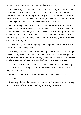"Just because," said Brandon. "I mean, we're usually inside somewhere, you know? In someone's house, or at a bar or a club, or a commercial playspace like the KL building. Which is great, but sometimes the walls and the closed doors and the covered windows get kind of oppressive. It's nice to be able to go on your knees for someone outside, you know?"

I hadn't thought about it like that, probably because I was still sort of shy about this stuff around outsiders and felt safe with a group of kinky people and some solid walls around us, but I could see what he was saying. I'd probably agree with him in a few years. So I said, "Yeah, that makes sense." I watched the traffic go by for a minute, then asked, "Is that why you built the wall around your front yard?"

"Yeah, exactly. It's like ninety-eight percent private, but with fresh air and breezes, and sun and sky overhead."

"It's nice," I agreed. "Great place to hang. It's cool that you're willing to play host every week." I looked out the window on my side while saying that because it felt like a kind of dorky thing to say, but I really did want to make sure he knew that *we* knew he busted his butt to have everyone over.

"Thanks," he said. "I like having an active community, and we have a great group. If no one's willing to step up, the wheels would fall off and it'd be tough to get together."

I nodded. "There's always the Internet, but I like meeting in realspace."

"Me too."

Brandon pulled off the freeway, and sure enough we were driving through Los Gatos, even if we weren't heading for a fancy restaurant.

\*\*\*\*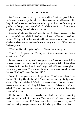#### CHAPTER NINE

We drove up a narrow, windy road for a while, then into a park. I didn't catch the name on the sign. Brandon said there were four rentable areas within the park, and a few minutes later we pulled up to a low, metal-barred gate guarded by four guys who looked a lot like bikers, and in fact there were a couple of motorcycles parked off to one side.

Brandon rolled down his window and one of the biker guys—all leather and studs and chains and shit-kicker boots, with a worked leather collar closed by a scruffed up padlock that proclaimed him to be someone's sub to anyone who knew what that meant—leaned down with a grin and said, "Hey. Here for the biker party?"

"Yep," said Brandon, grinning back. "Bikers, that's totally us."

"Cool," said the gate guard. "Twenty each, for the site rental, plus there's some food and drinks."

I dug a twenty out of my wallet and passed it to Brandon, who added his own and handed it out to the guard. He gave us a pair of wristbands in trade leathery-plastic cord bands with metal clasps, with different colored plastic beads strung on the cord. The fattest of the plastic beads was a smooth cylinder that said "Rolling Thunder October 2013."

One of the other guards opened the gate for us. Brandon waved and drove through. "Rolling Thunder is a club," he explained, waving his right wrist where he'd put his wristband. "It's all bikers—mostly guys, but some women, too—who are also into kink. They do biker events as just bikers, and kink stuff as both. The two communities have almost identical uniforms, so that works pretty well for them."

I had to laugh, but he was right—the whole leather and biker boots thing totally worked in the kink community. The guy who'd taken our money was pretty hot, even if we wouldn't have been able to play together very well. I imagined having an argument over who tied who up, and had to snicker.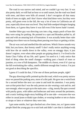The road in was narrow and rutted, and we couldn't go very fast. It was also pretty dark; we still had an hour or so until sunset, but the road was lined with trees, and there were hills all around. I don't recognize all that many kinds of trees on sight, and I don't know what kind these were, but they were pretty, still green even in the fall, the way a lot of trees in California are all year, especially down near sea level. They had little seedpod-thingies hanging from them, so I guess they knew it was fall even if the leaves hadn't turned.

Another biker guy was directing cars into a big, empty patch of bare dirt they were using for parking. He pointed to a spot and Brandon pulled in, all neat and with an amazing lack of frustration. It was actually better than valet parking since there was no fussing about passing over keys or getting a ticket.

The air was cool and smelled like dirt and trees. Which I know sounds very blah, but you know, that foresty smell? I don't really notice anything wrong with how the air smells down in the valley, even on smoggy days; it just doesn't register, even when other people are griping about it. I've lived in the Santa Clara Valley all my life, and I guess I'm used to it. I only notice that kind of thing when the smell changes—walking past a bunch of roses or jasmine, or a row of full dumpsters. The middle of a forest, even if it's just up the hill overlooking the valley, smells different enough that I notice; I'm just not good at describing the specifics.

I guess if I could do that, I'd be one of those perfume people, right?

The guy directing traffic pointed up the dirt road, which was pretty narrow once we passed the parking area, more of a dirt path. He gave me a weird look for a second before the next car came in and took his attention. I was pretty sure at that point that I was the only person on site wearing a suit and tie, and sure enough, when we got up to the main area—a big, mostly flat spot covered with patchy grass, with tables and barbecues and tents around the perimeter, and a rustic looking single-story building off to one side—everyone else was either in casual jeans or khaki type clothes, or wearing leather or net or chains or straps or latex or whatever they were into.

I got some smirks, but I got checked out a few times, too, so I guess some people liked the young-guy-in-a-suit look and didn't care that it clashed with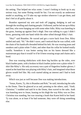the setting. That helped me relax some. I wasn't looking to hook up in any serious way, but some flirting would be fun. I'm not exactly an underwear model or anything, so I'll take my ego strokes wherever I can get them, and don't feel at all guilty about it.

Brandon squeezed my arm and took off jogging, dodging in and out through the strolling and chatting people. I followed, and he led me up to Riley and Don, who were hanging out with some other folks. Riley was kneeling in the grass, leaning up against Don's thigh. Don was talking to a guy I didn't know, gesturing with one hand while the other sifted through Riley's hair.

"Hey!" said Brandon. He waved and got a wave back from Don. Riley smiled and said, "Hi." He didn't wave, and I noticed that he was cuffed, with the chain of his handcuffs threaded behind his belt. He was wearing jeans and sneakers and a plain white T-shirt, and other than his collar he looked totally vanilla. Somehow it was hotter seeing him on his knees dressed like a mainstream guy than it would've if he'd been wearing straps and chains and a hood.

Don was wearing shitkickers with three big buckles up the sides, over black leather pants, with a broken-in black leather jacket over a plain white Tshirt like Riley's. His only accessory was a pair of fingerless leather gloves; I stared at the hand that was playing with Riley's hair, and imagined what those gloves would feel like. My cock started taking an interest and I had to look away.

Which was just as well because Don was making introductions.

"Jonas, Karen, Ty, this is Brandon and Rob," he said, introducing the subs to the Doms. Then he glanced at us and, pointing to the others, said, "Andi, Christina." I nodded and said hi to the Doms, then waved to the subs. Andi was kneeling next to Jonas, leaning on his thigh the way Riley was on Don. Christina was standing, but was wearing a leash that Karen held in her hand. Ty was alone, or at least if he had someone, they were off doing something else.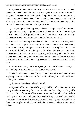Everyone said hello back and forth, and Karen asked Brandon if he were the Brandon who hosted the West San Jose gatherings. Brandon admitted he was, and there was some back-and-forthing about that. He issued an open invite to anyone who wanted to show up, and handed out some cards with his address, phone number and e-mail on them. I had one that lived in my wallet; I'd had it since a few months before graduation.

Ty was giving me a looking-over, and when I caught his eye his expression just got more predatory. I figured that meant that either he didn't have a sub, or he was a jerk and I'd figure that out soon. I gave him a grin and a mostlydiscreet once-over, then turned my attention back to the others.

He wasn't bad looking. He looked like he was in his mid-thirties, which was fine because, as you've probably figured out by now with all my stressing out over Mr. Castle, I like guys who are older than I am. Ty had a blond buzz and was solidly built, without being cut. He looked like he cared more about being strong than flexing in front of a mirror, and I'm okay with that. He wore leather pants like Don's, dark brown, with a dark green wifebeater that drew my attention to the fact that he had green eyes. That was unusual and kind of cool.

Brandon was saying, "Rob and I just got here, and I haven't eaten yet. I was thinking of finding the food. Rob, how about you?"

"Yeah, I could do with some dinner," I said. I looked around but didn't see anything obvious in the way of food stalls, although I could smell meat cooking somewhere.

Ty looked at the others and said, "Food?"

Everyone nodded and the whole group rambled off in the direction the meaty smells were coming from. We joined a line that led up to a long table laid out in front of a series of barbecues. A woman dressed in biker leathers used a pair of pliers to crack one of the beads off my wristband, then handed me a plate. Okay, easier than keeping track of tickets, I guess. Especially since there were people around who seriously didn't have anywhere to *put* a set of tickets.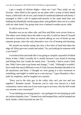I got a couple of chicken thighs—what can I say? They really are my favorite—then filled in the spaces on my plate with a scoop of thick baked beans, a little half-cob of corn, and a hunk of cornbread slathered with honey. I managed to hold a roll of napkin-and-utensils in the same hand that was holding the (thankfully sturdy) paper plate, and grabbed a beer out of a cooler with my other hand. Our group took over a battered wooden picnic table.

Ty slid in next to me.

Brandon was on my other side, and Don and Riley were across from us. The others were farther down the table to my left; I could see them if I leaned forward or backward, but when we started talking we sort of broke up into separate groups, since the only alternative was a lot of leaning and shouting.

We started out mostly eating, but once a few bites of food had taken the edge off, Riley gave me a smirk and asked, "So, you looking for someone with a suit fetish?"

I scowled at him and made like I was going to catapult a spoonful of baked beans at him. I didn't actually do it, mostly because I was afraid of missing and hitting Don, but I made the intent clear. "Actually, I had to work a little late. Didn't have time to go home and change," I said. "Although it wouldn't have made that much difference even if I had, because Brandon decided to be all mysterious and hinty—I thought we were going to a nice restaurant or something, and might've ended up in a suit anyway." I gave Brandon's ribs a poke for emphasis, and he laughed out a protest.

"Sorry you're the only guy in the valley who can't put two and two together," Brandon teased. "Someone you've only ever known in a kink community context asks you if you want to go to an event, why the hell would you assume a nice restaurant?"

"I was thinking an evening munch—my apologies for not keeping up with my online telepathy class." I leaned over and bumped him, and he bumped me back, harder, which knocked me into Ty.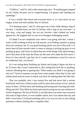"*Children*," said Ty, with a fake-menacing voice. "If anything gets slopped on my clothes because you're rough-housing, I'm gonna start handing out spankings."

It was a totally fake threat and everyone knew it, so I just stuck out my tongue at him and took another bite of chicken.

"I'm keeping count," said Ty, then gave me a look while taking a slug of his beer. I washed down my bite of chicken with a slug of my own beer—it was okay, crisp and hoppy, but not my favorite—then clinked my bottle against his. He laughed and we sort of exchanged challenging smirks.

I'll admit I'm not completely sure where I was going with that. I mean, I wasn't really looking to hook up with anyone, as in finding a partner or going down for someone, but Ty was good looking and he was fun to flirt with. I've never been all that smooth when it comes to dating or picking up guys or *not* picking up guys, and I have to admit that one of the things I like about being a sub is that most of the time the Doms are the ones who make the first move. I know it's lazy and all, I get that, but it's easier sometimes to just let it run on its traditional rails, you know?

So I was sitting there finishing my dinner and trying to figure out how to let Ty know that I wasn't interested in, like, letting him fuck me or anything, without offending him or getting that "What makes you think I was going to ask you?" kind of response you get from some people when they're hurt and embarrassed and just want to smack you back for making them feel like that.

That was probably why I was twenty-five and had never had a serious boyfriend, much less a Dom to play with for more than an hour or two, and not many of those. All that back-and-forthing and fussing and worrying and whatiffing and shit? That filled my brain and started oozing out my ears whenever I tried to Negotiate The Social World. It was like there was some class everyone else took in high school, or even middle school, but I was absent that day and didn't even know I'd missed anything until it was way too late to start asking questions without looking like a complete idiot.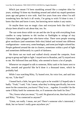Which just meant I'd been stumbling around like a complete idiot for years, wishing I'd done my thrashing around and asked my stupid questions years ago and gotten it over with. And five years from now when I'm still wondering how the heck it all works, I'm going to wish I'd done it *now*. I knew that then and know it now, but knowing never makes it any easier.

Or maybe there was no magic class and everyone feels like this? I've always been afraid to ask about that, too. So.

The sun went down while we ate and the site lit up with everything from candles to camp lanterns to tiki torches to flashlights to strings of tiny Christmas lights plugged into who-knew-what. There were people wearing glow necklaces (and sometimes little else) linked and twisted into different configurations—some sexy, some bondagey, and some just bright-colored fun. People gathered around the site in clusters, sometimes within a pool of light and sometimes deliberately in a patch of darkness.

We threw out our trash and walked slowly around the campsite, from group to group and light to light. I stayed next to Brandon, and Ty stayed next to me. We followed Don and Riley, who seemed to know a lot of people.

Whenever we stopped to talk to someone, Riley sank to his knees next to Don, smooth and graceful like he'd done it a thousand times, which he probably had.

While I was watching Riley, Ty leaned over, his voice low, and said into my ear, "Like that?"

I leaned back a little, but gave him a grin so he wouldn't (I hoped) take it badly. "Yeah," I said, "I do. I mean, what they're doing specifically, but even more for the connection, you know? They're so… together. It wouldn't be the same if Riley knelt for someone else, or if someone else knelt for Don."

"No, I know what you mean," Ty said. He glanced at me, then back at Don and Riley. "You connected to anyone?"

"Umm, not really. I mean, not yet? There's someone who's interested, I think, but we haven't really gone anywhere yet."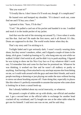"But you want to?"

"I'd really like to. I don't know if it'll work out, though. It's complicated."

He leaned over and bumped my shoulder. "If it doesn't work out, come find me and I'll buy you a beer."

I grinned at him. "Sure, I'll do that."

"Cool." He pulled a card out of his pocket and handed it to me. I nodded and stuck it in the inside pocket of my jacket.

And that was the end of the stressing out around Ty. I love when it works out like that. And see? He made the first move, and it all flowed. It's like, Doms are *supposed* to do that. The world works better when they do.

That's my story and I'm sticking to it.

Twilight faded and it got seriously dark. I wasn't exactly wearing dress shoes, but they weren't sneakers, either, and I slipped a couple of times in the damp, slick grass. I ended up leaning on Ty, who hung onto my arm while we walked. It didn't feel weird at all, and he didn't try to push anything. I figured he was trying to show me his Nice Guy face so if my whatever didn't work out, I'd remember him and come for that beer he promised me. Whatever he was thinking, it worked out fine and he wasn't all stalkery or pushy or anything. And having a Dom attached to my arm kept anyone else from hitting on me, so I could walk around with the guys and meet their friends, and watch people teaching or demoing or just playing out under the stars without having to stress out about brushing anyone off. I hate doing that, especially in places like this where it's perfectly reasonable to assume that anyone who came alone is looking for at least a casual hook-up.

But I already babbled about my social insecurity, so whatever.

We passed a couple of tables set up with drinks, one official and another not. I got a second beer at the official table in exchange for another bead cracked off my wristband, and Ty bought me one at the other table when he got one for himself. I said next one was on me, and he said okay.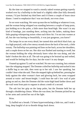By the time we stopped to watch a mostly naked woman getting expertly worked over by a bullwhip in the hand of a slightly older (but fully dressed) woman, I'd just finished my third beer and it'd been a couple of hours since dinner. I need to emphasize that I was not drunk, not even close.

So we were watching. We were up near the rec building or whatever it was, and the woman being whipped was standing between a couple of lamp posts, just holding on to the poles, a little more than head-high. She wasn't in any kind of bondage, just standing there, arching into the lashes, making these little gasping-whimpering noises when each blow hit. I'm not into women at all, but she was hurting so beautifully, it was just gorgeous, you know?

The lamps let us see every detail, her tanned skin and thick black hair, up in a high ponytail, with a few messy strands down the back of her neck, a little sweaty. The bullwhip was painting red lines on her back, across her shoulders, and a couple down on her ass. Her skin was flushed and starting to swell, but the woman holding the whip obviously knew what she was doing, and she hadn't broken the skin at all. The sub was going to be bruised up and welted, and would be feeling this for days, but she wasn't in any danger.

I leaned up against Ty and we watched. No one was counting, but a minute later the whipping stopped. The Domme coiled her bullwhip and tucked it into a duffle bag to one side, then went up to her sub. I saw her speaking, but couldn't hear what she said. Then she stepped right up behind her, pressing her body against the other woman's bare and glowing back, her arms wrapped around at waist- and breast-height. I could hear the sub's low wail of pain going on and on, then the Domme slid the waist-high hand farther down and the wail went from pain to orgasm in about a tenth of a second.

The sub lost her grip on the lamp poles, but the Domme held her up through a shuddering climax. When she was done, her Domme picked her up in her arms and carried her out of the light.

Wow.

Ty huffed out a breath. I'd been hyperventilating a little too, and I took a long, deep lungful of air to throttle things back down.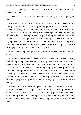"That was intense," said Ty. He was looking off in the direction the two women had gone.

"Yeah, it was." I took another deep breath, and Ty gave me a pretty hot look.

I'll admit that if he'd wanted to go find a private corner somewhere for a blow job or something, I'd have probably gone for it, but instead he just walked on, slowly, toward the next puddle of light. He still had his beer and his other arm was tucked around my waist, one finger hooked into a belt loop. I liked that he was nursing his beer; I enjoy drinking as much as anyone, but someone who *needs* to get really drunk to have a good time is someone I'll be staying away from, even if I don't feel like playing. Ty was scoring some points whether he was trying or not—better if he wasn't, right?—and was firming up a strong number-two spot on my list.

Like I have enough hot guys panting after me to even have a list, but you know?

Brandon, Riley and Don had wandered off at some point, probably during the bullwhip thing. There weren't so many people there that I was afraid I wouldn't be able to find Brandon later, aside from being able to call him if I needed to, so Ty and I were sort of strolling along by ourselves, past the front of the rec building toward an area on the other side that'd been staked out for something. There were a couple of rows of chairs, pretty much every kind of portable camping or patio chair you could imagine, a row of blankets around front with people sitting on them, and an empty space in front of all the seating.

Around the back of the building was a stretch of flat, hard dirt surrounded by lights, like a small parking lot. It was full of bikes, pulled up in rows, and about a dozen people in leathers and boots—mostly guys but a few women were standing around or wandering, checking out the motorcycles and talking about whatever bike people talk about when they're together showing off their rides.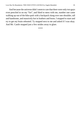And because the universe didn't seem to care that there were only two guys even penciled in on my "list", and liked to mess with me, number one came walking up out of the bike-park with a backpack slung over one shoulder, tall and handsome, and massively hot in leathers and boots. I stopped to stare and try to get my brain rebooted. Ty stopped next to me and asked if I was okay. And Mr. Castle stopped just a few strides away to glare.

\*\*\*\*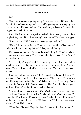### CHAPTER TEN

Fuck.

Now, I wasn't doing anything wrong. I know that now and I knew it then. But still, it's a classic set-up, and I was half expecting him to stomp up, toss me over his shoulder and haul me off somewhere, just because I've seen that happen in a bunch of movies.

Instead he dropped his backpack at the back of the clear space with all the people sitting around it, and came straight up to me and Ty, where he stopped.

"Rob," he said. "Didn't know you were going to be here."

"Umm, I didn't either. I mean, Brandon invited me kind of last minute. I rode up with him." I shut up before I did any more babbling.

He glanced around, and I guessed he was looking for Brandon, who of course was nowhere nearby. Then he looked at Ty and said, "Nick Castle," and held out his hand.

Ty said, "Ty Granger," and they shook, quick and firm, no obvious knuckle-busting, but they were staring at each other pretty hard. After the shake, Ty leaned over and whispered in my ear, "This your 'complicated wanna'?"

I had to laugh at that, just a little. I nodded, and he nodded back. He whispered, "You good?" and I nodded again. "Okay, then." He gave my shoulder a squeeze, drained the last of his beer and said, "I need to go find a recycle bin. See you, Rob. Good to meet you, Nick," and then he was gone, strolling off out of the light into the shadowed crowd.

Ty was definitely a nice guy. And if Mr. Castle was mad at me now, it was nice to know I had a really promising Plan B. Hell, if Mr. Castle was mad, I'd cross him off the list myself, 'cause like I said, I hadn't done anything wrong. I straightened my shoulders and said, "Doing a demo?" I tilted my head toward where he'd left his backpack.

"Yeah, I am," he said. "Rope bondage. I'm starting in a few minutes."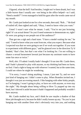I figured, what the hell? And besides, I might not've been drunk, but I was a little braver than I usually am—not being in the office helped—so I said, "Need a model?" I even managed to hold his gaze after the words came out of my mouth.

Mr. Castle just looked at me for a few seconds, then said, "Rob…" He kind of trailed off, then sighed and said, "Okay, I need to know what you want."

Umm? I wasn't sure what he meant. I said, "You're not just lecturing, right? It's an actual demo? So you'd need someone to demonstrate on, right? Or were you going to use people out of the audience?"

That got me a sigh and a hard stare. "I have a model waiting for me," he said. "I need to know what you want from me, what you expect. Because what I expected was that we were going to see if we work out together. If you want to experiment with different guys," and he glanced over in the direction Ty'd headed, "that's fine, but that's not what I'm looking for. I'm not willing to chance a sexual harassment lawsuit just because my assistant wants to have some fun once or twice."

Well, shit. I'll admit I totally hadn't thought I'd run into Mr. Castle there, and I hadn't planned to play with anyone, so my thinking had been no harm, no foul. I had a right to hang out with whoever I wanted, but at the same time, I could see where he might be wondering.

"I'm sorry, I wasn't doing anything. I mean, I just met Ty, and we were just kind of hanging out. I didn't come to play. When Brandon invited me, I thought it was just an evening munch. I like hanging with other kinky people, so I'm hanging. I wasn't going to play, or have sex with anyone, or even stay the night." My thought about being willing to blow Ty popped up into my head, but I shoved it aside because it hadn't happened and probably wouldn't have anyway.

Mr. Castle studied my face, and I think he saw maybe a shadow of that blow job thought on it, because he didn't really loosen up any. "So you're just hanging out with another Dom who's obviously very into you, and nothing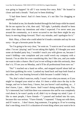was going to happen? At all? I was twenty-five once, Rob." He leaned in closer and took a breath. "And you've been drinking."

"I had three beers! And it's been hours, it's not like I'm chugging or anything!"

He looked at me, his thumbs hooked through his belt loops while he stared. He let me squirm for a bit, then said, "All right, I probably should've been more clear about my intentions and what I expected. I've never seen you around the community, so it never occurred to me that there might be any hurry in moving things forward. That's my mistake, and I apologize for it."

Huh. Okay, a Dom who could admit he'd made a mistake and say he was sorry—he got a brownie point for that.

"So I'm going to be very clear," he went on. "I want to see if we suit each other. I'm not 'playing' and I'm not taking this lightly. If I thought you were some air-headed party boy, I wouldn't touch you with gloves on, because I wasn't kidding—one complaint and you could wreck my company with a lawsuit. I'm an idiot for even considering this, but I like you, and you make me want to take a chance. But if you're not willing to take this seriously, then that's it, I'll see you on Monday, and it'll be all professional from now on."

"No!" I reached out a hand on reflex, and stopped myself about half an inch from grabbing his wrist. I yanked my hand back and kept both fisted at my sides, but I was leaning forward a little because I couldn't help it.

"No, that's what I want too, really. I wasn't sure what you meant, or if you might've changed your mind or what. It's been a while since the day in the lounge, and we've been busy, I know, but you haven't said anything, so… I don't know, I just… didn't know. And I wasn't doing anything, really. Yes, Ty's interested, but I told him there was someone else and he was completely cool about it, he wasn't pushy at all, didn't try to change my mind. I just—I like to meet people, I have friends—" I paused and looked into his eyes, because this was serious. "I have friends," I repeated. "I hang out with them, and if I want to… I don't know, hug someone, I'm going to. If we're scening that's one thing, even if it's a duration-of-event thing where you want to be in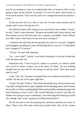role for an evening or a day or a weekend like this, or whatever. But I'm not going to give up my friends, or promise I'll never be alone with anyone or never touch anyone. That's not me, and I can't change that much for anyone. I won't."

If that was the end of it, then it was, but I'd seen what jealousy did to people, and I wasn't having any of it.

He tilted his head a little and gave me a hard look, then nodded. "Good," he said. "I don't want a doormat." He gave me another look, down-and-up, and then smiled at me for the first time *ever*, seriously, and added, "And I believe you didn't know what kind of event you were coming to."

I wanted to die and sink into the ground, but only for a second. I laughed and shrugged, spreading my arms and looking down at my suit. "I'd definitely have changed if I'd known."

"I'll bet," he said, still smirking.

"So… now what?" I asked. I was kind of hoping he'd ask me to help him with the demo after all.

Instead he said, "I have to go do a demo in a minute, so I need to make sure you'll be where I expect you to be when I'm done." He was looking straight into my eyes like he was trying to read my mind. "Does that sound good to you?"

I said, "Yes, Sir," because it sounded like an excellent second choice, if I couldn't be the one in his ropes right then.

"Good," he said. "Follow." He turned and strode away, back past the rows of people waiting for him to get it together for his bondage demo, and it finally hit me that we'd been standing Right There and probably a hundred people had been listening to every word. I felt myself blushing so hard it was like my cheeks were going to pop or something. I was following the hottest guy on the site, though, and I wasn't going to be embarrassed about it.

He led me back to the dirt parking area and down between two rows of bikes. There were still some motorcycle people there. One of the women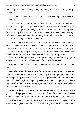looked up and called, "Hey, Nick, thought you were in a hurry. Forget something?"

Mr. Castle waved at her but didn't stop walking. "Just securing something."

The woman and the two guys she was standing with all laughed, but it wasn't a *bad* laugh, if you get the difference. It was more of a friendly, goodstuff kind of laugh. I kept my eyes on Mr. Castle's heels until he stopped in front of a big, black motorcycle. After a second, I remembered seeing it before—it'd been parked in the driveway at Brandon's the day Mr. Castle'd been there teaching a class for the Doms.

Most of the bikes there were Harleys, with a few BMWs and a bunch of Japanese bikes. Mr. Castle's was different, though. It was… muscular, is the only word I can think of. Like a muscle car is muscular—strong and masculine, nothing fancy that was just for decoration. It was about power more than looks, but it was hot at the same time, like a big, strong man who'd snarf his beer at the thought of using hair gel or body glitter, but is gorgeous anyway. It was that kind of bike, and it fit Mr. Castle perfectly.

He pointed to the ground next to the bike, right in the middle, and said, "Sit."

I sat. The packed dirt wasn't exactly comfortable, but I'd sat on worse. Mr. Castle squatted in front of me, which put a big, leather bulge right there within easy range of my eyeballs. I stared, wondering if I could talk him into a blow job, until a leather-gloved finger tapped up from under my jaw and made me look up at his face. He was smiling again, kind of a smirky grin like he knew exactly what I was thinking.

Of course he did. I was a twenty-five-year-old gay sub, down on the ground, with a gorgeous man's crotch right in front of my face. It doesn't take a rocket scientist to figure out the first thought that'd go through my head.

"I'll be about an hour," he said. His voice was low and intense, and his eyes were straight on me, like I was the only thing in his world at that moment.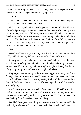"I'll be within calling distance if you need me, and there'll be people around the bikes all night. Are you good with staying here?"

"Yes, Sir."

"Good." He reached into a pocket on the left side of his jacket and pulled out a handful of metal and chains. "Wrist."

I held out my right hand, and he clapped a cuff onto it. It looked like a set of standard police-type handcuffs, but I could feel some kind of coating on the inside surface; it felt sort of like the plastic stuff on tool handles. He checked the closure, made sure it was secure but not too tight. Then he attached the second cuff to the front of the bike, one of the bars of the fork, up near the handlebars. With me sitting on the ground, it was about shoulder high, not too extreme. I could deal with that for an hour.

"Wrist."

I swallowed hard and gave him my other hand. He had a second set of the cuffs, and he locked my left hand to another bar down under the seat.

I was spread out, locked to his bike, pretty much helpless. I couldn't even scratch my nose if I got an itch, which should've been alarming but wasn't. My cock was like iron and my balls were high and tight and needy, but the rest of my body had gone liquid, warm and tingly and relaxed.

He grasped my tie right up by the knot, and tugged just enough to tilt my face up. I hadn't loosened my tie—I'm used to wearing one and they're not uncomfortable—and with his hand squeezing, I felt it all the way around my throat. It felt like a collar, and I had to stifle a whimper that would've sounded absolutely stupid.

His face was just a couple of inches from mine; I could feel his breath on my lips. "While you're cuffed to my bike, everyone will know you're mine. No one will mess with you, because you're mine. You're safe here." He searched my face, then asked, "Are you all right?"

I nodded. I was great, everything was awesome, and I'm pretty sure I had a really silly smile on my face. He nodded back, then leaned in and kissed me,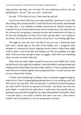long and hot and deep, but not hard. He was exploring territory, but not plundering it—not yet. That was cool, I could wait.

He said, "I'll be back for you," then stood up and left.

If you're not into it then you won't get it and that's just how it is, but I felt like a thing, like a possession Mr. Castle had chosen and wanted, and intended to hang onto. I was chained to another possession he valued, because he wanted to be sure I'd stay where he put me, he *wanted* me to stay where he put me, because he was going to come get me later and wanted me to be there, to be safe and waiting there for him. If you don't get that then I can't explain it any better, but if you do then you know exactly how I was feeling right then.

The night air was cool, but I was fine in my suit coat. I leaned my head back and it rested right on the side of the leather seat. I imagined some designer at a motorcycle factory figuring exactly where a biker-Dom might want to chain a sub to his bike and making sure the seat padding was right there. That was funny enough to make me giggle, which tells you something about my state of mind at the time.

There were too many lights around for any stars to be visible, but I could see the black of the night sky overhead. I heard the bikers walking around and talking, mostly about bikes, but about other stuff too. I wasn't paying attention and it all sort of melted together into background noise. I closed my eyes and just sat, relaxed and waiting.

I'd done some meditating in college, when a roommate nagged enough to make me try. Once I stopped griping and got into it, it was relaxing, and I still did it every now and then. This was like that. I could feel my heart beating in my chest, and if I focused on any part of my body—my throat, my wrist, my inner thigh—I could feel the pulse there. I sank lower into myself, and my heartbeat was powerful enough that my whole body jolted to its rhythm. When I was this deep, it was hard to believe that there was ever a time when I *couldn't* feel my heartbeat, it was so strong and so obvious.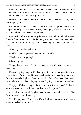I'd never gone this deep before without at least ten or fifteen minutes of deliberate relaxation and meditation. Being spread and chained to Mr. Castle's bike took me there in about thirty seconds.

Footsteps crunched in the dirt behind me, and a male voice said, "Now *that's* a pretty bike."

Another voice said, "I wonder if that's a standard option," and they all laughed. Usually I'd have been thinking about dying of embarrassment, but I was too mellow. They weren't important.

A silver-haired man in motorcycle leathers walked around and squatted down in front of me. He was farther away than Mr. Castle had been, which was good, 'cause I didn't really want some stranger's crotch right in front of my face.

"Hey, boy, you doing all right?"

I nodded. Speaking seemed like too much trouble.

"Need a drink? Anything?"

I shook my head.

The guy leaned closer. "Look into my eyes, boy. Come on, up here, just look at me."

He wasn't going away, so I looked up at him. He had a rugged face, with both smile and frown lines. He was scowling right then, and he glared at me for a few seconds. A gloved finger appeared in front of my face, then moved back and forth. I watched it, hoping he wasn't going to poke me or something.

The guy huffed out a laugh and stood up. "He's fine, just zoned. So deep in subspace he could probably hitch a ride on the *Enterprise*."

A bunch of voices all laughed, and someone behind me said, "Like Castle'd ever have to drug a boy."

The older guy said, "Gotta check. If you think someone never would, that's a reason to check right there."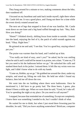They hung around for a minute or two, making comments about the bike, then wandered off.

I focused on my heartbeat and sank back inside myself, right there where Mr. Castle left me. It was a good place, and I hung out there for a time while the event slowly rotated around me.

The next set of legs that stopped in front of me was familiar. Mr. Castle went down on one knee and a big hand ruffled through my hair. "Hey, Rob. How you doing?"

"Hmm?" I blinked slowly, shifting focus from inside to outside. I leaned into the hand, enjoying the feel of it, the patch of solid warmth against my head. "Okay. Right here."

He grinned at me and said, "I see that. You're a good boy, staying where I put you."

The praise was warmer than his hand, and I smiled up at him.

"You really are kind of easy, aren't you?" he asked, but he was smiling when he said it and I could tell he meant it as praise, not a slam. "Come on, I'll bet you need to hit the bathroom before we go." He unlocked the cuffs and stashed them back in his jacket. I missed them. It felt like my wrists were too light, and I didn't know what to do with my hands.

"Come on, Robbie, up we go." He grabbed me around the chest, under my armpits, and stood up, lifting me with him. He held me while I found my balance, then led me off down the row.

We went into the rec building where there were bathrooms. Once he mentioned it, I did have to go pretty bad. The three beers, I guess, plus dinner'd been a while ago. When we were done he said, "Good, let's take off. You're spending the night at my place. Do you need to call anyone?"

I stopped, because that reminded me of something. Except not completely. I knew there was something I needed to do, but I couldn't think of what.

He waited for me to think, but when I just stood there frowning past his shoulder, he said, "Did you leave anything somewhere? Briefcase, computer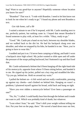bag? Want to say good-bye to anyone? Hopefully someone whose location you know for sure?"

"Brandon!" That was it. "I rode with Brandon. I need to let him know not to look for me when he's ready to go." I found my phone and sent Brandon a text.

# *Got ride home, call u l8r*

I waited a minute to see if he'd respond, with Mr. Castle standing next to me, perfectly patient, but nothing came in. I hoped that meant Brandon'd found someone to play with, at least for a while. "Okay, ready to go."

"Good." Mr. Castle put a hand on my back, between my shoulder blades, and we walked back to the dirt lot. He had his backpack slung over one shoulder, and when we stopped by his bike, he handed it to me. "Here, you're going to have to wear this."

I nodded and put it on. I'd never been camping or hiking, and hadn't worn a backpack since high school. My jacket wanted to slide open and off under the pressure of the straps pulling backward, but I buttoned it up and that fixed that.

Mr. Castle unfastened a helmet that'd been hanging off the right-hand side of his motorcycle, opposite from where I'd been sitting before, and handed it to me. He zipped up his jacket, pulled out a key ring and straddled the bike. "Up you go, behind me. Hold on around my waist."

I pulled the helmet on—it felt weird and not really comfortable, pressing up against my cheeks—and climbed on behind him. Hanging on wasn't a problem; I plastered myself against his broad, solid back and hung on tight.

"Have you ever ridden a motorcycle before? Ever been a passenger on one?"

"No, Sir," I called. I could hardly hear him through the helmet and it made me want to yell. Which was probably kind of dumb, but whatever.

"Lean when I lean," he said. "Don't shift your weight without telling me first. Put your feet on the pegs, there." He waved a hand down near our feet,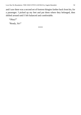and I saw there was a second set of footrest thingies farther back from his, for a passenger. I picked up my feet and put them where they belonged, then shifted around until I felt balanced and comfortable.

"Okay?"

"Ready, Sir!"

\*\*\*\*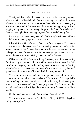# CHAPTER ELEVEN

The night air had cooled down and it was even colder once we got going, what with wind chill and all. Mr. Castle wasn't stupid enough to floor it (or whatever you do on a motorcycle to max out the acceleration), but even going at a reasonable speed, it *felt* faster with the wind whipping past my neck and slipping up my sleeves and in through the gaps in the front of my jacket. And the street was right *there*, tearing past just a few inches below my feet.

It was a great excuse to hang on to Mr. Castle as tight as I could, with my chilled front pressed up against his warm back.

I'll admit it was kind of scary at first, aside from being cold. I'd ridden a bicycle as a kid, like every other kid, so leaning into curves made perfect sense, but doing it that fast—and on a motorcycle, even twenty-five or thirty miles per hour feels *fast*—I was terrified we were going to wipe out on a turn, especially on that narrow, twisting mountain road in the dark.

If I hadn't trusted Mr. Castle absolutely, I probably would've been yelling for him to stop and let me walk home within the first five minutes. But I did trust him, so I kept my mouth shut and my eyes closed and hung on, leaning when he leaned. I'd never been so aware of someone else's body before; I guess having it be a matter of life and death focuses your attention.

The scents of the trees and the damp ground streamed by, with an undertone of hot asphalt and engine exhaust. If I were a dog, I'd have probably been smelling birds and animals, too, and I'd have my head leaning out around… no, that was a bad idea. I could prop it up on Mr. Castle's shoulder, and take the helmet off so I'd get the wind right in my face and catch all the smells.

I had to laugh at that, and Mr. Castle yelled, "You all right?"

That just made me laugh again. I yelled back, "Sorry, Sir! I'll bet dogs love riding motorcycles!"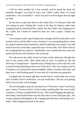I felt his chest tremble for a few seconds, and he shook his head. He probably thought I was kind of crazy, but I didn't really mind. I'm weird sometimes—isn't everybody?—and it was just as well he figure that out right up front.

By the time we got back down to the valley floor, I'd relaxed a little and was sitting up more, holding Mr. Castle at the hips for balance rather than wrapping myself around him like a squid. Not that I didn't like hanging on to Mr. Castle, but I doubt he wanted to have sex with a squid. I hoped not, anyway.

I was trying to make a good impression, though, and first-time jitters were normal, but he said he didn't want a doormat. I was interpreting that to mean he wanted someone with a backbone, which is definitely *not* a squid. I was still kind of nervous on the bike, especially once we hit traffic, but I didn't have to be a clinging little boy about it. And besides, once I pushed the fear away, the speed and motion and vibration were awesome.

We rode across the valley, from Los Gatos in the southwest, through San Jose to the eastern hills. After about half an hour, he pulled up into the driveway of a huge house—Spanish style, all beige stucco and a tile roof, with a round fountain splashing in the curve of the drive. This was swanky even for Evergreen; we'd passed the nearest neighbor almost a quarter mile back, and there was a wild-looking patch of trees and all in between the properties.

It popped into my head right that second that he could make me scream and I wouldn't have to hold back—no one would hear. I felt my cock getting hard in my trousers at the thought.

The next thought to pop into my head was ?!? because I wasn't into heavy pain. I mean, I'd never tried it, I'd never done anything like that, never really wanted to, it always sounded kind of scary. That whole flogging-through-myshirt thing I mentioned before was the only time I'd ever tried pain play. The woman getting bullwhipped at the campground had been fascinating, but I hadn't really imagined myself in her place.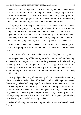I could imagine trying it with Mr. Castle, though, and that made me sort of nervous. The being-able-to-imagine-it part, I mean. It's like, being there on the bike with him, knowing he really was into me That Way, feeling him and smelling him and hanging on to him for almost an hour? It'd remodeled my brain, kind of, and noticing that made me a little uncomfortable.

The garage door rolled up and we headed in. It closed behind us. I looked around—the dim garage was big enough to have a lot of stuff in it without being cluttered, boxes and tools and a sleek silver car—until Mr. Castle nudged me. Oh, right, he'd have a hard time climbing off with me back there. I dismounted, sort of like you would from a horse, and pulled the helmet off. I didn't bother worrying about my hair 'cause I figured it was a lost cause.

He took the helmet and strapped it back to the bike. "We'll have to get you one, if you're going to ride with me," he said. Then he looked at me and asked, "Are you?"

"Yes! I mean, if I can? I was kind of nervous at first, but it was great!"

I managed to stop myself before my extended "yes" turned into babbling, and he smiled at me again. Mr. Castle has the greatest smile, like he's sharing something really cool with you, or like he's happy 'cause you shared something really cool with him, either way. I figured out right then I'd do just about anything for that smile, and I know I sound like an idiot, but I really couldn't help it.

"I'm glad you like riding. I know exactly what you mean—there's nothing like it." He led me inside, pulled off his leather jacket and hung it in a closet in the entryway, where both the garage door and what looked like the main front door were, opposite a big, curving staircase with a wrought iron railing in a geometric pattern. He held out a hand and gave me a look; I handed him my suit jacket—which was in pretty desperate need of a dry cleaner by then—and he hung that up too, next to his. While he fiddled with hangers, I pulled off my tie, rolled it up and stuffed it into my pocket.

When I looked up, he was watching me. After a moment he said, "Well, don't stop."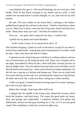I just blinked, then got it. I felt myself blushing, but my cock got a little harder. With all that blood occupied in my cheeks and my prick, it took another few seconds before I actually thought, *Oh, yeah*, and went for my shirt buttons.

He said, "Put your clothes on the bench there," pointing to the leatherpadded bench against the wall next to the closet. "And let a friend know where you are. When you're done, come into the living room. Kneel and relax for a while. Think about what you want." And then he walked away.

That was… not quite what I expected, but okay, I could do that.

I pulled out my phone and texted Brandon:

# *At Mr Castle's house if I'm murdered he did it :D*

then finished stripping. I piled my stuff on the bench, except for my shoes. I tucked those underneath—hoping that much interpretation of an order would be okay—then went down the hall he'd taken.

It opened out into a big living area with floor-to-ceiling windows and two sets of French doors set all along the back wall. There was a fireplace off to the right, surrounded by Mexican tiles, white with little cartoony pictures on them in bright colors. The sofa and loveseat and chairs were all leather, sort of like the bench in the entryway—dark wood with brown leather upholstery. On the left was a step-up to a kitchen and dining area. There was an island with four stools lined up on this side of it, and beyond the island was a big kitchen, all white and wood. Mr. Castle was there, setting up a coffee machine.

Coffee was good. I looked forward to having some if we weren't going to get to the sex part right away.

Before that, though, I had some other stuff to do.

I stepped into the middle of the living room, behind the loveseat which faced the fireplace, and knelt down. The carpet felt good under my knees, thick and springy and comfortable. I wondered whether he'd gotten that deliberately, because he had guys kneeling on it a lot, or if it was just good carpet? Not something I could ask, at least not right away.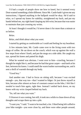I'd had a couple of people show me how to kneel, but it seemed every Dom wanted something a little different. Since Mr. Castle hadn't given me any instructions, I figured anything in the ballpark would be okay. He'd said to relax, so I spread my knees for stability, straightened my back, and put my hands behind me, my right hand clasping my left wrist, because that was easier to maintain than just crossing my wrists.

At least I thought it would be; I'd never done it for more than a minute or so before.

#### *Relax.*

#### *Relax, and think about what you want.*

I started by getting as comfortable as I could and feeling for my heartbeat.

A few minutes later, Mr. Castle came over to the living room with two mugs of coffee. He sat down on the couch, which was up against the wall a few steps from where I knelt, and put the mugs on a side table. He caught my eye, spread his knees and patted his thigh.

What he wanted was obvious. I went over to him—crawling, because I thought he might like it, and because he had that great carpet—and knelt at his feet, between his knees. I could smell the warm leather surrounding me, and it sent a thrill of warmth through my body.

"Good boy."

And another one. I had to focus on sitting still, because I was excited enough—yes, that way too—that I wanted to fidget. Or just throw myself at him, because after almost an hour of constant contact on the bike, I felt like I *needed* to touch him again, right then. Instead I settled back down, on my knees with my wrist clasped behind my back.

"So, tell me what you want."

I'd known it was coming, but still, it took me a while to chase down all my thoughts and scrape them up into a pile.

"I want you," I said. "I want to be touched, a lot. I liked being left cuffed to your bike tonight—you were close by, and there were other people around,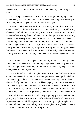they were nice, so I felt safe and that was… that felt really good. But just for a while."

Mr. Castle just watched me, his hands on his thighs. Mmm, big hands on leather pants, strong thighs. I had a hard time not following the obvious path from there, but I managed to look him in the eye again.

"I want…" This one was hard, just because my damn blush was back, I knew it. I could only hope that once I was used to all this, I'd stop blushing whenever I talked about it, or thought about it, or came within a mile of someone else thinking about it. I knew I had to, though, because the one thing they emphasize every time someone does a workshop for newbies, or even just starts talking about it with newbies around, is that you have to communicate about what you want and don't want, or this wouldn't work at all. I knew that, I really did, but it was still hard, and years of reading and watching porn where the hottest Doms were totally omniscient and basically telepathic weren't helping. This was reality, though, and I knew I had to make myself talk about it.

"I want bondage," I managed to say. "I really like that, not being able to move, feeling helpless. And I like feeling like you want me to stay where you put me, that you *want* me enough to make sure I stay where you put me, like when you cuffed me to your bike."

Mr. Castle nodded, and I thought I saw a sort of twitchy half-smile for about a microsecond. He reached over and got one of the mugs, handed it to me. I took a sip, and it was black and sweet, exactly the way I like it. I have no idea how he figured that out, unless he'd been paying a lot more attention than I thought during the few times when we were both in the break room and I was getting coffee for myself. Maybe that's where the myth of the omniscient Dom comes from, that they're always paying attention, watching and remembering?

He took his own coffee, but didn't say anything, just watched me. Not getting any feedback made me uncomfortable—I'd have liked some sort of response so I could tell if he agreed, or if I was doing it right. Maybe he just wanted to know what I wanted right then, that night? Or maybe he wanted a handful of bullet points, like a summary at work?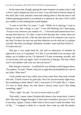At the same time, though, getting the same response no matter what I said or how I said it helped me relax as I went. I was still kind of twitchy about all this stuff, like I said, and had a hard time talking about it. But the more I said without getting grouched at or smirked at or glared at, the more I felt I could just ramble on and nothing bad would happen.

"I want to feel like I'm yours," I said. "While we're playing, I want to belong to you, like a thing, or a pet." I was still blushing, but I kept going. "Yours to use, however you wanted. Or…" I frowned and looked down for a second, then back up. "It's like, I want to feel like that, but, I mean, there are things I'm really not into. I like the idea that you'll do whatever you want to me, that I'm there for your use and that whatever you do with me is to please yourself. But there are things I definitely wouldn't want and that'd kind of… I'd safeword out."

That got a very small head tilt, but still no indication of whether he approved or not, so I explained, "It's like, if you decided to tie me down and dump a jar of spiders on me, I'd safeword. I'd start screaming, actually, and I'd never play with you again. And I'd need lots of therapy. Not that I think you're into spiders with your sex, but you know?"

Hah, that got a reaction—I could tell he was stifling a really big grin there. "No spiders," he said. "Noted. And you're right that arachnophilia isn't one of my kinks. What else?"

I took another sip of my coffee, just to buy some time, then took a breath and said, "I think I want to try pain play. Not a lot, not necessarily right away, but something to think about? I don't even know if I'd really like it. I mean, it's sexy to think about, but that doesn't always mean you'd like doing something, right?"

"That's right," he said. "So you've never tried it at all?"

"Not really. I mean, when Christine did a demo a few weeks back, I tried it then. She used a flogger through a T-shirt and a sweatshirt, then just a T-shirt. It was okay, I guess. I mean, I didn't hate it, but it wasn't really fun either. Sort of like…" I stopped to think for a second, then came up with the perfect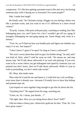comparison. "It's like how getting a prostate exam is like anti-sexy, but having someone play with it during sex is awesome? For some people?"

Hah, I made him laugh!

He finally said, "So Christine trying a flogger on you during a demo was like a prostate exam, and you want to see if it's different in a more sexual context."

"Exactly. I mean, I like porn with pain play, watching or reading, but I like kidnapping porn, too, and I know for a fact I wouldn't get off on a gang of strangers kidnapping me and gang-raping me. Some things *only* work in a fantasy."

"True. So, we'll find out how you handle pain and figure out whether you enjoy it or not. Just impact?"

"I don't know? I guess I'm open? So long as I have a safeword?"

"We won't worry about that until we get a lot further along," he said, and I was kind of, *Wait, what??* until he went on with, "No means no, and stop means stop. We'll talk about safewords if we start role-playing. If you ever want to do a scene where you get kidnapped and raped by someone you can pretend you don't know, then we'll talk about safewords. While it's just us with no pretending, we don't need code words."

Oh. Okay, that made sense.

Then what he'd said hit me and damn it, I could feel my cock swelling even more than it already was—because I'd totally love to have him kidnap and pretend-rape me.

I just hoped we were together long enough to get that far down the list.

"Anything else?" He sipped from his mug, watching me.

"Umm, no, Sir. I mean, just details…?"

"All right, then. How are you doing down there? Sore? Stiff?"

I did *not* make a cheesy pun. I deserved a gold star for that. "Fine, Sir. You have great carpet."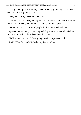That got me a quick half-smile, and I took a long gulp of my coffee to hide the fact that I was grinning back.

"Do you have any questions?" he asked.

"No, Sir. I mean, I trust you. I figure you'll tell me what I need, at least for now, and it'll probably be more fun if I just go with it, right?"

"Possibly," he said. "A lot of people think so. Finished with that?"

I peered into my mug. One more good slug emptied it, and I handed it to him. He put it back on the side table with his own.

"Follow me," he said. "We're going upstairs, so you can walk."

I said, "Yes, Sir," and climbed to my feet to follow.

\*\*\*\*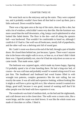### CHAPTER TWELVE

We went back out to the entryway and up the stairs. They were carpeted too, and it probably wouldn't have been all that bad to crawl up them, just a little awkward. Down would be harder.

There was a big open area at the top of the stairs, done up like a den, but with a lot of windows, which didn't seem very den-like. But the furniture was more casual than the stuff downstairs, a big, lumpy couch upholstered in what looked like faded denim. The floor in the den—and all along the upstairs hall—was hardwood. That wouldn't be comfortable to kneel on, although I could do it if I had to. One wall was all bookcases, mostly full of paperbacks, and the other wall was a shelving unit full of sound gear.

Mr. Castle's room was down at the end of the hall, through a pair of double doors. He closed them behind me, just because, I guess. There wasn't anyone else in the house who might walk in on us, or hear us, or at least I didn't think there was. I figured probably not, since he'd had me strip down as soon as we came inside. That made sense, right?

The bedroom was carpeted again, which made my knees happy, figuring I'd probably spend a lot of time kneeling there. He had a king-size bed, of course—he was a tall man and probably would've wanted a king even if it was just him. The headboard and footboard had wood frames filled in with wrought iron patterns, complex geometrics like the stair railing, but not exactly the same. It was all solid and expensive looking, without looking like it might as well have a price tag left on it, like whoever owned it wanted nice things, good stuff, because it was good, instead of wanting stuff that'd hit other people over the head with how expensive it was.

The woodwork was kind of medium dark, on the bed and the nightstands, and a tall dresser next to the closet door. The walls were a cream color, like a warm beige, and the carpet was dark brown. It was like the whole room was made of chocolate or coffee. I liked it.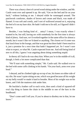There was a heavy chest of carved wood sitting under the window, and Mr. Castle went over and opened it up. He said, "Get on the bed and lie on your back," without looking at me. I obeyed while he rummaged around. The patchwork comforter, shades of brown and cream and black, was made of flannel. It was soft and comfy, and I sort of wallowed around on it, enjoying the feel of it on my bare skin. He hadn't told me to lie still, so I figured I didn't have to.

Besides, I was feeling kind of… antsy? I mean, I was exactly where I wanted to be, but still, having sex with somebody for the first time is always kind of jittery. And sure, we'd worked together in the same office for almost a month, but it wasn't like we'd dated or anything. The closest we'd come was that lunch hour in the lounge, and that was great but there hadn't been much to it, just a promise for a next time that hadn't happened yet. So I wasn't sure what to expect, or what Mr. Castle expected from me. And still being kind of new to all this, I guess I was angsting about doing something stupid.

In theory all I had to do was obey him. When you're in the middle of it all, though, it feels a lot more complicated than that.

"We'll start with something simple," Mr. Castle said. He walked over to the bed with some cuffs clinking in his hands. "On your back, arms over your head."

I obeyed, and he climbed right up on top of me, his knees on either side of my ribs. He wasn't quite sitting on me, which was good because all his weight on my belly would've made it hard to breathe. Most of his weight was on his knees, and I felt the mattress sink under him.

He buckled a leather cuff to each wrist, then used a kind of squared-off oval clip thing to fasten the chain in the middle to one of the bars in the headboard.

"Don't come until I tell you. If you're about to disobey me in that, let me know."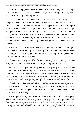"Yes, Sir." I tugged on the cuffs. There was a little slack, but just a couple of inches worth, and pulling on it sent a tingly thrill through my body, which was already having a pretty good time.

Mr. Castle scooted down some, then slipped one hand under my head on the pillow, leaned down and kissed me. It was firm but not harsh, just lips at first, but I felt surrounded, my whole head cupped in his palm. His fingers were spread out to hold me right where he wanted me, but the kiss was light and gentle. Like he was cradling my head, like all of me was right there in his hand, and I felt warm and safe and secure. My nerves settled down some and I wanted more, so I opened my mouth a little, inviting him to come in if he wanted. He whispered, "Good boy," then everything got deeper and more intense.

His other hand brushed over my ear, then one finger drew a line along my jaw. The back of his hand glided down my throat, that vulnerable spot where even a light smack can lay you out, but this was just exploration, just enough pressure that I knew he was there.

Then out across my shoulder, firmer, kneading, and a push up my inner arm, not hard enough to bruise but not light enough to tickle.

I felt the solid bulge of his cock pressing into my belly, through the leather of his pants. I arched up against it, wanting to feel it, because it was Mr. Castle's cock. Damn, even if it wasn't skin-to-skin, even if it wasn't in the perfect place, which was about ten inches south and aching for some attention, but that was what he was giving me right then and I wanted more of it.

The chains clinked and jerked, and the leather cuffs pressed against my skin as I yanked on them. Not pulling just to pull this time, but because I wanted to touch him. Maybe help him out of his pants, or even the jacket, pull up his T-shirt, *something*.

His tongue filled my mouth and I moaned around it, couldn't help myself. The sound came from all the way down in my gut, and I imagined he could feel the vibration against that hard cock that was still pressing down on me. His hips shifted and rubbed harder, so who knows, maybe he did. I wrapped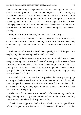my legs around his thighs and pulled him in tighter, showing him that I loved what he was doing and didn't want him to move, since I couldn't exactly say so right then and wasn't sure if I was even allowed. I'd heard some Doms didn't like that kind of thing, thought the sub was holding up a scorecard or something, and I didn't know what Mr. Castle thought of it, but if I *were* holding up a scorecard, it'd be an "11" with lots of exclamation points after it, 'cause I've never felt this close to popping right off with just a kiss and some grinding.

Well, not since I was fourteen, but that doesn't count, right?

The mattress shifted and Mr. Castle sat up. He started to unfasten his pants, and I made a noise that didn't have any words in it, but sounded pretty enthusiastic. I got another one of those little half-smiles for about a quarter of a second.

He knee-walked forward and said, "Do a good job and I'll let you come tonight," right before feeding me his solid, thick cock.

Obviously he didn't want an answer, or at least not a verbal one, so I went straight to tasting him. He was musky and a little salty, and there was a flavor of leather in there, too, which I liked more than I thought I would. I didn't just glom right on—I wanted to show I had some technique. That's what he meant by a good job, right? I mean, anyone can just blindly suck. They probably have machines that do that.

Instead I held him in my mouth and mapped out the territory with my lips and tongue. The head was broad, with a smooth curve to it, and the tiny slit tasted stronger than the rest of it. Which made sense, duh, so I sucked on that and teased it with my tongue, trying to get it to give me more of that flavor that meant I was doing it right.

He let me do that for a while, then pushed a little more into my mouth. Not a big, choking thrust, but just another half inch or so, like he was reminding me there was more where the first part came from.

The shaft was bigger than the head, and I had to suck in a good breath before I clamped my lips down over it. I'd seen cocks like that in porn, but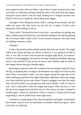never gotten to play with one before. I gave him a couple of good sucks, then went back to exploring, teasing around the base of the head with my tongue, along the crease where it met the shaft. Feeling how it bulged out there was kind of weird, but it made the whole thing seem bigger.

I thought of him filling my throat with it, cutting off my breath, and that made me moan. My hips thrust up into the air a couple of times, pure frustration with nothing to rub on.

"Easy, settle." His hand was back in my hair—not pulling, not petting, just there, another point of connection, one that had nothing to do with him getting off. Or at least I didn't think it did. I'd never heard of anyone who had a kink for holding someone's head.

"Breathe."

I took a big breath and he pushed another inch into my mouth. The angle really wasn't great and that was about as much as I was going to be able to take. It was like he knew that because he stopped right there, just before I would've started gagging. I focused on relaxing, feeling my heartbeat, figuring that if I was relaxed I'd use up my air slower and would be able to work on him longer before having to breathe again.

Relaxing my muscles when all I wanted to do was hump his leg (if he'd put his leg, or anything else, in range to be humped) was tough, but I did my best and I think I succeeded a little. I ran my tongue around the tight skin of his shaft, rubbing up and down the ridge underneath, right there where my tongue was, then explored up one side where I found a squiggly vein that felt pretty neat. It stood out like it was pumped up with a lot of blood—well, of course it was—but I could poke it with my tongue and it gave. That was fun, so I ran the tip of my tongue back and forth over it a few times, but then I needed to breathe again. I tilted my head back a little, as much as I could with his hand supporting it, and he pulled back some right away.

I sucked in a couple gulps of air, then strained forward again, so he pushed back inside—just as far as he had before, no farther, which was great—and I went back to exploring.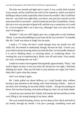The skin was smooth and tight and so warm. It was a solid, thick intruder in my mouth, and he could hurt me with it if he wanted to, which was kind of thrilling to keep in mind, especially when I knew he wouldn't. But I could hurt him too—my teeth were right there, you know, and your jaw muscles are the most powerful in your body—and he trusted *me* just like I trusted him. A blow job was a two-way promise of good will, and that was a connection, or it could be. A lot of people didn't see it that way, although I had, ever since the first time I'd thought of—

"Robbie!" I felt two stiff fingers give me a rough poke on the forehead. "Relax. I can hear the babbling in your brain all the way out here!" It sounded like Mr. Castle was about to laugh, but not quite.

I made a *???* noise, the best I could manage since my mouth was still really full. He seemed to understand, though, because he said, "I know you, your mind is always buzzing when you look like that. Let me handle whatever it is you're thinking about, or worrying about, or wondering about. I'm running this, you're experiencing it. Relax, turn off your brain. Your mouth, my cock, everything else can wait."

I made two noises close together that hopefully approximated, "Okay," and tried to figure out how to turn my brain off, because he was right, I *had* been thinking too much. They say the brain is your primary sex organ, but I don't think that's quite what they meant.

And I was doing it again.

Mr. Castle pulled out about halfway so I could breathe okay without having to pay attention to the timing, and I tried relaxing. Exhale… listen to my heart, feel it beating, let my body inhale. Exhale… feel gravity pulling me down, feel my heart beating, each pulse jolting my chest, let my body inhale.

I closed my eyes and just felt. Exhale. Full mouth, the feel and flavor of the cock filling it, the strong beating of my heart, inhale.

The cock started thrusting, slowly, not too deep at first. Back and forth in my mouth, through my mouth, I was just a passage, something warm and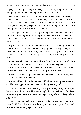slippery and just tight enough. Exhale, feel it with my tongue, let it move through my mouth, feel it passing through, back and forth.

I heard Mr. Castle let out a short moan and the cock went a little deeper. I couldn't breathe around it for… I don't know, a little while, but that was okay because I was just a passage he was using to pleasure himself, and if he was making noise and going deeper, that meant I was serving my function. I was pleasing him, and that was what I was there for.

The thought of him using me, of just lying passive while he made use of me, of him enjoying me like a thing, like a sex toy, made *me* feel good. I shifted and felt the cuffs around my wrists, holding me there for him. Perfect, that was perfect.

A groan, and another one, then he thrust hard and filled my throat with come. I sucked and swallowed, not worrying about air right then, and he pulled out just about the time my lungs were starting to tap me on the shoulder. I swallowed again, then gasped in a big breath and panted a few times.

I was covered in sweat, mine and his both, and I'm pretty sure I had the goofiest look on my face, so bad I don't want to even imagine it—feel free if you want to. Mr. Castle was still kneeling up, looming over me with one hand braced on the headboard, and he was panting as hard as I was.

It was a great view. I just lay there and enjoyed it while it lasted, which was only a minute or so, dammit.

He moved back down the bed and rubbed his hands up and down my shoulders and upper arms. "How are you doing? Getting stiff?"

"No, Sir. I'm fine." I was. Actually, I was great, except one particular part that was painfully stiff. I still had just enough blood in my brain to decide not to make that joke, because it was something a sixth-grader would say and then giggle about.

"Good." He stretched out and lowered his body down onto mine, which meant I didn't need to mention the only uncomfortable part of my body because it was pressing against his balls.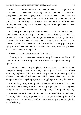He leaned in and kissed me again, slowly, like he had all night. Which I guess he did, if he wanted to take it. By the time he moved, I was breathing pretty heavy and sweating again, not that I'd ever completely stopped because, you know, not getting to come and all. He explored every inch of me with his lips and tongue and fingers and palms, and here and there with his teeth, flipping me over a couple of times, watching and listening the whole time to see how I responded.

A fingertip behind my ear made me suck in a breath, and his tongue drawing a slow line across my collarbone had me squirming; I couldn't have stopped if I'd wanted to, so good thing I didn't see a reason to try. He sucked hard on a nipple, and when that made me arch my back and whimper, he bit down on it, first a little, then more, until I was yelling in a really good way and trying to rub off on his stomach because I felt like an orgasm was Right There and I couldn't help reaching for it.

He slapped my hip hard and said, "No. Not yet."

The sting jolted my awareness away from my dick and I was able to hold my hips still, but it was tough and I was kind of cussing him out in my head right then.

The spot to the left of my bellybutton was connected to my balls, but not the spot to the right. Don't ask me why, I just enjoyed the discovery. Kisses across my hipbones did it for me, but my inner thighs were just, like, whatever. The backs of my knees were ticklish when touched with a hand, but a tongue there had me yelling again, and struggling not to hump the mattress.

He found a good spot on my left calf, and my left instep, and I'm pretty sure he sucked a hickey onto the top of my right foot. The burning went straight to my dick and I could feel it leaking a hot, slick drop onto my belly.

He saved my ass for last—almost last, because he still hadn't touched my dick or my balls, which just proved he's a fucking sadist—but by the time his tongue pushed into my hole, I couldn't remember why anyone thought that was a bad thing.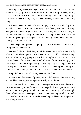I was up on my knees, leaning on my elbows, and the pillow was wet from where I was crying in frustration. I didn't know how long it'd been, but my dick was so hard it was about to break off and my balls were so tight they'd buried themselves up in my body and were probably somewhere up under my lungs.

I'd never been rimmed before—most guys think it's kind of gross to actually do, even if it's hot in porn—and the feeling was mind blowing. Tongues can move in ways cocks can't, and the only downside is that they're smaller. If someone ever figures out how to get a tongue the size of a cock—or at least long enough to reach your prostate—no gay man will ever let anyone merely fuck him ever again.

Yeah, the genetics people can get right on that. I'll donate a chunk of my salary to fund the research.

Despite the lack in both length and thickness, Mr. Castle knew exactly what to do with his tongue and made the most of it. I couldn't help squirming, even with his hands gripping my hips hard enough that I was sure I'd have bruises the next day; I was pretty proud of myself for not just letting go and thrusting back onto his tongue. Every nerve in my body was lit up, and I think my ass grew a few new ones for the occasion. I was moaning and whining and didn't even have enough functional brain cells to be embarrassed about it.

He pulled out and asked, "Can you come like this?"

I made a wordless noise of protest, but my dick was swollen and aching and he'd been teasing me for ages and I really didn't know.

Mr. Castle said, "Try. Come on, Robbie—you're so sensitive, I know you can do it. Give it up for me, like this." Then he pushed his tongue back into my ass, and I felt a finger go in below it, stretching, reaching, until it was right there, rubbing on my sweet spot, where I'd been wishing for a lick, a touch, *some* kind of stimulation for the last however long he'd been torturing me, and everything shattered.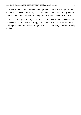It was like the sun exploded and emptied out my balls through my dick, and the heat flashed down every part of my body, from my toes to my hands to my throat where it came out in a long, loud wail that echoed off the walls.

I ended up lying on my side, and a damp washcloth appeared from somewhere. Then a warm, strong, naked body was curled up behind me, holding me close, and the last thing I heard was, "Good boy," before I finally zonked.

\*\*\*\*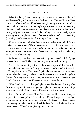# CHAPTER THIRTEEN

When I woke up the next morning, I was alone in bed, and a really good smell was wafting in through the open bedroom door. Two smells, actually one was coffee, which would've been enough to drag me out of bed all by itself, and the other was… something like pancakes or waffles or something like that, which was an awesome bonus because while I love that stuff, I usually only eat it in restaurants. I like cooking, but I'm not really up for anything more complicated than coffee and maybe a muffin or something (assuming I made some earlier) first thing in the morning.

I hit the bathroom, and when I came back to the bedroom to look for my clothes, I noticed a pair of black sweats and a black T-shirt with a wolf on it laid out down at the foot of my side of the bed. I made the obvious assumptions, and put them on. Much better than crawling back into a beat-up suit on a Saturday morning.

I followed my nose downstairs, and a sizzling sound mated with the fryingbatter-and-bacon smell. The combination got my stomach rumbling.

Mr. Castle was standing in front of the stove in a pair of blue shorts that completely held my attention for a good twenty seconds, which is forever in coffee-deprivation time. They weren't painted on or anything, but they were very nicely filled anyway, and even once the siren-scent of coffee dragged me the rest of the way over to the pot, I kept an eye on that muscled ass as long as I could. It made me wonder if he ever bottomed, 'cause damn.

"Hey, Rob," he said, with a quick glance over his shoulder. Luckily after I'd stopped ogling him and was opening cupboards looking for cups. "Mugs are there on the left. French toast will be ready in a few minutes."

I said, "Mmmm," because I love French toast, and besides, a display of appreciation seemed polite. I doctored my coffee with sugar, and once I got about half a mug inside me, we were sitting at the island, on adjacent stools close enough together that I could feel the heat from his body, with about twenty pieces of French toast piled up in front of us.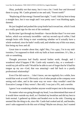Okay, probably not that many, but it was a lot. I took four and drowned them in syrup. Mr. Castle grinned at me and said, "Sweet tooth?"

"Replacing all that energy I burned last night," I said. I did my best to keep a straight face, but it was tough and I was pretty sure I was blushing again, dammit.

He just laughed and pushed the syrup bottle back toward me, which I took as a really good sign for the rest of the weekend.

By the time I got through my breakfast—bacon thicker than I've ever seen before, which was seriously incredible—and my second cup of coffee, I had enough brain cells firing to start wondering whether we'd actually have a whole weekend, since he hadn't really said, and whether any of this was smart, him being my boss and all.

Great time to wonder about that, right? Hey, I'm a guy, I'm in my midtwenties, I'm supposed to think with my balls at least sometimes. It's, like, a rule or something.

Thought processes had finally moved farther north, though, and I wondered what'd happen if Mr. Castle only wanted a day, or a weekend would my job still be safe? Would he be able to sort of forget that he'd had his tongue up my ass—God, that was amazing!—and fall back to a purely professional relationship?

Even if he did want to… I don't know, see me regularly for a while, how would that work at work? Obviously a lot of other people at the company were seeing each other, and in the same way we were—they wouldn't need the Executive Lounge if they weren't. But still, I was just a PA, and a newbie.

I guess I was wondering whether anyone would respect me in the morning.

No matter what was going through my head, I was determined that none of it would show outside my skull, so I finished my breakfast and did my best to look normal. I gathered up dishes and headed over to the sink. Cleaning up seemed like the thing to do, since Mr. Castle had cooked and all, and besides, aren't subs supposed to do this sort of thing? Maybe not always, but I wanted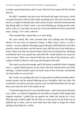to make a good impression, and it wasn't like he'd torn apart half the kitchen anyway.

He didn't comment, just put away the bread and sugar and syrup, which was good because I had no idea where anything went. He went out and came back in a couple of minutes later with a stack of mail, which he tossed onto the big dining table we hadn't used. I was just finishing up rinsing out the sink, and as soon as I was done, he took my wrist and hauled me back toward the stairs, saying, "Let's take a shower."

That sounded like a great idea, so I went along.

We were naked, like, forty seconds later and walking into the biggest shower I'd ever seen in someone's house. It didn't have a door, or even a curtain—we just walked in through a gap in the grey tiled bathroom wall, then turned a corner and there was the shower area, half the size of my bedroom at home. There was only one shower head, which sort of surprised me, all things considered, but it was a good one, and when Mr. Castle turned it on, it put out a lot of water. There was a bench built into one side of the enclosure, and a couple of built-in shelves with soap and shampoo and stuff.

The water was just hot enough, and it felt pretty wonderful when I stepped into it—a good, hard pressure on my chest, then hot streams down my belly and legs. I turned around to give my back some of the awesome, and ducked my head under to wet my hair.

Mr. Castle was waiting with a bar of soap and two sudsed-up hands when I turned around, and he started lathering up my shoulders, then my chest. He worked his way down my front, and my cock was half hard before he ever got there, just from the feel of his hands on me.

I'd already figured out he was a horrible tease—and I mean that in the best way, really—so when he lingered over my balls for maybe a little longer than hygiene required, I pulled him up against me under the stream for a kiss. Sharing soap worked, right? By the time we came up for air, his front was as lathered up as mine, and we were both hard and ready to forget the whole getting-clean thing for a while.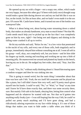He opened up my ass with a finger—not a soapy one, either, which made me very happy, because this other guy I'd been with (only once) thought soap would make a great lube during shower sex and my ass had felt like it was on fire, on the *inside*, for like an hour after, and we hadn't even made it to the sex part. Of course Mr. Castle knew better, and it turned out one of the bottles was waterproof lube.

What is it about being wet, about having water streaming down a naked body, that makes an already handsome, sexy man so much hotter? Not that Mr. Castle needs much help you've picked up on the fact that I was completely gone on him by now, right?—but being wet and slippery and shining in the falling water cranked it all up to twelve.

He bit my earlobe and said, "Relax for me," in a low voice that penetrated to the nuclei of my cells, and every one of those cells, both singularly and in groups, immediately obeyed him without consulting me at all. I went all soft in his grasp—well, okay, not *completely* soft, but you know—and let him slide his fingers up inside, teasing and touching and working me up into a blob of moaning jelly. He maneuvered me around and planted my hands on the bench, leaving my ass in the air. He nudged my feet wider, then said, "Stay. Just like that."

I said, "Yes, Sir," without really thinking about it. I heard him tearing open a condom wrapper and then he was sinking into me.

This is going to sound weird, but the main thing I remember about that time was how safe I felt. Yeah, the sex itself felt awesome and he played me like a piano, but I still didn't know him very well, and I'd pretty much given myself into his hands. I could've said, "No," or "Wait," or "Stop" at any time and I know he'd have done exactly that, and there was some security there, sure. But mainly I felt safe in his hands, obeying him, letting him control what happened and do whatever he wanted with me. Not that we'd gotten into anything really freaky (yet—I was still hoping) but the way I felt, he could've pulled out pretty much anything and I'd have gone along, and had a ridiculously adoring expression on my face while doing it. It's one of those things that makes you want to hide under a table when you think of it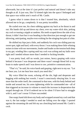afterwards, but at the time it's just perfect and natural and doesn't take any thought at all. It just *was*, like I'd slotted right into the space I belonged and that space was within arm's reach of Mr. Castle.

I guess what it comes down to is that I trusted him, absolutely, which allowed me to let go, completely. It was pretty incredible.

He curled over me, his chest rubbing against my back as he thrust in and out. His hands slid up and down my chest, over my water-slick skin, jerking my cock or teasing a nipple at random. His teeth scraped down the side of my throat; it didn't hurt but it was heading in that direction just enough to get me shivering, anticipating, maybe even wishing for the stinging-hot pain of a bite.

He shifted my hips just a little, and suddenly his cock was sliding past my sweet spot, tight and hard, with every thrust. I was making these little whining noises in time with our movements, louder and louder as the tension built deep in my gut, winding like a spring until my cock was aching and my balls were tight and I needed release more than I needed to fucking breathe.

I was pretty loud, still no words, just noises, heavy gasping with voice behind it because I was desperate and there wasn't enough blood left in my brain to make speech and I was down to raw, primitive communication.

"That's it," he said, his voice harsh and gasping, right next to my ear. "Let me hear you. Let me hear how much you need this."

My voice filled the room, echoing off the tile, high and desperate and begging with nothing but vowels. I wasn't consciously obeying him. It was more that the order itself, the command in that tone, with his body behind and inside and around me, his arms tightening while he commanded me—all of that triggered an increase in volume to match the increase in desperation that surged through me. If he'd ordered me to be silent I'd have had to struggle with it, and I can't swear I'd have succeeded.

One soapy hand slid down my body and wrapped around my cock and that was it, the last nudge I needed to send me falling over the edge. I spurted against the streaming tile and felt my ass clenching hard around Mr. Castle's cock.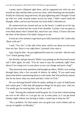I pretty much collapsed right there, and he supported me with one arm around my hips and the other across my chest, while thrusting into me harder. Finally he climaxed, long and tense, his grip tightening until I thought I'd end up with two wide, bruised stripes across my body. I didn't much mind the thought, either, and not just because my brain hadn't rebooted yet.

He maneuvered me around and sat on the bench. I ended up on his lap, with my face tucked into the crook of his shoulder. Luckily I was too gone to even think about what I looked like, much less care. Heck, I'd have slid onto the floor of the shower if he hadn't hung on to me.

It took me a few minutes to get back up to fully functional. Mr. Castle said, "Back with me?"

I said, "Yes, Sir," to the side of his neck, which was about an inch away from my lips. Since it was right there, I pressed a kiss onto it.

I got a hug for that—he just tightened his arms for a second—then he said, "Let's finish getting clean."

We did that, and got dressed. While I was putting on the borrowed sweats and T-shirt again, he said, "You do want to stay the weekend, right? How about if we swing over to your place so you can change and pack a bag?"

That answered some questions and brought up others. While I was sorting through them, after a few seconds of silence, he added, "If you need some alone time before transitioning back to work mode, that'd be perfectly natural. Just let me know what you need and that's what we'll do."

He was dressing himself while he spoke, pulling on a pair of faded jeans and a plain grey T-shirt that did gorgeous things for his grey eyes. And yes, I'm totally gay for noticing that, why do you ask?

I said, "Staying the weekend would be great, Sir, if you don't mind running me over to the office so I can get my car at some point, so I can get home Sunday night without you having to make a round trip to drop me off."

"Not a problem. For that matter you can grab your work clothes and we can go in together on Monday."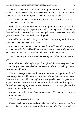"Oh, that works too, sure." More shifting around in my brain, because walking in with the boss after a weekend was A Thing. I ventured, "I don't mind going in to work with you, if it won't cause any problems."

Mr. Castle smirked at me and said, "I'm the boss. If I don't think it's a problem then it's not a problem."

Well, of course. How else would a strong, dominant man answer that question? It made my dick regret that it couldn't quite give him the salute he deserved for that, because, hey, I was twenty-five and not sixteen. I mentally gave him a rain check and said, "Sounds good."

He nodded and started pulling on his boots. "What do you think about going back up to the meet for the day?"

Huh, that was an idea. Now that I'd been there and knew what to expect, it sounded more like fun and less like something to stress over. And going with Mr. Castle? As in, *with* Mr. Castle? Hell, yeah. "I'd like that, Sir."

"Good. Would you be interested in dressing up a little? Do you have any gear?"

I sort of blinked and thought, *Eep?* although luckily I didn't say it out loud. "Umm, do you mean like a leather harness or a collar or something? I don't have anything like that."

"Not a collar—your Dom will give you one when you get into a formal relationship. And a full harness is probably a little much for someone new to the scene to wear in public, although you'd look good in one." He gave me an appreciative look-over that made me want to climb back into his lap, but I focused on fastening my shoes instead because I am not a complete dork a hundred percent of the time.

He went on with, "How about some wrist cuffs? Subtle, but a nice, constant reminder."

"That'd be great—thank you, Sir."

He went back to the wooden chest under the window, rooted around for a second, and came back with a set of black leather cuffs. Each one had two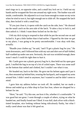steel rings on it, on opposite sides, and a small key lock set in. I held out my hands and he wrapped the first one around my right wrist. The leather was soft inside, comfortable. He adjusted it so it was loose enough to rotate on my wrist when he tried to turn it, but tight enough not to slide off. He snapped the latch shut, then locked it with a small key.

"If you just close it, it opens with the catch on the side, here." He showed me the small catch on the arm side of the latch. "It takes a key to lock it, and then unlock it. I think I want these locked on for the day."

I felt my dick trying to respond to that while he put the second one on and locked it. It got a little farther than it had earlier. I figured by the time we got to my place, I was going to be pretty uncomfortable. I was okay with that, actually.

"Bundle your clothes up," he said, "and I'll get a plastic bag for you." He went downstairs, and I followed him with my suit and shirt sort of half-folded, half-wadded up under one arm. Seriously, the suit was wrinkled enough, there wasn't much I could do right then to hurt it.

Mr. Castle gave me a plastic grocery bag for it, then held out his open gear pack. I stuffed the bag in on top of a lot of coiled ropes. There was some stuff on the bottom that rattled and clinked, but I couldn't see what it was.

We headed out, back to the bike. He gave me his helmet again and I put it on, then mounted up behind him, wearing the backpack, and wrapped my arms around him. I didn't need to anymore, but I wanted to and he didn't seem to mind.

I gave him my address before we took off. He nodded, but we made a detour and ended up at a bike shop in East San Jose, where we shopped for a helmet for me.

"Here," he said. "Try this one, see how it fits, whether it's comfortable." It was good but not great. I went through a couple of others, trying on what he handed me, and finally found one I liked. It was dull, dark silver with a blacktinted faceplate, nice looking without being ridiculously flashy, but what I really cared about was that it felt good on.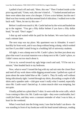I pulled it back off and said, "Here, this one." Then I looked inside at the price tag and said, "Umm, wait, this one's kind of…" I looked around and saw there were others that were a lot cheaper. I'd love a nice helmet, but the one I liked was four-twenty and that seemed kind of ridiculous. I walked over to the back wall. "Here, let me try this one—"

Before I could even touch it, Mr. Castle had me by the wrist and hauled me up to the register. "You get a fifty dollar helmet if you have a fifty dollar head," he said. "Don't argue."

I shut up and waited while he paid for the helmet. We were back on the road a minute later.

The next stop was my place. My apartment was in Almaden. It wasn't horribly far from work, and it was cheap without being a dump, which worked out fine if you didn't mind living in a building full of university students.

All right, it *was* a dump next to Mr. Castle's place, but then just about any place that wasn't an actual mansion was a dump next to Mr. Castle's place, so I didn't stress out too much about it.

I let us in, waved toward my ugly beige couch and said, "I'll be out in a minute," then headed back to my bedroom.

Now, what to wear? I tossed the bag with my sad suit onto the closet floor and toed off my work shoes while digging around some. I pulled out a pair of jeans about the same faded blue as Mr. Castle's. They fit really well without being ridiculously tight. I sorted through my shirts, discarding a couple of silk shirts and a spandex tank—club gear wasn't really what I wanted, especially since Mr. Castle wasn't fancied up. A cotton muscle shirt was tempting, but not quite.

I finally pulled on a plain black T-shirt. It went with the wrist cuffs, which I was coming to like a lot. Mr. Castle was right—they were comfortable, but I could *feel* them, and they were a constant reminder of what I was to him, at least for the weekend.

When I went back into the living room, I saw that he hadn't sat down—he was standing in front of my bookcase with his head turned sideways, reading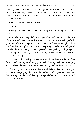titles. I grinned at his back because I always did that too. You could find out a lot about someone by checking out their books. I hadn't had a chance to see what Mr. Castle read, but with any luck I'd be able to do that before the weekend was over.

He turned around and said, "Ready?"

"Yes, Sir."

He very obviously checked me out, and I got an approving look. "Come here."

I walked over and he pulled me up against him with one hand on the back of my neck and kissed me, hard. Just as I was thinking that I had a perfectly good bed only a few steps away, he bit my lower lip—not enough to draw blood but hard enough to hurt, a sharp, deep sting. I made a startled, pained noise but didn't pull away. Instead I pressed closer, pushing my hips against his, looking for friction. My dick had definitely recovered from the shower and was enthusiastic again.

Mr. Castle pulled back, gave me another quick kiss that made the pain flare for a second, then tightened his grip on the back of my neck before stepping away. "There," he said. "The best accessory to go with cuffs is a bruise."

The hungry, I-own-you look on his face while he studied my swelling lip wasn't discouraging my libido at all, but before I could figure out how to hint that sticking around for a while might be a good idea, he said, "Let's go," and headed for the door.

\*\*\*\*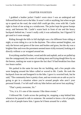### CHAPTER FOURTEEN

I grabbed a leather jacket I hadn't worn since I was an undergrad and followed him back out to the bike. It wasn't cold or anything, but when we got up to speed on the road, the wind chill could get dire, even with Mr. Castle right in front of me acting as a windscreen. The jacket kept the goose bumps away, and between Mr. Castle's warm back in front of me and the heavy backpack behind me, I wasn't really cold; it was unfamiliar, but I figured I'd get used to it soon enough.

Riding through the hills in full daylight was a lot different from riding at night, or even riding in a car in the daytime. The colors seemed brighter, not only the brown and green of the trees and bushes and grass, but the sky was a brighter blue and even the pavement seemed more richly textured, looking at it directly without a car wrapped around me.

Everything smelled fresher, wood and dirt and asphalt, and as we pulled up into the campground, the scents of cooking meat and frying dough blew by on the breeze, making me want to ignore the fact that I'd had breakfast less than two hours earlier.

We parked in the same lot near the rec building, and a few people who were hanging around the bikes called or waved to Mr. Castle. He took the backpack from me and bungeed it to the bike. I gave it a worried look, but he said, "The community here is pretty close, and our events are as safe as you're going to get in a situation where you're around people who aren't your personal friends. I've left stuff with my bike before and never lost anything."

"That's pretty awesome, Sir."

"Yes, it is. It's one of the reasons I like these events."

I followed Mr. Castle across the parking lot, stopping a step behind him whenever he paused to talk to someone. He seemed to know a lot of people, and a lot of people knew him. I guess he'd been around for a while.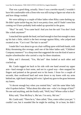That was a good thing, actually. Since I was a newbie myself, I wouldn't have felt comfortable with a Dom who was still trying to figure out what to do and how things worked.

We were talking to a couple of biker ladies when Riley came dashing up. He didn't quite tackle-hug me, but it was pretty close, and if I hadn't seen him coming we'd have probably both ended up sprawled in the grass.

"Hey!" he said, "You came back! And you lost the suit! You don't look like a dork anymore!"

I smacked him upside the head, not hard enough to hurt but enough to mess up his hair a little, which is the best revenge against Riley, who yelped and swatted at me. "Cut it out! The hair is sacred!"

I made like I was about to go on a hair-ruffling spree with both hands, with Riley threatening dire revenge, until one of the biker ladies said, "Children! Company manners!" in a sharp tone that suggested she was the kind of aunt or maybe schoolteacher who carried a crop for these situations.

Riley and I chorused, "Yes, Ma'am!" then looked at each other and cracked up.

Mr. Castle tugged me back to his side with one hand around my upper arm—hard enough to hurt some, and not in a good way—then snapped his fingers and pointed at the ground next to his boots. I froze for a couple of seconds, then swallowed hard and went down to my knees with my arms behind me, right hand clasping left wrist. I glued my gaze to the grass between my knees.

"A decent enough boy when you remind him," said the same biker lady who'd spoken before. "What about this other one—who's in charge of him?" No one said anything, and she finally said, "Well, boy? Whose collar is that?"

Riley said, "Don McIlroy's, Ma'am. I'm sorry, Ma'am."

Mr. Castle said, "There he is," then called, "Don, come collect your pet." I couldn't see, but it sounded like he might be smiling. Or at least, he didn't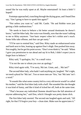sound like he was really upset at all. Maybe entertained? At least a little? I hoped?

Footsteps approached, crunching through the drying grass, and I heard Don say, "Am I going to have to spank him again?"

"Not unless you want to," said Mr. Castle. "He and Robbie were just getting a little rambunctious."

"He needs to learn to behave a bit better around dominants he doesn't know," said the biker lady. Her voice was friendly, now that she wasn't talking to me or Riley anymore. "Just basic respect when he's within arm's reach. Some folks take offense, and that can get nasty."

"I'll be sure to remind him," said Don. Riley made an embarrassed noise and knelt next to him, leaning up against Don's thigh. Don pushed him away. Not roughly, but he got his point across. "Don't even think it," he said. "When I gave you permission to run ahead and say hi to Rob, I didn't expect you to forget how to behave."

Riley said, "I apologize, Sir," in a small voice.

"I'm not the one to whom you owe an apology."

Riley tried again with, "I'm sorry, Ma'am. Umm, and… Ma'am?"

The second biker lady, who hadn't said anything yet, laughed. "He's right, we need a plural for 'Ma'am'. Two or more men are 'Sirs,' but 'Ma'ams' isn't a word."

"It sounds like what some country kid in a very old movie would've called his mother," said the first biker lady with a huff. She sounded like she thought it was kind of funny, and like it kind of ticked her off, both at the same time.

"That's because any individual Domme should have the full attention of anyone addressing her," said Don, which I thought was pretty damn slick.

The first biker lady snorted. The second one laughed again and said, "All right, for that I'll forgive your boy—clean slate. Make sure he appreciates it."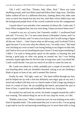"Oh, I will," said Don. "Thanks, Judy. Ellen. Nick." There was some shuffling around, and I saw Riley stand and follow Don's legs away. The biker ladies walked off too in a different direction, chatting about why older subs were so much less hassle but also less fun, until their voices faded away into the background people-buzz of the crowds scattered across the campground.

I stayed where I was and after a few moments of silence Mr. Castle said, "I know Riley instigated that, but you went along. I hope you know better now?"

I wanted to say *yes, of course*, but I honestly couldn't. I swallowed hard and said, "I'm sorry, Sir. I've seen some demos at Brandon's house, and I've read a couple of books, and I've seen a lot of porn, but I'm still trying to figure all this out. I don't… I don't know what we did wrong, and I'm afraid I'll do it again because I'm not sure what the offense was. I'm really sorry." My hand was clutching my wrist so hard I was losing feeling in my fingers on that side, and I had to focus on my breathing because I knew I'd start hyperventilating if I didn't. I'm used to being pretty quick on the uptake, to learning fast and having a good grip on what was going on around me, but I was feeling seriously stupid right then for the first time in long time, and I was afraid Mr. Castle would decide I was just too much of an idiot to waste his time on.

Mr. Castle was silent for a while, probably just a couple of seconds, but I was kneeling there with my shoulders hunched, staring at an ant climbing a blade of grass in front of me, and it seemed like forever.

Finally he said, "All right, come on." His hand ruffled through my hair, and he helped me up with a firm but definitely non-angry grip on my arm. I stood and walked with him over to a bench made of half a huge log sitting in front of a stand of trees. He sat straddling the bench, and patted the spot in front of him. I copied him and straddled the bench too, facing him.

He reached out and took my wrists, his hands wrapped around the cuffs I was wearing. The natural thing for me to do was clasp his wrists, so I did.

"Robbie, look at me." When I raised my eyes, he was looking at me with a kind of lopsided smile. "I do understand that you're new to this. I'm not going to get mad at you for not knowing something you've never been told, so long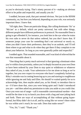as you're obviously trying. That's ninety percent of it—making an obvious effort to be polite and respectful, and usually you do."

I nodded, because yeah, that part seemed obvious. Not just in the BDSM community, no, but how you behaved, depending on your role, was seriously important there. I knew that.

"All right, then. There are particular things, like calling dominants 'Sir' or 'Ma'am' as a default, which are pretty universal, but with other things, different people have different preferences in protocol. No reasonable Dom is going to get offended if, for instance, you look him in the eye when he trains his own subs to never do that unless ordered, but you don't know that. If someone jumps your case for something that's not universal or nearly so, when you didn't know their preference, then they're an asshole, and I'll tell them where to go and what to do when they get there if they complain to me about your behavior. So long as you were generally polite and respectful."

I nodded again. That sounded reasonable, and I was kind of relieved that he *was* that reasonable about it.

"One thing that is pretty much universal is that ignoring a dominant when you're within close proximity, unless you're deeply focused on your own Dom or have been ordered by your Dom to stay quiet or withdrawn or whatever they asked of you, is rude. Your *submission* is for me alone so long as we're together, but you owe *respect* to everyone who hasn't completely fucked up. Riley's mistake was in coming bouncing up to you and starting to roughhouse while ignoring me and Judy and Ellen. He should've waited quietly for us to acknowledge him, then maybe asked you, as his friend, to introduce him to us—I'd have done that, since you were being quiet and I hadn't introduced you yet— and then asked my permission to take you aside so you could chat. Once you were out of range—call it reasonable conversational earshot—that would be the time to try to knock you down with a hug and start joking back and forth. There are ways of accomplishing all that without going hyperformal, but Riley didn't do it at *all*, and by acting like we weren't there when he was within arm's reach, he was rude. Does that make sense?"

"Yes, Sir," I said. "Thank you."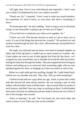"All right, then. You're very well behaved and respectful—I don't want you to think I'm displeased by how you conduct yourself."

"Thank you, Sir," I repeated. "I don't want to make any stupid mistakes, but sometimes it's hard to know, or even know that there's something *to* know."

"Everyone gets that," he said, nodding. "And so long as you're obviously trying, no one reasonable is going to get too bent out of shape."

"I'll try hard not to embarrass you when we're together, Sir."

"I know you will. That became obvious as soon as I got to know you at work. It's one of the things that attracted me, actually." He reached over and stroked a hand through my hair, like a slow, affectionate pet, then pulled me in close for a kiss.

The angle was awkward and our knees were kind of jammed together on either side of the log bench. I couldn't get as much contact as I wanted—Mr. Castle makes me want to sort of melt against him from the lips down—so I wrapped my arms around him, one at shoulder level and the other just below, feeling his body heat through the leather. That also stopped me from losing my balance and ending up in an awkward, back-wrenching angle with my nose squished against his chest, so hanging on to him was useful as well as fun.

Before we could really get into anything, though, Mr. Castle leaned back, looked over my shoulder and said, "Hey, Roy. Did you need something?"

I looked around and saw a guy about my age, Asian, in jeans and a white tank that showed off some decent muscles. He was wearing a pair of wide leather cuffs that didn't look at all like mine—they covered about six inches of each forearm, and didn't have any rings or anything on them. Scuffed leather boots and a seriously un-submissive posture made it obvious he was a Dom, if one of the younger ones around.

"Sorry to interrupt," he said, "but Tim heard you were back today and wants to know if you'd like any time on the schedule."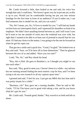Mr. Castle frowned a little, then looked at me and said, his voice low enough that only I could hear, "We haven't gone very far in private yet, so this is up to you. Would you be comfortable having me put you into serious bondage for the first time in front of an audience? If you'd rather not, I can find someone else to model for me, and you can watch."

"No, Sir! I mean, yes, Sir, I'd love to model for you." I still had my hands on him from our interrupted clinch, and I squeezed his shoulders as kind of an emphasis. We didn't have anything formal between us, and I still wasn't sure he'd want to see me outside of work once the weekend was over with, but right then I wanted to be able to at least sort of pretend to myself that he was mine. If I had any choice in the matter, I was going to be the one he focused on when he got his ropes out.

That got me a smile and a quick kiss. "Good, I'm glad." He looked over at Roy and said, "Sure, we'll be here till at least dinnertime." Then he glanced between the two of us and added, "Have you two met?"

I said, "No, Sir," and Roy shook his head.

"Roy, this is Rob. He goes to Brandon's, so I thought you might've run into each other."

Roy said, "Hey, good to meet you. I haven't been in a while—my advisor has me running around finding the most esoteric crap for him, and I've been trying to do my own research in all my copious spare time."

I grinned and said, "I feel for you. I just got my MBA this last June and it was pretty insane for a while."

"Business, ick!" Roy gave me a teasing shudder. Then he said to Mr. Castle, "I'll let Tim know you're good with taking a slot, and let you know what he's got for you."

Mr. Castle said, "Sounds good, thanks." Roy waved to us both and left us alone.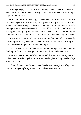"He's a good guy," said Mr. Castle. "Young, but with some experience and a clear head. He doesn't have a sub right now, but I've known him for a couple of years, and he's safe."

I said, "Sounds like a nice guy," and nodded, but I wasn't sure what I was supposed to get from that. I mean, it was good that Roy was a safe Dom and knew what he was doing, but how was that relevant to me? Was Mr. Castle saying that when he was done with me, I should try to hook up with Roy? He was a good looking guy and seemed nice, but even if I didn't have a thing for older men, I wasn't about to go on the prowl for a new Dom any time soon.

Or was I? Mr. Castle had said he was serious, but that didn't necessarily mean long-term. Maybe he just wanted my serious attention for as long as it lasted, however long or short a time that might be.

Mr. Castle tapped me on the forehead with two fingers and said, "You're thinking too hard. I can hear you. Shut off your brain and come here."

Before I could move, he lifted me up with his hands under my ass and pulled me into his lap. I yelped in surprise, then laughed and tightened my legs around his waist.

"There," he said, "much better," and then he was kissing the stuffing out of me. Not being completely stupid, I relaxed and went with it.

\*\*\*\*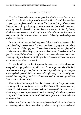## CHAPTER FIFTEEN

The slot Tim-the-demo-organizer gave Mr. Castle was at four, a time when, Mr. Castle said, things usually started to kind of wind down and get tangled up as people wrapped afternoon stuff and started doing different dinner things, either cooking or figuring out where to eat. Mr. Castle hadn't let me eat anything since lunch—which sucked because there was Indian fry bread, which is awesome—and cut off liquids at a little before three. Because, he said, running to the bathroom when you were in full-body rope bondage was kind of problematic.

So at three-fifty I was neither hungry nor full, and neither thirsty nor full of liquid, kneeling in one corner of the demo area, hand clasping wrist behind my back. I watched while a guy who'd been demonstrating hot wax play on his cute female sub cuddled his girl, got her a bottle of water, then cleaned up his gear. Once they'd cleared out, a couple of bikers removed a sheet that'd been covering a big, sturdy-looking folding table in the center of the demo space and tossed a new, clean one over it.

Mr. Castle laid two hanks of rope on the table, one black and one red, along with a large pocket knife, which was for emergencies. The silk-blend rope he used was expensive, but he said that if I panicked or got a cramp or anything else happened, he'd cut me out of it right away. I hadn't really been worried about anything like that until he mentioned it, but having that knife there was sort of comforting.

He'd retrieved his backpack from the bike and left it on the ground next to me, along with both our jackets and my folded T-shirt. The breeze was cool, but Mr. Castle had asked if I minded the bare skin—he said the color contrast with the ropes would be pretty—and I said no. Having his hands on my skin or on my shirt? It would've had to be a lot colder to get me to choose to have a shirt on for that.

When he nodded to me, I climbed to my feet and walked over to where he was standing in front of the covered table, and stood facing him, wrist clasped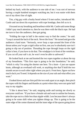behind my back, with the audience to one side of me. I was sort of nervous having a couple hundred strangers watching me, but it was easier with them out of my direct line of sight.

Tim, a big guy with a bushy beard whom I'd met earlier, introduced Mr. Castle and ran down his experience with rope bondage, then left us to it.

I focused on my breathing and heartbeat while Mr. Castle said some things I didn't pay much attention to, then he was there with the black rope. He had me turn to face the audience, then got going.

"Folding the rope in half is the easiest way to find the center," he said. "Loop it around the back of the neck. Never the front." He turned and gave the audience a hard stare. "Seriously, *never* loop a rope around the front of the throat unless you've got a rigid collar on first, one you're absolutely sure isn't going to slip out of position. Threading the rope through loops *on* the rigid collar is best, if you have to do that. The windpipe is in front of the vertebrae. If you cut off your sub's air, he won't even be able to safeword."

He looked back at me and knotted the two ropes together at about the top of my breastbone. "This first rope is going to be the foundation," he said, "which is why I'm using the shorter one here. Tie a knot—I just use square knots, although an overhand will work, or anything else that'll hold the two strands secure to each other right where you put it. From here, figure out how much slack you'll need. It depends on the size of your sub and what effect you want."

I looked down and saw him pull the two ends apart at an angle, then pinch the ropes with his fingers and thumbs at a point where they were not quite half way to my nipples.

"I like it about here," he said, stepping aside and turning me slowly so everyone could see. "If you have a female sub and want to outline her breasts, take the rope out to a little less than nipple width. Less because there's always going to be some shift when you tighten things up. This is going to be the outer edge of the center diamond and the inner edge of the spaces going down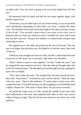on either side. Your next knot is going to be twice that length from the first one."

He measured with his hands and tied the two ropes together again, with another square knot.

"From here, you can either space all your knots evenly, or you can position each individually, depending on what effect you want. I usually like them even." He tied three more knots down the length of the ropes, leaving a couple of feet of tail. "You can pull a loop in this if you want, or tie a bow, just to keep the ends out of the way while you work. I wouldn't tie a bow with a male sub, but that's just me." He gave the audience a crooked smile and got some snickering in return.

He stepped over to the table and picked up the coil of red rope. This one was a lot longer than the black one. He folded it to find the center, then said, "Arms up."

I lifted my arms straight out from my sides, and Mr. Castle looped the rope around me so the center was at my back, right below my shoulders.

"Here's where it starts to come together," he said. "Under the arms," and he wrapped the rope around to my front, "then the ends go through either side of the first knotted space." He threaded each end through the loop, pulling the space into a triangle.

"Now, back under the arms." He wrapped the red rope toward my back, then said, "Arms down." I lowered my arms and he ordered, "Hold the ropes with your arms." Then to the audience, "It really helps to have your sub's cooperation here. If you like having your sub struggling, you'll probably need a helper. Maybe two. This style is about looks, not just secure restraint."

He passed the ropes, one at a time, around the outside of my arms, then back underneath to the back, then adjusted both sides so they were secure without being too tight. Then he had me turn around so my back was to the audience.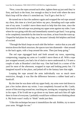"Now, cross the ropes around each other, tighten them up just until they're firm, and back to the front, low enough so they're level with where the next black loop will be when it's stretched out. You'll get a feel for it."

He turned me to face the audience again and wrapped the red rope around my chest, this time at a level just below my pecs, threading each rope under one of my arms. I couldn't move them much to help him this time, since the first stretch of the red rope was pinning my upper arms against my sides. I saw where he was going with this and immediately started to get hard. I was going to be completely immobile by the time he was done, at least from the waist up. I hoped he had plans for my legs, too, because I already felt helpless and kind of excited.

"Through the black loops on each side like before—notice that as you add tension down the black structure, the spaces turn into diamonds—then around to the back again, with a loop around the arms. Then just keep going."

The red rope zigzagged back and forth around my torso, squeezing, compressing, trapping my arms so I couldn't move them at all. With a rope just wrapped around, you had a lot of slack to move underneath it; I'd seen a couple of subs at Brandon's tied that way. One had knelt in a corner of the yard for most of the afternoon, wrapped in rope and looking pretty hot. I'd imagined myself in her place, and jerked off to the fantasy later that night.

Looping the rope around the arms individually was so much more restrictive, though, it was like the difference between a rubber band and a handcuff.

By the time he was done with my upper body, my arms were tied down to just a few inches above my wrists. I was completely focused on Mr. Castle, aware of him moving around me, touching me, turning me, wrapping my body in his ropes. If he'd told me to go down to my knees and suck him off right there in front of everyone, I probably would have without even thinking about it. My brain wasn't really in "think" mode just then.

"I like this technique because it immobilizes the sub. Robbie, try to move your arms. Wriggle for me."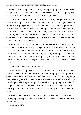I obeyed, squirming back and forth, looking for play in the ropes. There was pretty much no give anywhere. It felt awesome, and I was pretty sure everyone watching could tell I had a hard-on right then.

"This is just a basic application," said Mr. Castle, "but you can do a lot with this technique. You can make the foundation longer—imagine the black rope structure going down the back as well. In that case, the red rope would go back and forth down each side. Two red ropes would make the whole thing neater. You can also leave the arms free and just bind the torso– that forms a corset tie, and your sub can wear it under street clothes without attracting attention from mundanes, especially if you use a thinner cord. The hardest part here is maintaining even tension."

He had me rotate slowly and said, "I'm a perfectionist, so I like everything even, with all the lines and spaces symmetrical and balanced. Sometimes you'll need to make some temporary knots to tie off one side and maintain tension while you work on another side, especially if you get into the more complicated applications of this technique. If you don't care about symmetry or neatness and just want to see your sub covered in rope, you can do whatever you want."

There were a few more laughs at that.

"How to finish is up to you," he said, "although you'll want to secure the bottom somehow to prevent the structure from riding up and losing tension. You can take the ends down the crotch and do all sorts of interesting things there, whether your sub is male or female. You can start with the black rope much longer and run a pair of ropes down each leg, zigzagging back and forth, using the same twist on each side that you used down the back of the torso. I tend to get impatient right about here, so I'm going to go for something simple."

He helped me move back until I was right in front of the table, his hands on me, helping me keep my balance, since if I lost it and fell I wouldn't be able to catch myself.

"Up on the table."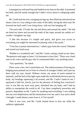I managed an awkward hop and landed on my butt on the table. It protested but held, and felt sturdy enough that I didn't worry about it collapsing under me.

Mr. Castle had me turn, swinging my legs up, then lifted me and moved me about a foot so I was sitting in the center of the table, facing the short end. He lowered me back until I was lying down, with my feet hanging off.

"On each side, I'll take the red end down and around the ankle." He had me bend my knees and secured the ends of the ropes around my ankles so I couldn't straighten my legs.

"I like this because it's simple and quick, and gives you access to everything you might be interested in playing with at this point."

"Your boy is pretty interested too," called a guy from the crowd. I blushed and turned my head away.

"Robbie is a wonderful sub," said Mr. Castle, resting a hand on my chest. "Responsive and eager to learn. I'm fortunate to have him." There was a hard note in his voice and the guy who'd commented didn't say anything more.

"Any questions," he asked.

There were a few, but I tuned them out. The embarrassment of having my bulging jeans pointed out in front of a bunch of strangers faded, and I just lay there with my eyes closed. Without vision, my sense of touch seemed to intensify, and the feel of the tight ropes made the world shrink down to just my body, my bondage squeezing it all around, and Mr. Castle's hand on me. I squirmed a little bit, slowly, just for the pleasure of feeling how restricted I was. It was like my arms were *gone*, absorbed into my body, and I had no ability to manipulate the world at all. I lay there completely powerless and passive, dependent on Mr. Castle for anything and everything. I was sinking into my own helplessness and his domination over me, and it was such a thrill I thought I could almost come from it, if I let myself.

Then it was over, and Mr. Castle leaned down to kiss me while the audience applauded.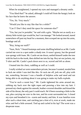When he straightened, I opened my eyes and managed a dreamy smile.

"You liked that?" he asked, although I could tell from the hungry look on his face that he knew the answer.

"Yes, Sir. Very much."

"Would you like to stay like that for a while?"

"Can I? Don't they need the space for someone else?"

"Yes, but you're portable," he said with a grin. "Maybe not as easily as a skinny little twink type would be, but I can manage." He looked around, stared somewhere off past my head for a moment, then scooped me up into his arms, bondage and all.

"Roy, bring our stuff?"

"Sure, Nick." I heard footsteps and some shuffling behind us as Mr. Castle carried me over to a spot under a shady tree. It wasn't grassy, but the ground was spongy with loam. Mr. Castle set me down, settled himself under the tree with his back to the trunk, then shifted me into his lap. Roy set our jackets, my T-shirt and Mr. Castle's pack down next to us, waved and left us alone.

I leaned into his chest, cuddling as well as I could.

I really wished we were somewhere private, because I wanted, *needed* him to fuck me while I was tied like this. Or suck me off, jerk me off, play with me, *something*, because I was a bundle of helpless ache and need and not being able to do anything about it was going to make my balls explode.

"You're such a sweet boy." Mr. Castle tightened his arms around me, rubbing my back over the tight ropes and pressing a kiss into my hair. I pressed my cheek against his smooth, leather-covered shoulder and kissed the side of his throat, the only part I could reach. He'd been sweating a little in the sun, plus carrying me over to the tree, and his scent surrounded me. I closed my eyes and breathed it in—warm and musky and him. It was familiar even after such a short time, and catching just a hint of it, even at work, made me relax and feel a little aroused. Tied up and curled in his lap? The scent was a desperate tease.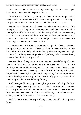"I want to fuck you so bad it's driving me crazy," he said, his voice quiet but intense. "I wish I could teleport us home."

"I wish so too, Sir," I said, and my voice had a little more urgency to it than I would've chosen to show, if I'd been thinking about it at all. He hugged me again and made a low noise that sounded like a frustrated growl.

I could hear a blurred buzz of voices from where we sat at one end of the campground, with laughter or whooping here and there. Occasionally a motorcycle rumbled in or roared out of the nearby bike lot. A sharp cracking sound and cry of pain marked the start of the next demo, not too far away; I could almost make out the just-unintelligible voice of whoever was instructing, commenting in between strikes.

There were people all around, and a sexual charge filled the space, flowing through the huge, outdoor area. We were all there for the same thing, more or less, and no one was likely to be offended by whatever anyone else might choose to do, or if they were, I figured they'd probably hide it because dissing someone else's kink is pretty uncool.

Despite all that, though, most of what was going on—definitely what Mr. Castle and I had done for the last hour or however long it'd been—was foreplay, bottom line. Not for everyone, because there are people who are into D&S but don't have sex when they scene, but I'll admit I don't get that, not at the gut level. I never did, but right then, having had my first real experience of complex bondage with an expert Dom I was totally gone on, it was a lot of other things too, but it was definitely foreplay.

And it was *good* foreplay, good enough to get me so worked up I felt like I was going to spontaneously combust if I couldn't get some relief, but there was no way to move on to the obvious next step unless we could borrow a tent from someone. Even then, I didn't know that I'd really want to have everyone walking by within fifty feet hear what we were doing.

Fuck it, that's a lie. The way I felt right then, I wouldn't have given a damn.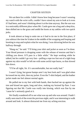# CHAPTER SIXTEEN

We sat there for a while. I didn't know how long because I wasn't wearing my watch with the wrist cuffs, couldn't have raised my arm to look at it even if I had been, and wasn't thinking about it at the time anyway. But the sun was in a noticeably different place when Mr. Castle gave me a hug and a deep kiss, then shifted me to the grass and undid the knots at my ankles with two quick jerks.

It took almost as long to untie me as it had to tie me in the first place, if you subtract the time he'd taken in the middle of the wrapping and looping and knotting to stop and explain what he was doing. I was shivering before he was halfway through.

"Hang on," he said. "I'll bring your shirt and jacket as soon as I'm done. Your blood pressure is dropping some with the release of tension and that's chilling you down. It'll pass in a little while." He kept working while he talked, but he couldn't go very fast—pulling a rope too fast out of a tight loop against my skin would've left me with some awful rope burns, so that slowed him down.

"I'll be all right, Sir. It's uncomfortable, but not really bad."

I wasn't lying, but goose bumps aren't my best look and I was glad when he tossed me my shirt, then my jacket. Even the T-shirt helped, and the leather jacket made me feel almost normal again.

He pulled me to my feet with both hands, then backed me up against the tree and kissed me again, long and slow, making my bruised lip flare. I was figuring out that Mr. Castle was *really* into kissing, which was fine by me 'cause he's seriously good at it.

We finally wandered off to see what was up and who was around. I hadn't really seen much of the event the previous night, and it was interesting to walk around and look. It *almost* distracted me from my aching erection.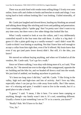There was an aisle lined with vendor tents selling things I'd only ever seen online, from cuffs and clothes to books and benches to studs and slings. I was trying hard to look without looking like I was looking. I failed miserably, of course.

Mr. Castle just laughed and slowed down, hauling my blushing ass around and talking about things like stitching and rivets and padding and penetration. I saw something called a "spider gag" that I'm pretty sure I don't want to try any time soon, but there were a few other things that looked like fun.

What I really wanted to look at was the collars, and I very deliberately controlled myself in the four tents that sold them. A collar is a big deal—I guess it's like a plain gold ring to a vanilla woman?—and I didn't want Mr. Castle to think I was hinting or anything. Not that I knew him well enough to accept a collar from him right then, even if he'd offered. My brain knew that even if my gut (and parts lower down) didn't. But still, it's the idea, you know?

We moved on without buying anything, and when we'd looked at all the vendors, Mr. Castle said, "Let's go for a walk."

Since we'd been walking, I was okay with doing more of it, so I said, "Fine with me, Sir." He steered me over to the edge of the campground, opposite the rec building and the bike lot, and we headed off down a trail into the woods. We just kind of ambled, not heading anywhere in particular.

"It's been too long since I did this," said Mr. Castle. "I like living in the valley, high tech and high-rises and lots of activity. And I love my bike, especially when I can just go for a ride away from traffic. But I like nature, too—it's relaxing and quiet. I wouldn't want to live in the woods, but it's a good place to take a break."

"I guess," I said. "I mean, I like it here. I've never been camping or anything, though—my family wasn't into it. It's cool, something different. Usually a forest is just something I see on TV or in a movie, you know?"

"Really? Huh. We'll have to fix that."

"Yes, Sir."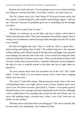He gave me a look and said, "I'm not going to put you on a leash and drag you along on a twenty-mile hike. If you don't want to, you don't have to."

"No, Sir. I mean, sorry, yes. I don't know if I'd be up to twenty miles, but this is good. I'm fine being here, and wouldn't mind doing it again." I did *not* say "with you" because I'd probably grow tits or something, but the thought was there.

"We'll have to pencil that in, then."

"Maybe we could go out on the bike, and stay in places where there's forest and do shorter walks? Then ride somewhere else and do it again? Sort of seeing a lot of wilderness without having to hike through every bit of it? Is that even a thing?"

He kind of laughed and said, "Sure, it could be. That's a good idea motorcycling and hiking, best of both." We walked along for a few minutes without talking, and I looked around at the big rocks and bigger trees, gnarled roots bulging out onto the side of the trail. A sort of ditch ran along the other side that looked like it'd been cut by water. There was all kinds of nature stuff I'd never really seen in person before. I spotted a little grey lizard clinging to the side of a tree; it scuttled around to the other side out of sight when we passed by.

"So your parents never took you anywhere out of the city?" Mr. Castle asked. "I don't think I've ever known anyone who's never been camping before, not even once."

"No, never," I said with a shrug. "My parents just weren't into it. We went to Disneyland when I was eight, and we went to Great America once every year or two. We went to movies, and Chuck E. Cheese—I was pretty good at Skeeball when I was a teenager and had a big shoebox full of tickets, although I never traded them in for anything. But except for that one Disney trip, we never did anything major, vacation-wise, when I was a kid. And now we hardly see one another."

"Did they have a hard time about you being gay?" His voice lowered, like he was ready to be sympathetic, but I shook my head.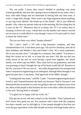"No, not really. I mean, they weren't thrilled or anything—my mom wanted grandkids, and now she's going to have to depend on my sister, who's busy with other things and not interested in having kids any time soon. It wasn't a huge deal, though. There wasn't any huge argument about anything, or any big event labeled 'the break-up of the family'. We're just different people. Like, when my parents wake up in the morning, the first thing they do is turn on the TV. Whenever they're at home, the TV's on unless they're sleeping. It drives me crazy. I think that was the number one reason I moved out as soon as I could afford it, even though I went to UA and could've lived at home the whole time."

"Do you see them very often? Sunday dinners?"

"No, I don't. Dad's a VP with a big insurance company, and they transferred him to St. Louis three years ago. I fly out for Christmas, and call on their birthdays and Mother's Day and Father's Day. We e-mail sometimes. We're just not that close." I thought for a moment, then added, "You know, I think the closest we've felt, or at least the one time I felt like my dad was really proud of me and we were having a good time together, the whole family, was when I got my MBA. They came out for my graduation, and Dad was grinning so hard I thought the top of his head would fall off. Business is his life, you know? He was sort of... not really disappointed, but unimpressed when I majored in engineering as an undergrad, although Mom thought it was great because she's a mechanic. Dad approved of the MBA, though."

"Getting both was smart," said Mr. Castle. "I learned engineering because I loved it, and I learned business the hard way because I had to, because I was determined that no asshole in a suit was going to take my company away from me. Most of the people in this business do one or the other, either the business or the tech. Having both is valuable."

"I'm glad you're happy with my work, Sir."

That got me an eye roll and a smack on the shoulder. "Don't pretend you don't know how good you are. For someone who's been with the company less than a month, you've slid right in. A few people thought at first that you were the gay equivalent of the little blonde secretary with huge boobs and no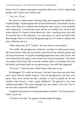brains, but I've gotten some great comments about you. You're impressing people, and I expect you to keep it up."

"Yes, Sir. I'll try."

We came to a little stream trickling along, and stopped in the middle of a wooden bridge. I leaned against the rail and looked down. The stream was less than a foot deep, but I figured that during the rainy season it was probably more impressive. A breeze blew past, and the air smelled cool, all trees and water and soil. It's funny to think about soil—dirt—smelling clean, but it did. It's not like dirt on the sidewalk, or in your house. It's more the kind of dirt that belongs where it is and has things growing in it. It's hard to explain why that's different, but it is.

"What about you, Sir?" I asked. "Are you close to your family?"

"Not really. My grandparents raised me, and they've both passed away. My mom had me when she was twelve, then she left me with her parents and ran away from home. Or maybe something happened to her, I don't know. We never heard from her again. I never knew her except from photos." He said it in a matter-of-fact tone, like it was the weather report, or a listing of the cars his family had owned while he was growing up. Just stuff that happened.

"I'm sorry," I said, because I didn't know what else to say.

He shrugged. "It's really not an issue. You don't miss what you never had, and I never had my mother around. I had my grandparents, and they were great. They never treated me like a burden, or tried to punish me for my mother's bad choices. I had a good childhood." He glanced at me, then smirked and added, "We went camping every year when I was a kid. You're the one with a deprived childhood."

I laughed and leaned over to bump shoulders with him. "You'll just have to make it up to me."

"I'll have to do that," he agreed, and that made me happy.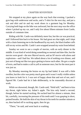#### CHAPTER SEVENTEEN

We stopped at my place again on the way back that evening. I packed a gym bag with underwear and socks, and a T-shirt for the next day, and put a suit and shirt and tie and my work shoes in a garment bag for Monday. Carrying both bags on the bike was awkward, but the next stop was the office where I picked up my car, and I only live about fifteen minutes from Castle, outside of commute time.

Riding with Mr. Castle was definitely more fun, but the car was practical, and I followed him back to his house. We had great sex that night, and I slept with a chain fastening me to the headboard by my neck, the black leather cuffs still on my wrists and Mr. Castle's arm wrapped around my waist from behind.

Sunday we went to see a couple of movies, with an early dinner in the middle. It was kind of weird doing something so normal and date-like, but the movies were good—the new Marvel movie, and an SF movie with aliens and explosions—and I had fun. We talked about a lot of nothing over dinner, and just sort of hung out like two guys getting to know each other. He got a couple of texts, and had to make a call to yell at someone once, but for the most part it was just us.

By Monday morning the bruise on my lip had faded. It was still a little swollen, but the color was pretty much gone and it wasn't really visible unless you knew to look for it. I was sort of happy about that and sort of not, and I figured Mr. Castle had let it fade deliberately, to be reasonably discreet at work.

While we showered, though, Mr. Castle said, "Hold still," and bent to kiss my throat, right below my Adam's apple. The kiss only lasted a second, though, before he started sucking. He sucked hard for almost a minute, then bit, carefully, increasing the pressure of his teeth until I was gasping in short, pained breaths. He held the skin of my throat in his teeth for another minute or so, then backed off to sucking again, then let go.

"There," he said, and went back to washing.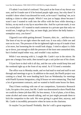I'll admit I was kind of confused. That patch at the front of my throat was sore, and he'd made sure it'd be bruised purple right away, but why there? It wouldn't show when I was dressed for work, so he wasn't "marking" me, as in staking a claim to other people. Which I was just as happy about because I wasn't sure I wanted to walk into the office with the boss while showing a hickey, on my neck or my lip or anywhere else. And for a private mark, it was in a weird place—if I wanted to mark someone in a private spot that only we would see, I might go for a hip, an inner thigh, just below the belly button someplace sexy, you know?

I figured it out while getting dressed. Trousers, shirt, tie… and that was it. The knot of my tie sat right where the mark was. It was only a little raw and sore on its own. The pressure of the tie tightened right on top of it made it hurt a lot more, but loosening the tie would look sloppy. I tried to adjust it a little up or down, just enough to shift the pressure of the knot onto unmarked skin, but it looked stupid either way, and wouldn't stay anyhow.

While I was messing with it, I caught Mr. Castle's eye in the mirror. He gave me a hungry lion smile, then turned to get a suit jacket out of his closet.

I'd just have to deal with it all day, and the raw ache would keep him and the weekend right up at the front of my mind. As if I'd need a reminder.

The office was in Monday mode, and we had mail to read and stuff to sort through and meetings to go to. In addition to the usual, the Pinelli project was coming to a head. We were heading back East on Wednesday for meetings with Pinelli Systems Integration, a big SI house we were romancing. They had a lot of government contracts, and we wanted to build some boxes for them.

They'd been working with one of our competitors, Syntronics Research Labs, for quite a few years, but Mr. Castle was determined to show Pinelli that we could do a better job than SRL for less money. A lot of plans, a lot of data, some alcohol and some smooth talking, and we just might persuade them to kick the competitor to the curb. We were giving it a good shot, anyway, and Mr. Castle is incredibly persuasive when he turns on the charisma.

Or maybe I'm just biased? Probably. But he's still a great negotiator.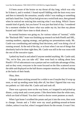I'd been aware of the bruise on my throat all day long, which was why he'd done it, and it worked. I found myself fiddling with the knot every now and then to intensify the sensation, usually while I was reading or something and had a hand free. Greg Wyatt had given me a weird look once, then grinned when he noticed me noticing him noticing what I was doing. Which I know sounds kind of goofy, but you know? It was just that kind of day. I wondered for a moment whether he knew what was under my tie, but then my phone buzzed and I didn't have time to think about it.

So normal business was going on, for various values of "normal," while the "Backstab SRL" team was finishing up research on both Pinelli and SRL, running numbers, arguing strategy, and getting our presentations ready. Mr. Castle was coordinating and making final decisions, and I was doing a lot of running around. At the end of the day, or at least when I ran out of things that absolutely had to be done right then, Mr. Castle was still in the war room with the rest of the executive types.

I poked my head in and asked if anyone needed anything. Mr. Castle said, "No, we're fine, you can take off," then went back to talking about how Pinelli's VP of subcontracts was a partyer and we could take advantage of that, and on they went, everyone in the room focused on the files scattered across the table and displayed on the half dozen computer monitors, with me looking at the backs of their heads.

#### Okay, then.

I thought about sticking around for a while to see if maybe they'd wrap up soon, or end up needing some help after all, but then I figured that was way too pathetic so I did what Mr. Castle said and took off.

There was a grocery store on the way home, so I stopped in and picked up dinner, a strip steak and a sweet potato. I like them better than the white ones, which are kind of bland. You don't need to doctor sweet potatoes as much.

When I got home I scrubbed the potato and put it into the oven, then went to change. Sweats and a T-shirt were my usual grubbing-around-at-home clothes, unless it was hot, when I swapped shorts for the sweats. It wasn't hot.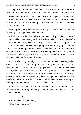Taking off the tie felt like a loss. Which was kind of ridiculous because I really didn't want to wear a tie when I was slobbing around at home, but still.

When I got undressed, I rubbed the bruise with a finger, then went into the bathroom to look at it in the mirror. It'd bloomed a dark red-purple, and there were darker blotches in the upper right and lower left where Mr. Castle's teeth had dug in extra hard.

Looking at it got my dick swelling. Pressing on it made it worse. Or better, depending on how you wanted to look at it.

I'd told Mr. Castle I wanted to experiment with pain play in a sexual context, and he'd been taking me there. I still wanted to try impact play—if he could make me feel anywhere near as good with a paddle or a flogger or his hand as he could with his teeth, I was going to turn into a major pain slut—but I didn't have any complaints about what he'd done so far. No complaints at all, except maybe that I wanted more and I was having a hard time moving back to normal-life mode by myself. I'd only spent a weekend with him; I wasn't supposed to be this dependent this fast.

It was kind of scary, actually. I mean, submissive doesn't mean dependent. Subs have to be strong, able to figure out what they did and didn't want, able to negotiate that with the Doms they played with. You have to *have* power before you can give it to someone else. If you grant power to someone else because you *can't* take responsibility for your own life, that's not healthy. I knew that, and even so, I was standing there staring into my bathroom mirror, wondering what Mr. Castle was doing and whether he was missing me, thinking about me the way I was thinking about him.

I turned away from the mirror and pulled on a T-shirt. I couldn't put the steak in for a while, so I grabbed my phone, flopped down on the couch and texted Brandon.

*U free 2 talk?*

A minute later the phone rang.

"Hey, Rob, what's up?"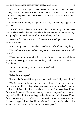"Just… I don't know, just wanted to BS?" Because once I had him on the phone, I wasn't sure what I wanted to talk about. I sure wasn't going to tell him I was all depressed and confused because I wasn't sure Mr. Castle liked me. Uh, yeah, no.

Brandon wasn't dumb, though, so he said, "Something happen this weekend?"

"Sort of. I mean, there wasn't an 'incident' or anything, but I've never spent a whole weekend—or even a whole day—immersed in the community, and going back to work has me a little freaked out, you know?"

"Does the fact that you work in the same office with your Dom make it easier or harder?"

"He's not my Dom," I pointed out. "He hasn't collared me or anything."

"No, but he made it pretty clear that you're his and everyone else should back off."

"Yeah, but I'm not sure what that means. I mean, it was great while we were at the meet-up, but then bam, nothing, and I don't know what to… I don't know."

"So this is about today, not so much the weekend."

"I guess, yeah."

"What did you expect?"

"It's not like I wanted him to pin me to the wall in the lobby or anything!"

"No, I mean seriously, what did you expect him to do, or expect that the two of you would be doing, when you went in to work today? If you're confused and disappointed, you must have been expecting something different from what happened. Figure out exactly what you expected and why you expected it. Then look at what happened and figure out why it was different from what you expected. Maybe you can work out on your own where the disconnect happened, and that'll be satisfying. If not, you need to talk to Nick about it, and make sure you're both on the same page."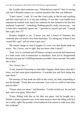Oh. Usually when someone says, "What did you expect?" they're razzing you, but if Brandon meant it as a serious question then that was different.

"I don't know," I said. "It's not like I had a plan, or like he said anything and then went back on it. It was just *nothing*—it was like I was hardly even someone he worked with, much less someone he had chained to his bed this weekend. I expected… something. Nothing specific, really, but not just… not to have him completely ignore me." I growled to myself and said, "I sound like a girl, don't I?"

Brandon laughed at me. "I know you met a bunch of Dommes this weekend, plus you know a few from Saturdays. Try asking any of them if you 'sound like a girl' and see what it gets you."

The mental image of what'd happen if I were ever that dumb made me wince. "No, I know, you're right. But you know what I mean?"

"Sure. You're confused and off balance trying to reconcile full immersion at a kink event with re-immersion in mundania. And you're disappointed because your guy isn't fulfilling fantasies you didn't know you had. Not really fair to him."

"No, I know, but—"

"Look, instead of focusing on what didn't happen, think about what did. I know you had some great experiences—I watched you and Nick doing that rope demo."

The memory of that made me shift on the couch, my body responding to just the thought. "Yeah, that was awesome. I just wish we could've had some privacy after."

"I know what you mean," said Brandon. "I really envied you. So you had that, and it was great. What else?"

"Umm. Riding with him on his bike was great. And he bought me a helmet, a pretty expensive one, so he must mean to have me riding with him for a while, right? He wouldn't have bothered if he meant to walk away after this weekend."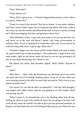"True. What else?"

"Great shower sex."

"Okay, Nick's great at sex—I'd kind of figured that anyway, so let's take it as a given. What else?"

"Umm, we went to the movies? And out to dinner. It was pretty ordinary and I don't know if that counts, but we hung out and talked. We took a walk at the event, out into the woods, and talked about stuff. It wasn't exactly exciting, but I liked just hanging with him and getting to know him."

"That definitely counts. A guy who just wants to tie you up and fuck you and move on to the next sub doesn't bother with long conversations or ordinary dates. If you're hoping he'll eventually collar you, if you want to be with him long term, that's a good sign. What else?"

I brushed a finger over my throat and the bruise flared with pain, it made me squirm and want to keep touching it. "He marked me, a huge hickey with teeth marks, right on my throat where the knot in my tie was pressing it all day. It was damn distracting, but I liked it a lot."

The phone was silent, then Brandon sighed. "Rob? Hello? Anyone in there?"

"Huh?"

"Rob, that's… Okay, look. He bruised you up, and made sure it was in the one place that you'd be feeling, thinking about, aware of, all day while you were running around at the office in your little suit and tie. Did it occur to you that he intended that?"

"Of course! It's not like he did it accidentally!" I felt like Rob thought I was stupid, and I didn't know what he was getting at so I *felt* stupid, which was pissing me off.

"What I mean is, he intended for you to be thinking about him all day, feeling his mark on you? Like maybe he knew he was going to be busy with work all day, knew he wouldn't be able to give you any personal attention, so he gave you that mark that you'd be feeling *all day long* so you'd know he was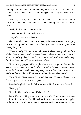thinking about you and that he'd marked you as *his* so you'd know who you belonged to even if he couldn't be reminding you personally every hour on the hour?"

"Uhh, no, I actually didn't think of that." Now I was *sure* I'd had an attack of stupid, but I felt a lot better about Mr. Castle ditching me all day, so I didn't care.

"Well, think about it," said Brandon.

"Yeah, thanks. Shit, seriously, thank you."

"No prob. It's what I'm here for."

I heard a rueful note in Brandon's voice, and some manners came popping back up into my head, so I said, "How about you? Did you have a good time? Do anything fun?"

"Yeah, actually." His voice perked up and I relaxed, ready to listen for a while. "I met a guy from Gilroy named Trenton who was there with a tent and all, so I actually got laid." I heard a tease in that, so I just huffed loud enough for him to hear that he'd gotten a rise out of me.

"I've usually played with people who are into ropes or leather, but Trenton's into chains and metal cuffs. The feel is different, harsher. I don't know if I'd want to switch over completely to metal, but it's fun as an option. Made me feel smaller, or like I was in trouble, if that makes sense."

"Sure," I said. "I can see that." I paused then said, "Trenton? Should we be discussing ways to get back at his parents?"

Brandon laughed. "No, that's his last name. His first name is Edward."

"Poor guy."

"Exactly. He's really pissed off about that."

We shifted to talking about work for a while. Brandon does software configuration control, so I told him about Julie and he was properly boggled by the situation. He told me about turning down a raise that would've had him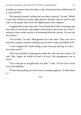working on a project where the legacy code, all one point three million lines of it, was in BASIC.

"No amount of money could get me over there, seriously," he said. "Which is why they offered me twenty-eight percent. Nobody wants to work on that code, so the people who do are the highest-paid in the company."

I boggled back at him, then said, "You'd think that if they're having to pay that much of a premium to get people on the project, they'd just say 'Fuck it' and pay to have a team rewrite it in something from this century. Or even late last century."

"You'd think," he said. "Management isn't that smart. They won't do it until they can get a customer willing to pay for the re-code, and nobody will."

"I can't imagine Mr. Castle letting a train wreck get that big. It's been… how many years?"

"Nick was probably in kindergarten when this code was first written," he said. "But I agree, he would've fixed it by now. Our management, not so much."

"You could put in an application at Castle," I said. "It'd be cool to have you in the building."

"If they keep pushing me at this mass of rotting spaghetti, I'll think about it."

\*\*\*\*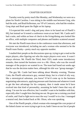### CHAPTER EIGHTEEN

Tuesday went by pretty much like Monday, and Wednesday we were on a plane for North Carolina. I was sitting in the middle seat between Greg, who had the aisle, and Brad Kellerman, our VP of Contracts, who had the window. Greg slept and Brad spent the flight on his laptop.

I'd expected this week's dog and pony show to be based out of Pinelli's HQ, but instead we'd rented a conference room at our hotel. Mr. Castle and I had a suite, and within an hour of check-in the living/dining area looked like an office, with multiple computers and phones and binders scattered around.

We met the Pinelli team down in the conference room that afternoon, and everyone was introduced, including me and a woman who seemed to be the Pinelli team flunky—pretty much my opposite number.

I studied their people as the discussions spun up, trying to get a read on the major players, after figuring out who the major players even were. It wasn't always obvious. Mr. Pinelli the Third, their CEO, made some introductory remarks, then turned the business over to a Mr. Olson, who was the overall manager of the projects we wanted in on. The team had found out weeks ago that he was the decision maker here, although his title was "group manager."

The guy Mr. Castle had been talking about Monday evening, Thomas Cotts, the Pinelli subcontracts guy, seemed sharp, but in a kind of oily way, like a stereotypical salesman, you know? If he'd come up in the business negotiating subcontracts, applying pressure and charisma and whatever it took to get the best advantage for his company, then it made sense he'd have evolved into that kind of personality, assuming he hadn't been that way all along. I'm sure he was effective, but I wouldn't want to be buddies with him, especially after I caught him checking me out. He gave me a cruising-you kind of smile, and I had to fight not to react the way I would've in a bar. I managed a neutral nod, then looked back at Mr. Olson, who was speaking.

One of the Pinelli people, a black woman who managed the core project of the linked cluster we were trying to get in on, hadn't been on our list of people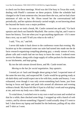to check out for these meetings. Word was she'd be busy in Texas this week, dealing with Pinelli's customer on these projects. Either the schedule had changed or she'd sent someone else, because there she was, and we had a bare minimum of info on her. Mr. Olson tossed her the conversational ball periodically, and her opinion obviously carried weight, so not knowing about her beyond the basics was a major problem.

As soon as we took a break, Mr. Castle cornered me and said, "Go back upstairs and check out Danielle Mayfield. She carries a big bat, and I want to know her history. Text me when you've got anything significant—if it's more than a text, say so and I'll tell you what to do with it."

I said, "Yes, sir," and left.

I never did make it back down to the conference room that evening. My location up in the command center our suite had turned into made me the de facto research-organizing-compiling-phoning guy; a steady stream of texts, phone calls and e-mails had me too busy to leave the room. I ordered room service for dinner, along with a large supply of coffee packets for the machine in our kitchenette, and kept going.

By ten the info stream slowed down, and Mr. Castle texted me.

*Moving to the bar for social negotiation. Stay upstairs*.

I texted *yes sir* back and thought about going to bed. I expected more of the same the next day, and suspected Mr. Castle would be up getting ready at oh-dark-thirty and would expect me to be with him, awake and bouncy. I was exhausted, even though it was only seven-something back home, just from having to focus and figure and push info around all afternoon and evening without a break. My brain felt like it'd put in a full day's work and was griping at me, and even my body was a little cranky.

To wind down, I switched over to my own e-mail account and worked on that for a while, then checked some blogs. I wrapped up with a bunch of web comics, and by eleven-something I figured I could actually sleep if I went to bed. I shut down my laptop and headed for the bedroom, pulling off my shirt and T-shirt as I went.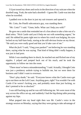I'd just tossed my shoes and socks in the direction of my suitcase when the doorbell rang. Yeah, the suite had a doorbell—I guess Mr. Castle was into that when he travelled.

I padded over to the door in just my suit trousers and opened it.

Mr. Cotts, the Pinelli subcontracts guy, was standing there.

"Mr. Cotts?" I said. "Umm, hello. What can I help you with?"

He gave me a smile that reminded me of a lion about to take a bite out of a dead zebra. "Nick Castle said you'd help me out with something urgent," he said. He rubbed his pants right next to where his crotch was bulging, his eyes locked on my half-bare body, staring at the still-obvious bruise on my throat. "He said you were really good and that you'd take care of me."

*What the fuck?* I said, "I beg your pardon?" not believing he was standing there, saying what he was saying. That kind of thing didn't really happen, it was just in bad porn.

While I was standing there in shock, he reached out and flicked one of my nipples. I yelped and jumped back out of his reach, and he took the opportunity to follow me into the room.

"There must've been a misunderstanding," I said. Actually, I thought Cotts was just a predatory asshole trying to bullshit me, but we were there for business and I didn't want to overreact.

"Don't play dumb," he said. "Everyone knows what the Castle execs get up to out there on the Left Coast. Anything goes, right? You wouldn't be with Castle if he weren't fucking you, and probably more than just fucking, so don't pretend to be so shocked."

I was still backing up and he was still following me. We were most of the way across the office set-up, and suddenly I had the big dining table pressing against my hips.

What popped into my head right then was Mr. Castle's voice in the strategy session on Monday, saying that they were going to take advantage of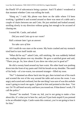the Pinelli VP of subcontracts being a partyer. And I'll admit I wondered at that moment whether Cotts was telling the truth.

"Hang on," I said. My phone was there on the table where I'd been working. I grabbed it and scooted around so there was most of a table and a couple of chairs between me and Cotts. He just smirked and looked around, strolling slowly in my direction without going fast enough to be accused of chasing me.

I texted Mr. Castle, and asked:

*Did you send Cotts up to our room?*

Half a minute later I got an answer:

*Yes take care of him*

All I could do was stare at the screen. My brain crashed and my stomach tried hard to turn itself inside out.

"What did he say?" asked Cotts, still smirking. He was suddenly behind me, reading the phone over my shoulder. He gave a satisfied grunt and said, "There you go. So, how about if you show me what you're good at?"

He slid a sweaty hand around my bare waist. His other hand was pushing down into the front of my pants and I felt his breath on my shoulder. The smell of his body—of a too-warm, too-aroused stranger—filled my nose.

"No!" I slammed an elbow back into his gut, then twisted out of his reach and scooted the rest of the way around the table and across the room. I was angry and scared and confused, but the one thing I was sure of was this asshole wasn't going to touch me again. I glared at him and pointed at the door. "Get out. Or I'll call hotel security and have you tossed out. If that doesn't work, I'll call the police."

"Drama!" he snarked. "Come on, kid, you're not going to make a fuss about this. It's what you're here for, and you'll just look stupid if you pretend to be an offended virgin. Castle wants this contract, you're not going to lose it for him"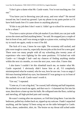"I don't give a damn what Mr. Castle wants. You're not touching me. Get out."

"You know you're throwing your job away, and over what?" He moved toward me, but I stood my ground. I put my phone in my pants pocket so I'd have both hands free if it came down to anything physical.

"If this is my job then I don't want it. I didn't go to school for seven years to be a whore."

"You have a naive picture of the job market if you think you can just walk across the street and find anything better," he said. He stopped just a couple of feet in front of me, and I was strung as tight as a piano wire, waiting for him to try to touch me again, ready to react if he did.

The fuck of it was, I knew he was right. The economy still sucked, and jobs were tough to come by, especially decent jobs at this level for a new grad. There were too many people with all my schooling plus twenty years of experience who were fighting for the same positions. I'd lucked out with Castle—or I thought I had—and my chances of finding anything similar within the next six months, or even the next year, were slim. I knew that.

I also knew I couldn't let this slimeball touch me, no matter what Mr. Castle expected. I obviously didn't know him at all, I'd completely misinterpreted what he wanted, who he was, how he saw me. I was so angry I felt tears burning behind my eyes, but damned if I was going to cry in front of this asshole. Or at all. Castle wasn't worth it.

"Get out," I repeated.

"Come on, it's not a big deal," he coaxed, half whining and half impatient. He reached out to touch me again, and that was it—I slammed my fist into his nose, then drove a knee up into his balls. He collapsed onto the floor, curled up and mewling, all high-pitched pain and cussing.

He wasn't coming after me anymore, so I left him lying there. I ran into the bedroom, pulled my clothes back on, zipped up my suitcase. I hadn't unpacked anything, and the laptop I'd been using out on the table belonged to Castle. Socks, shoes, undershirt, shirt, tie. The bruise on my throat still ached under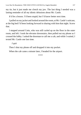my tie, but it just made me clench my jaw. The last thing I needed was a lasting reminder of all my idiotic delusions about Mr. Castle.

It'd be a lesson. I'd been stupid, but I'd know better next time.

I pulled on my jacket and looked around the room, at Mr. Castle's suitcase, at the big bed I'd been looking forward to sharing with him that night. Screw that.

I stepped around Cotts, who was still curled up on the floor in the outer room, and left. I took the elevator downstairs, then pulled out my phone as I crossed the lobby. I asked the doorman to call me a cab, and while I waited, I texted Mr. Castle one last time.

*I quit*

Then I shut my phone off and dropped it into my pocket.

When the cab came a minute later, I headed for the airport.

\*\*\*\*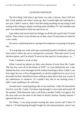#### CHAPTER NINETEEN

The first thing I did when I got home was take a shower, then I fell into bed. I took another one when I woke up, then I started right into looking for a new job. I didn't want to, didn't feel like doing anything except lying in bed staring at the ceiling or maybe watching some mindless TV, but I needed a job and I was determined to find one and move on.

I got online and reactivated my listings on all the job-search sites I'd used before. They weren't even all that out-of-date, since I'd only been at Castle for a few weeks.

Of course, explaining that to a prospective employer was going to be great fun.

"It was going very well, and I got consistently positive feedback, until my boss tried to whore me out to a prospective customer. That task wasn't in my job description, and I'm afraid I'll never be that much of a team player, so…"

Yeah, I needed to work on that.

When I turned my phone on, there were dozens of texts from Mr. Castle. The first few were all on the theme of *WTF?* so I just deleted the rest. I also deleted the four voice messages he left without listening to them. I didn't care how angry he was, or how disappointed, or what he might have to say to try to persuade me that I should have been willing to obey him in that way as part of my submission, or whatever. If I couldn't feel safe in our fucking room, I didn't want anything to do with him.

Around noon I started getting calls on my land line. Caller ID showed the first few were Mr. Castle; I let those ring through to voice mail and turned off the speaker. Mid-afternoon I got a call from a number I didn't recognize, but the area code was the same as the hotel in North Carolina. Sneaky bastard. I ignored that one too.

On Friday, I was lying around wearing the same sweats and T-shirt I'd slept in. I'd started going through Google for job announcements, since I was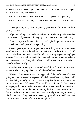at the wait-for-responses stage on the job search sites. My mobile rang again, and it was Brandon, so I picked it up.

His first words were, "Rob? What the hell happened? Are you okay?"

Huh? It took me a second, but then it was obvious. "Mr. Castle called you?"

"Yeah, you might say that. Apparently you won't talk to him, so he's getting creative."

"If you're calling to persuade me to listen to his shit or give him another chance, save it. If you don't I'll hang up on you, and I'm not even kidding."

There was a pause, then Brandon said, "All right, forget him. What about you? Tell me what happened. Are you okay?"

It was a great opportunity to practice what I'd say when an interviewer asked me why I quit Castle with no notice after such a short time, but I still had no idea how to explain it, and Brandon wasn't a prospective employer anyway. He was a friend, he was in the scene, he knew me better than he knew Mr. Castle—at least I thought he did—so I could probably trust him to be on my side, at least mostly.

Brandon was listening, and I wanted, *needed*, to share all this shit with someone who'd be sympathetic, but I had no idea how to start.

"He just… I don't even know what happened. I didn't understand what was going on, what he wanted or expected. I had all these ideas in my head, and I was just being stupidly romantic or something. But he sent that guy to our room, he told me to 'take care of him' and I just… I can't do that. I know some people do, that some Doms share their subs, and the subs are into it and that's cool. But I'm not like that, it's not my kink and I can't do that, and if that's what he wants then it's not going to work. And just sending someone up like that, without asking me first? Or even trying to tell me himself, give me a chance to respond ahead of time, offer an opinion?"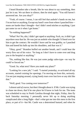I heard Brandon take a breath, like he was about to say something, then just let it out. We sat there in silence, then he tried again. "You still haven't answered me. Are you okay?"

"Yeah, of course. I mean, I can still feel that asshole's hands on me, but I'm not hurt or anything. Except my hand's sore from where I punched him noses are harder than I thought—but I didn't need stitches or anything. I just put some ice on it when I got home."

"So nothing *happened*?"

"What? No! No, shit, I didn't get raped or anything. Fuck, no, it didn't get anywhere near that far. He was just an asshole who thought I'd bend over for him to get the contract. He wouldn't leave and he was grabby, so I punched him and kneed his balls up into his shoulders, and that was it."

"Okay, good." Brandon huffed out another breath, and I could hear the worry flow out of his voice. "So long as I don't have to come over and drag you to the hospital or anything."

"No, nothing like that. He was just some pudgy sales-type—no way he could've forced me."

"Good. So, what next? Have you made any plans?"

"Looking for a new job," I said. "I started yesterday, re-activated all my accounts, started cruising for openings. I'm moving on from this, seriously. I'm not just moping around, crying lonely tears over lost love or any shit like that"

"Well, good. You coming over tomorrow?"

I almost said *of course*, but then I thought about it. If Mr. Castle was trying to chase me down, that'd be one place he'd know to look for me. The team was scheduled to stay in North Carolina through that night, Friday, then fly back Saturday morning. I personally never felt up to doing anything complicated after a long flight—that's what got me into this mess in the first place, or part of it—but Mr. Castle was a determined bastard, and when he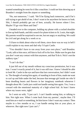wanted something he went for it like a machine. I could see him showing up at Brandon's straight from the airport or something.

"No, not tomorrow," I said. "He'll be flying back tomorrow, and if he's still trying to get ahold of me, I don't want to be anywhere he knows to look. Shit, I should probably get out of here, actually. He knows where I live. Maybe I'll go visit Mom and Dad."

I headed over to the computer, holding my phone with a cocked shoulder to free up both hands, and did a search for plane tickets to St. Louis, that night. My parents would be surprised to see me, but not angry or anything. We could be civil and get along for a week or so.

I'd have to think about what to tell them, since there was no way in hell I could explain to my mom and dad why I'd quit Castle.

"You shouldn't have to run away from your own place," said Brandon. "Look, talk to him once, tell him to fuck off to his face. Make sure he gets that you don't want any contact with him anymore, and that'll do it. Nick's not the stalkery type."

"I can't do that."

It just fell out of my mouth without my conscious permission, but it was true. I wasn't exactly proud of it, but it was still true. I knew I should be able to look Mr. Castle in the eye and have that last conversation, but I didn't want to. The thought of seeing him again, of standing in front of him, made me want to curl up and hide under the bed, because that teenage girl inside me who'd been doodling hearts and flowers in her imaginary notebook whenever I thought about Mr. Castle just could not handle seeing him again. Yes, I was a coward with the emotional maturity of a high school kid. At least I knew where my issues were, right?

So I went on with, "I just can't. I can't handle seeing him, or talking to him. Not right now. When I come back from my parents', maybe then. I'll send him an e-mail or something, let him know I don't want any contact. Then maybe in a few months or so, I can handle seeing him at your place, or wherever. But right now I just can't."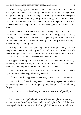"Rob… okay, I get it. I've been there. Your brain knows the obvious answer, but your gut isn't cooperating. That's normal. Just don't bury yourself, all right? Avoiding an ex is one thing, but don't try to hide from everyone. Nick doesn't come to Saturdays very often anyway, so I'll tell him to stay clear for a few months. You need the rest of your life to go on as normal, so come see everyone, hang out, relax. If you need to go visit your folks, do that after."

"I don't know…" I trailed off, scanning through flight information. I'd lucked out getting home Wednesday night—or actually, early Thursday morning—but the airline gods weren't cooperating this time. The earliest flight I could get to St. Louis without paying a ridiculous price was leaving at almost midnight Saturday. Shit.

"All right, I'll come. I can't get a flight out 'til that night anyway. I'll pack tonight and come over with my stuff, and if I can stick around a while tomorrow night then I'll head right to the airport from your place, or if you have plans then I can hit a coffee shop or something, and—"

I stopped, realizing that I was babbling and that I sounded pretty crazy. Brandon just waited for me, and finally I said, "Okay, I'll be there. And I won't be a twitching wreck curled up in the corner, either."

"Good," said Brandon. "And seriously, if you're not up to it, you can hole up in my room, relax, veg, whatever you need."

"Thanks," I said. "I appreciate it, seriously. I know I sound like an idiot."

"No, you don't," he said. "But you won't have any perspective for a while, so I won't argue with you. I expect you by two, though, or I'll come looking for you."

"Two it is," I said, and we hung up after a minute or so of good-byes.

\*\*\*\*

Two it was, when I pulled up in front of Brandon's place the next day. It was earlier than I usually got there, and I parked right in front. I didn't even have a packed suitcase in the trunk, although I did pack the night before, and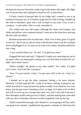the bag was near my front door, ready to go to the airport that night. My flight was at eleven-fifty and I planned to head for SJC at nine-thirty.

I'd had a bunch of ground beef in my fridge and I wanted to use it up instead of tossing it out, so I'd made a huge batch of chili to bring. I headed up the walk to Brandon's gate with a full crockpot in my arms. (Yes, I own a crockpot—I said earlier I like to cook, remember?)

The walled yard was still empty, although the chairs and loungers and tables and pillows were scattered around. I went up to the front door and rang the bell with one elbow.

Brandon answered a few seconds later. "Rob! You're here, great. It's good to see you." He let me in, and we went to the kitchen where I put the crockpot down and plugged it in. As soon as my arms were empty, Brandon pulled me into a hug.

"I was worried about you," he said. "I'm glad you came."

I hugged him back and said, "I figured if I made you come drag me out of my place when you had people coming over, you'd be kind of ticked off, so I didn't have much choice."

"Damn straight!" He glared at me, then smiled. "No, really, I'm glad you're here. You'll be fine, I promise."

"Sure, I'm just twitchy. Umm, I've got more chili in the car—back in a minute."

I headed out to get the other container, feeling a lot more relaxed. Honestly, I'd half expected Mr. Castle to be there, lurking, waiting for me, which was kind of crazy because his plane wouldn't even land for over four hours, but my gut wasn't listening to facts or logic. It'd taken a lot of effort and will to screw up my courage and come over, and I only did it because I *knew* Brandon would come get me if I didn't, and that making him come deal with my shit on Saturday afternoon would completely fuck up his day.

I hadn't trusted him enough, and I should've. It was going to be fine, and it was good to be outside. I grabbed the big plastic container of chili from the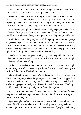passenger side floor and took it in to the fridge. When what was in the crockpot ran out, I'd refill it and heat up a new batch.

When other people starting arriving, Brandon stuck near me and played shield. I felt bad that he needed to but was glad to have him doing it. Especially when Don and Riley came into the yard and Riley bounced up to me, looked around, and said, "Hey, Rob! Where's your Dom?"

Brandon stepped right up and said, "Rob, could you go get another flat of sodas out of the garage? Thanks," and steered me off toward the front door. I heard his lowered voice talking in an urgent tone to Riley, and probably Don.

I felt like shit, felt like going home, felt like going into Brandon's garage and just staying there. I'm not that much of a coward, though, so I picked up a flat of cans and brought them back out to load into an ice chest. I felt Riley kind of hovering behind me, and when I stood up with the empty flat, he was right there, looking like someone had run over his dog.

"Dude, this sucks!" He gave me a big hug. Then he grabbed my arm and pulled me across the yard. "Come on, I'll share Don. And we brought cookies—cookies always help."

"Riley…" I detached myself before I had to find out what Don thought about being "shared." "I need to go dump the box," I said, waving the cardboard flat, "but I'll be back in a minute."

I headed back to the front door before Riley could latch on again, and took the box into the garage where the garbage can was. Once there, I stopped for a minute to breathe and focus on my heartbeat. I knew Riley meant well, but that kind of puppy-eyed sympathy would break down all the barriers I'd built up. I couldn't deal with that, especially not in front of everyone.

It was closer to five minutes than one, but I didn't let myself hide for very long. I did some breathing exercises and when I felt the stress backing off, I headed back to the yard.

I got a few glances but no one was staring at me. Which was a little weird in and of itself, because when you walk into a big space where you know just about everyone, it's more common for at least a couple of people to be looking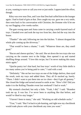at you, wanting to wave or call you over or just smile. I appreciated the effort, though.

Riley was over near Don, and I saw that Don had cuffed him to the lounger again. I had to kind of grin at that. Don caught my eye, gave me a wry smile, then went back to his conversation with Christine, the Domme who'd let me try out flogging a few weeks earlier.

The gate swung open and Anna came in carrying a multi-layered stack of trays. I headed over and took the top two from her, then led the way into the house.

"Thanks!" she said, following me into the kitchen. "I almost dropped the whole pile coming up the driveway."

"That would've been a shame," I said. "Whatever these are, they smell good."

"Bacon and cheese quiches," she said. She set down the two trays she was carrying on the counter next to the fridge, then opened it up and started shuffling things around. "I love this recipe, but I'm never making this many minis again."

"Quiche pastry isn't that hard, but four trays' worth of tiny little shells is too many unless you're being paid to cater," I said with a nod.

"Definitely." She set her two trays on one of the fridge shelves, then eyed the result, took my trays and added them. They all fit stacked up, barely. "There. I didn't want to put them into an ice chest—they'd get all gummy." She closed the fridge and turned around to smile at me. "How's life? Did you make it to the Rolling Thunder event last weekend? I had to work."

My stomach clenched, but only a little. "Yeah, I did," I said. "Brandon took me up. It was fun. I've never been to anything like that before, and would've liked to stay longer."

"I haven't been to many," she said. "Working an odd schedule sucks."

"True," I said. "But I'm back to job-hunting, and right now my checkbook would trade places with your checkbook any time you want."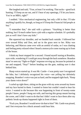She laughed and said, "True, at least I'm working. That sucks—good luck hunting. I'll keep an ear out, and if I hear of any openings, I'll let you know. You're an MBA, right?"

I nodded. "Also mechanical engineering, but only a BS in that. I'll take anything I qualify for, though, so long as it'll keep the Financial Aid people at bay."

"I remember that," she said with a grimace. "Anything is better than nothing, but I'd much rather have a job with a regular schedule. It's probably just as well I don't have any kids."

She squeezed my shoulder, and we headed back outside. I followed her over toward Riley and Don, and sat in the grass next to her. Riley was behaving, and Marcus came over with an armful of sodas, so I was chatting and feeling pretty relaxed when I heard a motorcycle come roaring up in front of the house.

I think my heart stopped for a second. I found myself staring at Brandon, eyes wide, wondering if I could get away through the back somehow. Brandon must've seen my "fight-or-flight" response revving up, because he pointed at me and snapped, "Stay!" before heading out the gate, making sure it shut behind him.

Sharp voices started up. It *was* Mr. Castle—I was pretty sure I recognized the bike, but I definitely recognized his voice—not yelling but definitely snapping. Brandon's voice was just as hard, and he snapped right back, "Keep your damn voice down!"

I curled up right there, sitting on the grass with my arms around my knees and my face buried in them. I wanted to listen but couldn't stand to hear his voice. I wanted to die because this was happening in front of twenty-some people I knew, people I hung out with, and leaving this group meant leaving the scene, and I didn't want to do that but I didn't want to face them after my pathetic break-up drama happened right in front of them.

"Fuck you, Brandon! I would *never* do that to him!" Mr. Castle was pissed, and I bet everyone for a block around could hear him.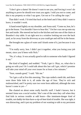"I don't give a damn! He doesn't want to see you, and forcing it won't do anything to prove he should ever trust you again. I told you not to come, and this is my property so what I say goes. Get out or I'm calling the cops."

That didn't work. I'd tried that back at the hotel and if they didn't want to leave, it wouldn't work.

A hand rested lightly on my shoulder, and Anna said, "Come on, hon, let's go in the house. You shouldn't have to hear this." I let her coax me up onto my feet and inside. She steered me back to the kitchen and into one of the chairs at Brandon's tiny table. It sat right next to a window looking out over the back yard, as far away from the driveway as you could get and still be in the house.

She brought me a glass of water and I drank some of it, just because it was there.

"I'm really sorry, hon. I didn't put it together, what you losing your job meant, since you'd been with Nick."

"No, it's okay. It was actually good to talk to someone who hadn't figured it out."

She kind of laughed, and nodded. "Yeah, I get it. Okay, so, what else is going on with you? Or I could talk about this last call I got, which I promise will take your mind off your own issues for at least a few minutes."

"Sure, sounds good," I said. "Hit me."

"So I get a call at five this morning. The cops raided a meth lab, and there were three little kids in it, all under the age of four. They're sick and malnourished, and I'm pretty sure two were born addicted, although the tests haven't come in yet—"

She chatted on about some really horrific stuff. I hadn't known, but it seemed Anna was a social worker. She's one of the ones they call when they find kids in serious trouble at odd hours—like imminent-danger kind of trouble, not daddy-let-him-have-a-sip-of-beer kind of trouble. She was right, it *was* distracting, and it put my problem of not wanting to talk to my persistent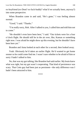ex-boyfriend (ex-Dom? ex-fuck-buddy? what'd we actually been, anyway?) into some perspective.

When Brandon came in and said, "He's gone," I was feeling almost normal.

"Good," I said. "Thanks."

"I'm really sorry, Rob. After I talked to you, I called him and told him not to come."

"He shouldn't even have been here," I said. "Our tickets were for a four o'clock flight. He should still be in the air over, like, Kansas or something right now. I was afraid he might show up this evening, but he shouldn't have been here yet."

Brandon and Anna looked at each other for a second, then looked away.

Yeah. Obviously he'd taken an earlier flight. He'd wanted to get home sooner so he could come find me. I wasn't sure whether to be afraid of him or sorry I hadn't talked to him.

No, that was my gut talking, like Brandon had said earlier. My brain knew what was right, but my gut wasn't cooperating. That kind of persistence was scary. That Cotts guy had been just as persistent—the only difference was I hadn't been attracted to him.

\*\*\*\*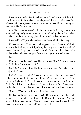### CHAPTER TWENTY

I was back home by five. I stuck around at Brandon's for a little while, mostly hovering in the kitchen. I heated up the chili and picked at some food when Brandon put a plate in front of me, but I didn't feel like socializing, so I told him I'd be fine and left.

Actually, I was exhausted. I hadn't done much that day, but all the emotional crap really sucked it out of you, so when I got home, I kicked off my shoes, set the alarm on my phone for nine and crashed out on the couch.

It seemed like I'd just fallen asleep when the doorbell woke me up.

I hauled my butt off the couch and staggered over to the door. My brain wasn't fully fired up yet, or I'd probably have expected what I saw when I looked through the peephole, which was Mr. Castle, standing there in his leather jacket and that damn grey T-shirt, with a grim look on his face.

Fuck.

He rang the doorbell again, and I heard him say, "Rob? Come on, I know you're in there. I just want to talk."

But I *didn't* want to talk, and he didn't seem to get that. Or maybe he got it but just didn't care.

It didn't matter. I couldn't imagine him breaking the door down, and I didn't have to open it. If I just ignored him, he'd go away eventually. I'd go catch my flight and that'd be the end of it. I was going to be at Mom and Dad's for a little over a week—I was flying back a week from Sunday—and by then he'd have cooled down, gotten distracted, and he'd leave me alone.

"Robbie?" That time he knocked, four times, hard.

I looked out through the peephole again. He was staring at the door, right at eye level, as though he could see me looking at him. He waited. We both waited. I didn't say anything. Finally he looked away and his face fell. He looked lost for just a second, and I almost wanted—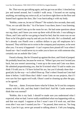No. That was my gut talking again, and my gut was an idiot. I clenched my jaw and turned around, but I couldn't walk away. I focused on not saying anything, not making any noise at all, as I sat down right there on the floor and leaned back against the door, like I was barricading it with my body.

"Robbie, come on, let me in? Please?" He waited a few seconds, then said, "Fine, we can talk like this." As if he knew I was there, knew I was listening.

"I didn't send Cotts up to the room for sex. He had some questions about our org chart, and I knew you were up there with all the info. I was talking to Olson, and Cotts said he was going to head for bed, that his room was on our floor so he'd be glad to stop by and ask you for the info. He's a slimeball, and he's already cost Pinelli over a million dollars to pay off employees he's harassed. They told him not to swim in the company pool anymore, so he went after you. I'm sorry it happened—I can't express how pissed off I was when I found out—but I would never try to order you to have sex with someone else, certainly not an asshole like Cotts."

I heard a thump, like he'd leaned up against the door, and I kind of jumped. He probably heard me, because he went on. "When I got your text I texted you back, but you weren't answering. I went up to the room and Cotts was there. He admitted propositioning you, that he'd twisted what I'd said to make you think I'd told you to. I'd have kicked his ass, but you'd already done that good job, by the way—so I called Olson up. That's when I found out Cotts had done it before. I told Olson that I didn't want Cotts on our projects, that if I ever saw his face again we'd walk. Olson's used to cleaning up after the guy, so he agreed."

That was… damn. Everyone knew what he'd done, he'd cost his company money with his shit, and they hadn't fired him? And Mr. Castle seemed to think that was normal?

"Robbie, this is my fault. I should've made sure you understood what I expected, what we had. I never really established what was happening with us, and that was stupid. I suppose at first I wasn't sure it'd work out, and then even after I was sure I wanted you for—" he paused, then went on, "for long term, I just let it go, never got around to talking about it. I left you hanging,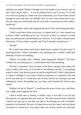and that was stupid. Maybe I thought you'd try harder if you weren't sure of me? I don't know, that's… it was an asshole move, and I'm sorry. If I'd told you what was going on, made sure you understood, you'd have been secure enough to know that this was bullshit, that I'd *never* have done that to you. The fact that you could think that for even half a second proves how badly I fucked up."

I heard another *bonk* and imagined the back of his head hitting the door.

"I don't even know what to say now, so I guess that's it. I just wanted you to know I didn't send him up for sex. I'd never do that, no contract is worth that, not with anyone, and definitely not with you. If you hadn't already taken him down, I'd have done it myself, and if he'd actually touched you—"

"He did."

Mr. Castle went silent, and I had to think back to realize I'd said it, that I'd interrupted him. I hadn't intended to say anything, but I couldn't stand him thinking I'd quit over nothing.

"What?" he finally said. "Robbie, what happened? Robbie?" The door creaked, he was leaning on it, I could almost hear him breathing.

"He did," I repeated. I just sat there on the floor, staring at the carpet. He wasn't really in the room, so it was like I was talking to myself. "I was getting ready for bed, I just had my pants on and he rang the bell. I didn't think about it, I guess I thought it was Greg or Hank or someone, so I opened it. He said you'd sent him up so I could take care of him, and he was staring at me and rubbing his crotch. He grabbed my, my chest, and I backed off, but he came inside."

"Robbie, let me in. Please?" I could hear the stress in his voice, and there was a light smack against the door.

I had to finish once I started, I couldn't stop, it was like it was all just flowing out, so I ignored him and went on. "He said everyone knew what the Castle execs get up to, and that you had to be fucking me and I shouldn't pretend to be shocked. He sort of chased me across the room, and my phone was there so I texted you. You said to take care of him, and he saw and said,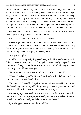'See? Your boss wants you to,' and he put his arm around me, pulled me back against him and put his hand down my pants. I elbowed him in the gut and got away. I said I'd call hotel security or the cops if he didn't leave, but he kept saying it wasn't a big deal, that I'd lose the contract, I'd lose my job. I felt sick and didn't know what to do, except I knew I couldn't do what he wanted, what I thought you wanted. He tried to touch me again and that's when I punched him in the nose, and kneed him. He went down, and I got dressed and left."

We were both silent for a moment, then he said, "Robbie? Please? I need to see that you're okay, I need to—Please? Let me in."

And I needed to see him too, so I opened the door.

He was right there in front of me, with his hands up like he'd been leaning on the door. He looked me up and down, and for the first time there wasn't any desire in his gaze. It was more like he was checking for injuries, as if he'd been expecting to see bandages, or missing parts.

"Are you all right?"

I nodded. "Nothing really happened. He just had his hands on me, and I didn't know what to do, until…" I shrugged. "It wasn't really a big deal, it was more what I thought, what he set me up to think." I looked away and said, "I'm sorry, I should've trusted you."

"I didn't give you much reason to," he said. "Can I come in?"

"Yeah." I backed up and let him in, then closed the door behind him. I saw him notice my suitcase, then look away.

"So, umm…" I leaned back against the door with my arms kind of crossed, like I was hanging on to myself. My gut really wanted to just go to him and have him hold me, but I wasn't sure if I could trust it yet.

He met my eyes and said, "I'm sorry. I want to fly back and kick that bastard's ass. He said he just propositioned you, that you attacked him when he hadn't actually touched you. I should've known better."

I just shrugged because yeah, he should've.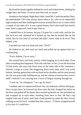He laced his hands together behind his neck and looked down, shifting his weight back and forth. I'd never seen him look so unsure.

Somehow that helped. Right then I didn't need Mr. Castle the perfect Dom, the unbreakable CEO who always knew what to do, who set an impossibly high standard and then challenged everyone around him to try to come within a couple of zip codes of it. It was a great fantasy, but it also made him hard to read, hard to approach, hard to get close to.

I needed him to be human, the guy I'd gone for a walk with, and the fact that he'd not only admitted he'd fucked up, but that he looked like he felt awful, like he was kind of wrecked and didn't know what to do next? That helped, a lot.

I reached out with one hand and said, "Nick?"

He looked at me, then took my hand and pulled me up against him in a crushing hug.

"Fuck, Robbie, I'm so sorry."

We rocked back and forth, slowly, while hanging on to each other. Even after everything that happened, I felt safe with him. In fact, it was the first time I'd felt really safe since that hotel room on the other side of the continent. I relaxed, a stage at a time, like staggering down some steps until I was at the bottom, leaning against him with my head on his shoulder and his arms around me. He was practically holding me up, and the release of tension-fear-stress I hadn't realized I was carrying sent a wave of fatigue running through me.

"Come on," he whispered. "Let's go lie down."

I nodded, and we maneuvered back into my bedroom without letting go. Once we got there, he lowered me down onto the bed, dropped his jacket on the floor and pulled off his boots, then crawled up beside me. We stretched out and wrapped up in each other, touching from faces to feet. He had a leg tangled with one of mine, and I had a hand pushed up under his shirt, slowly rubbing across his back. I needed that skin contact—I'd have wrapped myself in his skin if I could have.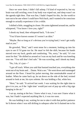Once we were there, I didn't fall asleep. I'd kind of expected to, but my brain was still swirling, even if my body was wiped out, and sleep wasn't on the agenda right then. That was fine, I hadn't hoped for this, for the world to turn out to be one where I could have Nick back, and I wanted to be conscious enough to actually experience it for a while.

I shifted a little, snuggling in closer. His arms tightened around me, and he whispered, "You know I love you, right?"

I shook my head, then whispered back, "I do now."

"You'd have known sooner if I weren't an idiot."

"Maybe. But so long as it's obvious you're trying hard, I won't get really mad at you."

He growled, "Brat," and I went tense for a moment, looking up into his eyes to see if I'd gone too far. He must've felt the shift, because his hands moved over my back, gentle and comforting. "No, sorry," he said, "it's too soon for that." He shifted us around so I was on my back and he was kneeling over me. "You still don't feel safe." He was scowling, and I shook my head.

"No, I do, it's just—"

"I got off track. When you said that bastard touched you, everything else went out of my brain and… Damn. Wait a sec." He went down and rummaged around on the floor. I heard his jacket moving, that unmistakable sound of leather. When he came back up, he sat down on the side of the bed, twisted around to look at me, his eyes solemn. He was holding a flat, white box.

"Here," he said. "It arrived last week. I was waiting for the right time to give it to you, as if the 'right time' would just sort of pop up with a big sign hanging in the air."

I sat up, staring at the box. I knew what it was, I was sure I knew what it was, but I hadn't expected anything like it, it was too soon.

He was holding it out, waiting for me to take it with that perfect patience he'd shown when I was still drifting in subspace after he'd chained me to his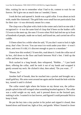bike, waiting for me to remember what I had to do, content to wait for me forever. He'd give me as much time as I needed, I knew.

I took the box and opened it. Inside was a gold collar. It was about an inch wide, made like chainmail. The gold links were small but not particularly fine for their size—it was obviously meant for a man.

The clasp was a flat plate with a hole in the center and a latch on one side. I recognized it—it was the same kind of clasp that'd been on the leather cuffs I'd worn to the meet-up, the ones I'd worn when Nick had tied me up in front of hundreds of people, made me so hard, and kissed me, and carried me off to cuddle.

I'd been silent for a while when he said, "If you don't want to lock it right away, that's fine. Or ever. You can wear it to work under your shirt—it won't show, and even if it did, it's discreet enough to pass to a mundane."

I knew how this worked, I'd seen this, read about it. I took the collar out of its box, slid down to the floor and knelt between Nick's feet. I held up the collar and bent my head.

Nick sucked in a long breath, then whispered, "Robbie…" I just knelt there, offering the collar, until he took it out of my hands and wrapped it gently around my neck. He clicked it shut, then asked, "Do you want…?"

"Please, Sir."

Another huff of breath, then he reached into a pocket and brought out a small gold key. His arms went around me again and he found the hole with the key, turned it until it clicked.

The collar rested right where the bruise on my throat was, the yellowpurple splotch that still twinged when something brushed against it. The collar was a solid weight on my neck, and it pressed down on the bruised spot, making it ache. I wanted it to last forever, and figured I could persuade Nick to keep it fresh.

He put the key into a tiny pocket in his jacket and zipped it closed, then leaned down and kissed me, light at first, and gentle. When I leaned in closer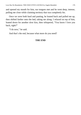and opened my mouth for him, our tongues met and he went deep, intense, pulling me close while claiming territory that was completely his.

Once we were both hard and panting, he leaned back and pulled me up, then shifted farther onto the bed, taking me along. I relaxed on top of him, leaned down for another slow kiss, then whispered, "You know I love you back, right?"

"I do now," he said.

And that's the end, because what more do you need?

### **THE END**